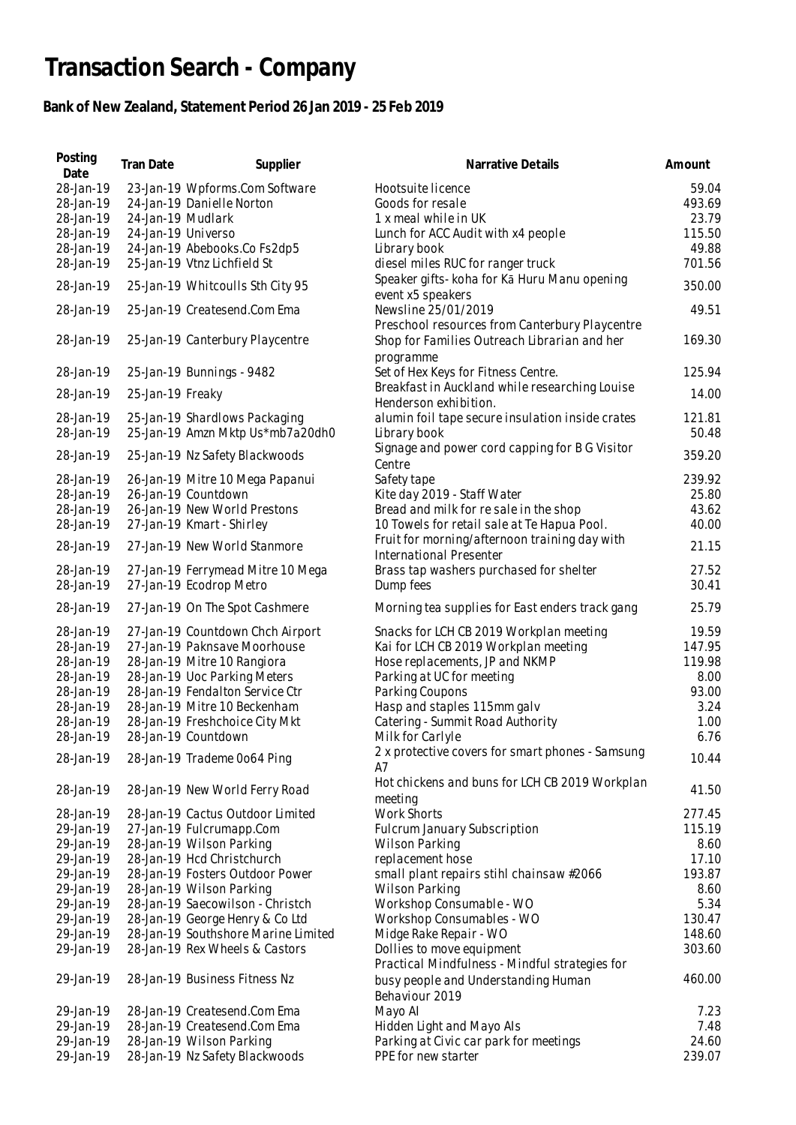## **Transaction Search - Company**

## **Bank of New Zealand, Statement Period 26 Jan 2019 - 25 Feb 2019**

| Posting<br>Date | Tran Date          | Supplier                            | Narrative Details                                                        | Amount |
|-----------------|--------------------|-------------------------------------|--------------------------------------------------------------------------|--------|
| 28-Jan-19       |                    | 23-Jan-19 Wpforms.Com Software      | Hootsuite licence                                                        | 59.04  |
| 28-Jan-19       |                    | 24-Jan-19 Danielle Norton           | Goods for resale                                                         | 493.69 |
| 28-Jan-19       | 24-Jan-19 Mudlark  |                                     | 1 x meal while in UK                                                     | 23.79  |
| 28-Jan-19       | 24-Jan-19 Universo |                                     | Lunch for ACC Audit with x4 people                                       | 115.50 |
| 28-Jan-19       |                    | 24-Jan-19 Abebooks.Co Fs2dp5        | Library book                                                             | 49.88  |
| 28-Jan-19       |                    | 25-Jan-19 Vtnz Lichfield St         | diesel miles RUC for ranger truck                                        | 701.56 |
|                 |                    |                                     | Speaker gifts- koha for Kā Huru Manu opening                             |        |
| 28-Jan-19       |                    | 25-Jan-19 Whitcoulls Sth City 95    | event x5 speakers                                                        | 350.00 |
| 28-Jan-19       |                    | 25-Jan-19 Createsend.Com Ema        | Newsline 25/01/2019                                                      | 49.51  |
|                 |                    |                                     | Preschool resources from Canterbury Playcentre                           |        |
| 28-Jan-19       |                    | 25-Jan-19 Canterbury Playcentre     | Shop for Families Outreach Librarian and her                             | 169.30 |
|                 |                    |                                     | programme                                                                |        |
| 28-Jan-19       |                    | 25-Jan-19 Bunnings - 9482           | Set of Hex Keys for Fitness Centre.                                      | 125.94 |
|                 |                    |                                     | Breakfast in Auckland while researching Louise                           |        |
| 28-Jan-19       | 25-Jan-19 Freaky   |                                     | Henderson exhibition.                                                    | 14.00  |
| 28-Jan-19       |                    | 25-Jan-19 Shardlows Packaging       |                                                                          | 121.81 |
| 28-Jan-19       |                    | 25-Jan-19 Amzn Mktp Us*mb7a20dh0    | alumin foil tape secure insulation inside crates                         | 50.48  |
|                 |                    |                                     | Library book                                                             |        |
| 28-Jan-19       |                    | 25-Jan-19 Nz Safety Blackwoods      | Signage and power cord capping for B G Visitor                           | 359.20 |
|                 |                    |                                     | Centre                                                                   |        |
| 28-Jan-19       |                    | 26-Jan-19 Mitre 10 Mega Papanui     | Safety tape                                                              | 239.92 |
| 28-Jan-19       |                    | 26-Jan-19 Countdown                 | Kite day 2019 - Staff Water                                              | 25.80  |
| 28-Jan-19       |                    | 26-Jan-19 New World Prestons        | Bread and milk for resale in the shop                                    | 43.62  |
| 28-Jan-19       |                    | 27-Jan-19 Kmart - Shirley           | 10 Towels for retail sale at Te Hapua Pool.                              | 40.00  |
| 28-Jan-19       |                    | 27-Jan-19 New World Stanmore        | Fruit for morning/afternoon training day with<br>International Presenter | 21.15  |
| 28-Jan-19       |                    | 27-Jan-19 Ferrymead Mitre 10 Mega   | Brass tap washers purchased for shelter                                  | 27.52  |
| 28-Jan-19       |                    | 27-Jan-19 Ecodrop Metro             | Dump fees                                                                | 30.41  |
|                 |                    |                                     |                                                                          |        |
| 28-Jan-19       |                    | 27-Jan-19 On The Spot Cashmere      | Morning tea supplies for East enders track gang                          | 25.79  |
| 28-Jan-19       |                    | 27-Jan-19 Countdown Chch Airport    | Snacks for LCH CB 2019 Workplan meeting                                  | 19.59  |
| 28-Jan-19       |                    | 27-Jan-19 Paknsave Moorhouse        | Kai for LCH CB 2019 Workplan meeting                                     | 147.95 |
| 28-Jan-19       |                    | 28-Jan-19 Mitre 10 Rangiora         | Hose replacements, JP and NKMP                                           | 119.98 |
| 28-Jan-19       |                    | 28-Jan-19 Uoc Parking Meters        | Parking at UC for meeting                                                | 8.00   |
| 28-Jan-19       |                    | 28-Jan-19 Fendalton Service Ctr     | Parking Coupons                                                          | 93.00  |
| 28-Jan-19       |                    | 28-Jan-19 Mitre 10 Beckenham        | Hasp and staples 115mm galv                                              | 3.24   |
| 28-Jan-19       |                    | 28-Jan-19 Freshchoice City Mkt      | Catering - Summit Road Authority                                         | 1.00   |
| 28-Jan-19       |                    | 28-Jan-19 Countdown                 | Milk for Carlyle                                                         | 6.76   |
| 28-Jan-19       |                    | 28-Jan-19 Trademe 0o64 Ping         | 2 x protective covers for smart phones - Samsung                         | 10.44  |
|                 |                    |                                     | A7                                                                       |        |
| 28-Jan-19       |                    | 28-Jan-19 New World Ferry Road      | Hot chickens and buns for LCH CB 2019 Workplan                           | 41.50  |
|                 |                    |                                     | meeting                                                                  |        |
| 28-Jan-19       |                    | 28-Jan-19 Cactus Outdoor Limited    | <b>Work Shorts</b>                                                       | 277.45 |
| 29-Jan-19       |                    | 27-Jan-19 Fulcrumapp.Com            | Fulcrum January Subscription                                             | 115.19 |
| 29-Jan-19       |                    | 28-Jan-19 Wilson Parking            | Wilson Parking                                                           | 8.60   |
| 29-Jan-19       |                    | 28-Jan-19 Hcd Christchurch          | replacement hose                                                         | 17.10  |
| 29-Jan-19       |                    | 28-Jan-19 Fosters Outdoor Power     | small plant repairs stihl chainsaw #2066                                 | 193.87 |
| 29-Jan-19       |                    | 28-Jan-19 Wilson Parking            | <b>Wilson Parking</b>                                                    | 8.60   |
| 29-Jan-19       |                    | 28-Jan-19 Saecowilson - Christch    | Workshop Consumable - WO                                                 | 5.34   |
| 29-Jan-19       |                    | 28-Jan-19 George Henry & Co Ltd     | Workshop Consumables - WO                                                | 130.47 |
| 29-Jan-19       |                    | 28-Jan-19 Southshore Marine Limited | Midge Rake Repair - WO                                                   | 148.60 |
| 29-Jan-19       |                    | 28-Jan-19 Rex Wheels & Castors      | Dollies to move equipment                                                | 303.60 |
|                 |                    |                                     | Practical Mindfulness - Mindful strategies for                           |        |
| 29-Jan-19       |                    | 28-Jan-19 Business Fitness Nz       | busy people and Understanding Human                                      | 460.00 |
|                 |                    |                                     | Behaviour 2019                                                           |        |
| 29-Jan-19       |                    | 28-Jan-19 Createsend.Com Ema        | Mayo Al                                                                  | 7.23   |
| 29-Jan-19       |                    | 28-Jan-19 Createsend.Com Ema        | Hidden Light and Mayo Als                                                | 7.48   |
| 29-Jan-19       |                    | 28-Jan-19 Wilson Parking            | Parking at Civic car park for meetings                                   | 24.60  |
| 29-Jan-19       |                    | 28-Jan-19 Nz Safety Blackwoods      | PPE for new starter                                                      | 239.07 |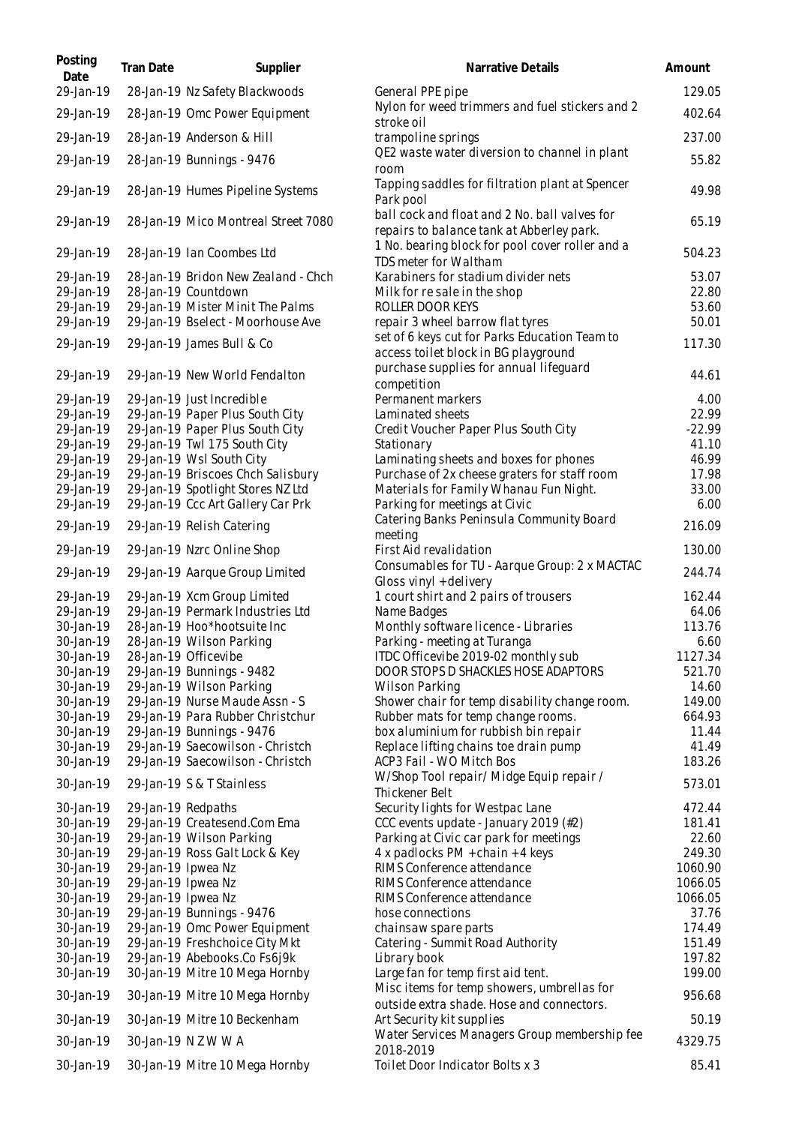| Posting<br>Date        | Tran Date          | Supplier                                                      | Narrative Details                                                                          | Amount          |
|------------------------|--------------------|---------------------------------------------------------------|--------------------------------------------------------------------------------------------|-----------------|
| 29-Jan-19              |                    | 28-Jan-19 Nz Safety Blackwoods                                | General PPE pipe                                                                           | 129.05          |
| 29-Jan-19              |                    | 28-Jan-19 Omc Power Equipment                                 | Nylon for weed trimmers and fuel stickers and 2<br>stroke oil                              | 402.64          |
| 29-Jan-19              |                    | 28-Jan-19 Anderson & Hill                                     | trampoline springs                                                                         | 237.00          |
| 29-Jan-19              |                    | 28-Jan-19 Bunnings - 9476                                     | QE2 waste water diversion to channel in plant<br>room                                      | 55.82           |
| 29-Jan-19              |                    | 28-Jan-19 Humes Pipeline Systems                              | Tapping saddles for filtration plant at Spencer<br>Park pool                               | 49.98           |
| 29-Jan-19              |                    | 28-Jan-19 Mico Montreal Street 7080                           | ball cock and float and 2 No. ball valves for<br>repairs to balance tank at Abberley park. | 65.19           |
| 29-Jan-19              |                    | 28-Jan-19 Ian Coombes Ltd                                     | 1 No. bearing block for pool cover roller and a<br>TDS meter for Waltham                   | 504.23          |
| 29-Jan-19              |                    | 28-Jan-19 Bridon New Zealand - Chch                           | Karabiners for stadium divider nets                                                        | 53.07           |
| 29-Jan-19              |                    | 28-Jan-19 Countdown                                           | Milk for re sale in the shop                                                               | 22.80           |
| 29-Jan-19              |                    | 29-Jan-19 Mister Minit The Palms                              | ROLLER DOOR KEYS                                                                           | 53.60           |
| 29-Jan-19              |                    | 29-Jan-19 Bselect - Moorhouse Ave                             | repair 3 wheel barrow flat tyres                                                           | 50.01           |
| 29-Jan-19              |                    | 29-Jan-19 James Bull & Co                                     | set of 6 keys cut for Parks Education Team to<br>access toilet block in BG playground      | 117.30          |
| 29-Jan-19              |                    | 29-Jan-19 New World Fendalton                                 | purchase supplies for annual lifeguard<br>competition                                      | 44.61           |
| 29-Jan-19              |                    | 29-Jan-19 Just Incredible                                     | Permanent markers                                                                          | 4.00            |
| 29-Jan-19              |                    | 29-Jan-19 Paper Plus South City                               | Laminated sheets                                                                           | 22.99           |
| 29-Jan-19              |                    | 29-Jan-19 Paper Plus South City                               | Credit Voucher Paper Plus South City                                                       | $-22.99$        |
| 29-Jan-19              |                    | 29-Jan-19 Twl 175 South City                                  | Stationary                                                                                 | 41.10           |
| 29-Jan-19<br>29-Jan-19 |                    | 29-Jan-19 Wsl South City<br>29-Jan-19 Briscoes Chch Salisbury | Laminating sheets and boxes for phones<br>Purchase of 2x cheese graters for staff room     | 46.99<br>17.98  |
| 29-Jan-19              |                    | 29-Jan-19 Spotlight Stores NZ Ltd                             | Materials for Family Whanau Fun Night.                                                     | 33.00           |
| 29-Jan-19              |                    | 29-Jan-19 Ccc Art Gallery Car Prk                             | Parking for meetings at Civic                                                              | 6.00            |
| 29-Jan-19              |                    | 29-Jan-19 Relish Catering                                     | Catering Banks Peninsula Community Board<br>meeting                                        | 216.09          |
| 29-Jan-19              |                    | 29-Jan-19 Nzrc Online Shop                                    | First Aid revalidation                                                                     | 130.00          |
| 29-Jan-19              |                    | 29-Jan-19 Aarque Group Limited                                | Consumables for TU - Aarque Group: 2 x MACTAC<br>Gloss vinyl + delivery                    | 244.74          |
| 29-Jan-19              |                    | 29-Jan-19 Xcm Group Limited                                   | 1 court shirt and 2 pairs of trousers                                                      | 162.44          |
| 29-Jan-19              |                    | 29-Jan-19 Permark Industries Ltd                              | Name Badges                                                                                | 64.06           |
| 30-Jan-19              |                    | 28-Jan-19 Hoo*hootsuite Inc                                   | Monthly software licence - Libraries                                                       | 113.76          |
| 30-Jan-19              |                    | 28-Jan-19 Wilson Parking                                      | Parking - meeting at Turanga                                                               | 6.60            |
| 30-Jan-19              |                    | 28-Jan-19 Officevibe                                          | ITDC Officevibe 2019-02 monthly sub                                                        | 1127.34         |
| 30-Jan-19              |                    | 29-Jan-19 Bunnings - 9482                                     | DOOR STOPS D SHACKLES HOSE ADAPTORS                                                        | 521.70          |
| 30-Jan-19              |                    | 29-Jan-19 Wilson Parking                                      | Wilson Parking                                                                             | 14.60           |
| 30-Jan-19              |                    | 29-Jan-19 Nurse Maude Assn - S                                | Shower chair for temp disability change room.                                              | 149.00          |
| 30-Jan-19              |                    | 29-Jan-19 Para Rubber Christchur                              | Rubber mats for temp change rooms.<br>box aluminium for rubbish bin repair                 | 664.93<br>11.44 |
| 30-Jan-19<br>30-Jan-19 |                    | 29-Jan-19 Bunnings - 9476<br>29-Jan-19 Saecowilson - Christch | Replace lifting chains toe drain pump                                                      | 41.49           |
| 30-Jan-19              |                    | 29-Jan-19 Saecowilson - Christch                              | ACP3 Fail - WO Mitch Bos                                                                   | 183.26          |
| 30-Jan-19              |                    | 29-Jan-19 S & T Stainless                                     | W/Shop Tool repair/ Midge Equip repair /                                                   | 573.01          |
|                        |                    |                                                               | Thickener Belt                                                                             |                 |
| 30-Jan-19              | 29-Jan-19 Redpaths |                                                               | Security lights for Westpac Lane                                                           | 472.44          |
| 30-Jan-19<br>30-Jan-19 |                    | 29-Jan-19 Createsend.Com Ema<br>29-Jan-19 Wilson Parking      | CCC events update - January 2019 (#2)<br>Parking at Civic car park for meetings            | 181.41<br>22.60 |
| 30-Jan-19              |                    | 29-Jan-19 Ross Galt Lock & Key                                | 4 x padlocks $PM + chain + 4$ keys                                                         | 249.30          |
| 30-Jan-19              | 29-Jan-19 Ipwea Nz |                                                               | RIMS Conference attendance                                                                 | 1060.90         |
| 30-Jan-19              | 29-Jan-19 Ipwea Nz |                                                               | RIMS Conference attendance                                                                 | 1066.05         |
| 30-Jan-19              | 29-Jan-19 Ipwea Nz |                                                               | RIMS Conference attendance                                                                 | 1066.05         |
| 30-Jan-19              |                    | 29-Jan-19 Bunnings - 9476                                     | hose connections                                                                           | 37.76           |
| 30-Jan-19              |                    | 29-Jan-19 Omc Power Equipment                                 | chains aw spare parts                                                                      | 174.49          |
| 30-Jan-19              |                    | 29-Jan-19 Freshchoice City Mkt                                | Catering - Summit Road Authority                                                           | 151.49          |
| 30-Jan-19              |                    | 29-Jan-19 Abebooks.Co Fs6j9k                                  | Library book                                                                               | 197.82          |
| 30-Jan-19              |                    | 30-Jan-19 Mitre 10 Mega Hornby                                | Large fan for temp first aid tent.                                                         | 199.00          |
| 30-Jan-19              |                    | 30-Jan-19 Mitre 10 Mega Hornby                                | Misc items for temp showers, umbrellas for<br>outside extra shade. Hose and connectors.    | 956.68          |
| 30-Jan-19              |                    | 30-Jan-19 Mitre 10 Beckenham                                  | Art Security kit supplies                                                                  | 50.19           |
| 30-Jan-19              |                    | 30-Jan-19 N Z W W A                                           | Water Services Managers Group membership fee<br>2018-2019                                  | 4329.75         |
| 30-Jan-19              |                    | 30-Jan-19 Mitre 10 Mega Hornby                                | Toilet Door Indicator Bolts x 3                                                            | 85.41           |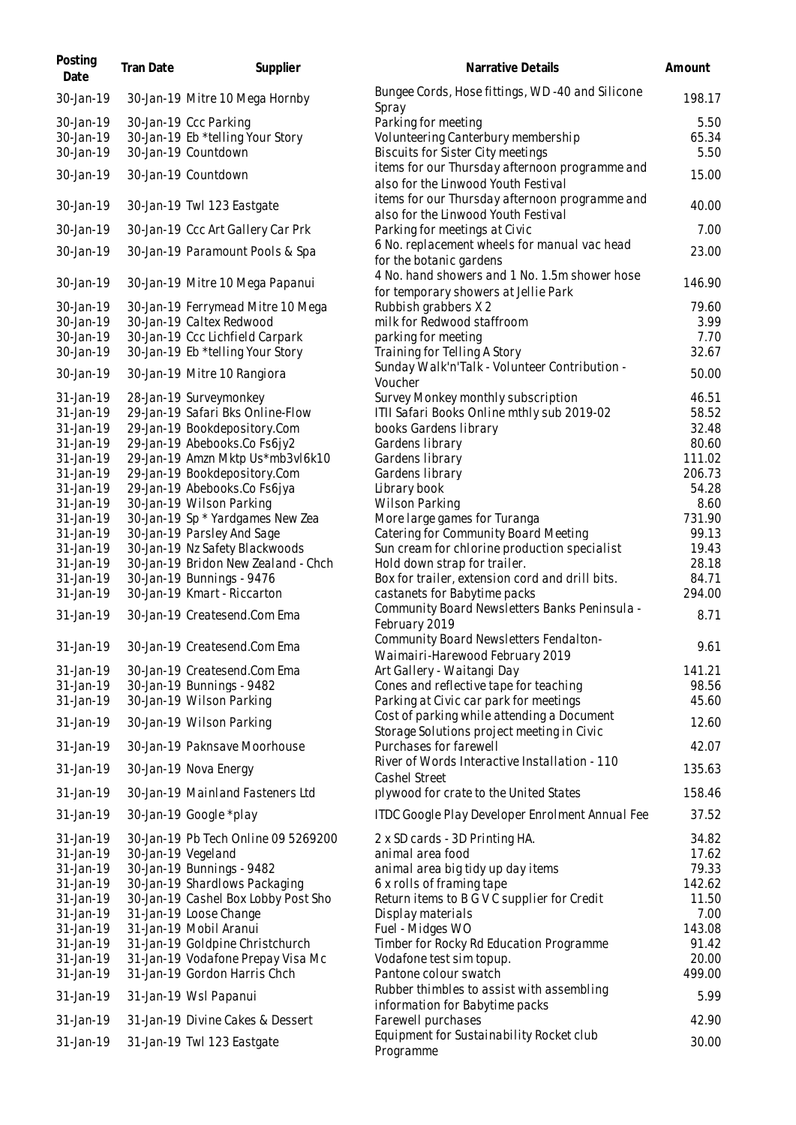| Posting<br>Date        | Tran Date | Supplier                                                 | Narrative Details                                                                        | Amount          |
|------------------------|-----------|----------------------------------------------------------|------------------------------------------------------------------------------------------|-----------------|
| 30-Jan-19              |           | 30-Jan-19 Mitre 10 Mega Hornby                           | Bungee Cords, Hose fittings, WD-40 and Silicone<br>Spray                                 | 198.17          |
| 30-Jan-19              |           | 30-Jan-19 Ccc Parking                                    | Parking for meeting                                                                      | 5.50            |
| 30-Jan-19              |           | 30-Jan-19 Eb *telling Your Story                         | Volunteering Canterbury membership                                                       | 65.34           |
| 30-Jan-19              |           | 30-Jan-19 Countdown                                      | Biscuits for Sister City meetings                                                        | 5.50            |
| 30-Jan-19              |           | 30-Jan-19 Countdown                                      | items for our Thursday afternoon programme and<br>also for the Linwood Youth Festival    | 15.00           |
| 30-Jan-19              |           | 30-Jan-19 Twl 123 Eastgate                               | items for our Thursday afternoon programme and<br>also for the Linwood Youth Festival    | 40.00           |
| 30-Jan-19              |           | 30-Jan-19 Ccc Art Gallery Car Prk                        | Parking for meetings at Civic                                                            | 7.00            |
| 30-Jan-19              |           | 30-Jan-19 Paramount Pools & Spa                          | 6 No. replacement wheels for manual vac head<br>for the botanic gardens                  | 23.00           |
| 30-Jan-19              |           | 30-Jan-19 Mitre 10 Mega Papanui                          | 4 No. hand showers and 1 No. 1.5m shower hose<br>for temporary showers at Jellie Park    | 146.90          |
| 30-Jan-19              |           | 30-Jan-19 Ferrymead Mitre 10 Mega                        | Rubbish grabbers X 2                                                                     | 79.60           |
| 30-Jan-19              |           | 30-Jan-19 Caltex Redwood                                 | milk for Redwood staffroom                                                               | 3.99            |
| 30-Jan-19              |           | 30-Jan-19 Ccc Lichfield Carpark                          | parking for meeting                                                                      | 7.70            |
| 30-Jan-19              |           | 30-Jan-19 Eb *telling Your Story                         | Training for Telling A Story                                                             | 32.67           |
| 30-Jan-19              |           | 30-Jan-19 Mitre 10 Rangiora                              | Sunday Walk'n'Talk - Volunteer Contribution -<br>Voucher                                 | 50.00           |
| 31-Jan-19              |           | 28-Jan-19 Surveymonkey                                   | Survey Monkey monthly subscription                                                       | 46.51           |
| 31-Jan-19              |           | 29-Jan-19 Safari Bks Online-Flow                         | ITII Safari Books Online mthly sub 2019-02                                               | 58.52           |
| 31-Jan-19              |           | 29-Jan-19 Bookdepository.Com                             | books Gardens library                                                                    | 32.48           |
| 31-Jan-19              |           | 29-Jan-19 Abebooks.Co Fs6jy2                             | Gardens library                                                                          | 80.60           |
| 31-Jan-19              |           | 29-Jan-19 Amzn Mktp Us*mb3vl6k10                         | Gardens library                                                                          | 111.02          |
| 31-Jan-19              |           | 29-Jan-19 Bookdepository.Com                             | Gardens library                                                                          | 206.73<br>54.28 |
| 31-Jan-19<br>31-Jan-19 |           | 29-Jan-19 Abebooks.Co Fs6jya<br>30-Jan-19 Wilson Parking | Library book<br><b>Wilson Parking</b>                                                    | 8.60            |
| 31-Jan-19              |           | 30-Jan-19 Sp * Yardgames New Zea                         | More large games for Turanga                                                             | 731.90          |
| 31-Jan-19              |           | 30-Jan-19 Parsley And Sage                               | Catering for Community Board Meeting                                                     | 99.13           |
| 31-Jan-19              |           | 30-Jan-19 Nz Safety Blackwoods                           | Sun cream for chlorine production specialist                                             | 19.43           |
| 31-Jan-19              |           | 30-Jan-19 Bridon New Zealand - Chch                      | Hold down strap for trailer.                                                             | 28.18           |
| 31-Jan-19              |           | 30-Jan-19 Bunnings - 9476                                | Box for trailer, extension cord and drill bits.                                          | 84.71           |
| 31-Jan-19              |           | 30-Jan-19 Kmart - Riccarton                              | castanets for Babytime packs                                                             | 294.00          |
| 31-Jan-19              |           | 30-Jan-19 Createsend.Com Ema                             | Community Board Newsletters Banks Peninsula -<br>February 2019                           | 8.71            |
| 31-Jan-19              |           | 30-Jan-19 Createsend.Com Ema                             | Community Board Newsletters Fendalton-<br>Waimairi-Harewood February 2019                | 9.61            |
| 31-Jan-19              |           | 30-Jan-19 Createsend.Com Ema                             | Art Gallery - Waitangi Day                                                               | 141.21          |
| 31-Jan-19              |           | 30-Jan-19 Bunnings - 9482                                | Cones and reflective tape for teaching                                                   | 98.56           |
| 31-Jan-19              |           | 30-Jan-19 Wilson Parking                                 | Parking at Civic car park for meetings                                                   | 45.60           |
| 31-Jan-19              |           | 30-Jan-19 Wilson Parking                                 | Cost of parking while attending a Document<br>Storage Solutions project meeting in Civic | 12.60           |
| 31-Jan-19              |           | 30-Jan-19 Paknsave Moorhouse                             | Purchases for farewell                                                                   | 42.07           |
| 31-Jan-19              |           | 30-Jan-19 Nova Energy                                    | River of Words Interactive Installation - 110<br>Cashel Street                           | 135.63          |
| 31-Jan-19              |           | 30-Jan-19 Mainland Fasteners Ltd                         | plywood for crate to the United States                                                   | 158.46          |
| 31-Jan-19              |           | 30-Jan-19 Google *play                                   | ITDC Google Play Developer Enrolment Annual Fee                                          | 37.52           |
| 31-Jan-19              |           | 30-Jan-19 Pb Tech Online 09 5269200                      | 2 x SD cards - 3D Printing HA.                                                           | 34.82           |
| 31-Jan-19              |           | 30-Jan-19 Vegeland                                       | animal area food                                                                         | 17.62           |
| 31-Jan-19              |           | 30-Jan-19 Bunnings - 9482                                | animal area big tidy up day items                                                        | 79.33           |
| 31-Jan-19              |           | 30-Jan-19 Shardlows Packaging                            | 6 x rolls of framing tape                                                                | 142.62          |
| 31-Jan-19              |           | 30-Jan-19 Cashel Box Lobby Post Sho                      | Return items to B G V C supplier for Credit                                              | 11.50           |
| 31-Jan-19<br>31-Jan-19 |           | 31-Jan-19 Loose Change<br>31-Jan-19 Mobil Aranui         | Display materials<br>Fuel - Midges WO                                                    | 7.00<br>143.08  |
| 31-Jan-19              |           | 31-Jan-19 Goldpine Christchurch                          | Timber for Rocky Rd Education Programme                                                  | 91.42           |
| 31-Jan-19              |           | 31-Jan-19 Vodafone Prepay Visa Mc                        | Vodafone test sim topup.                                                                 | 20.00           |
| 31-Jan-19              |           | 31-Jan-19 Gordon Harris Chch                             | Pantone colour swatch                                                                    | 499.00          |
| 31-Jan-19              |           | 31-Jan-19 Wsl Papanui                                    | Rubber thimbles to assist with assembling<br>information for Babytime packs              | 5.99            |
| 31-Jan-19              |           | 31-Jan-19 Divine Cakes & Dessert                         | Farewell purchases                                                                       | 42.90           |
| 31-Jan-19              |           | 31-Jan-19 Twl 123 Eastgate                               | Equipment for Sustainability Rocket club<br>Programme                                    | 30.00           |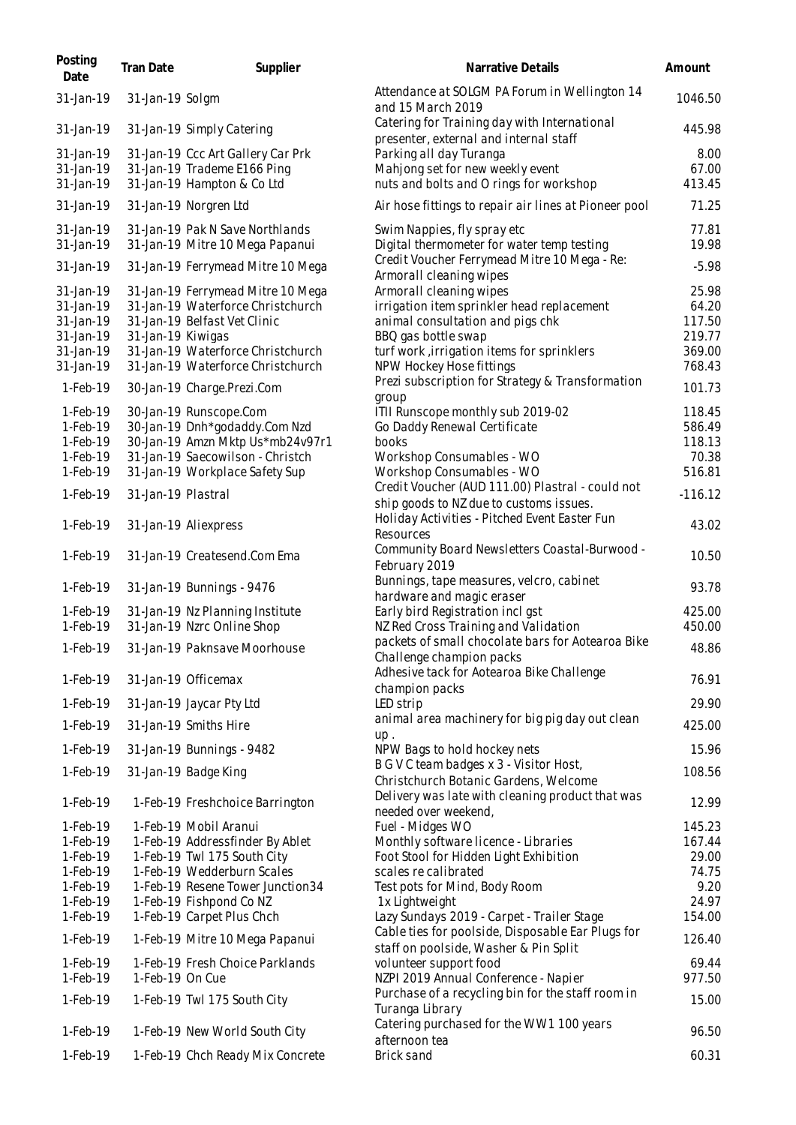| Posting<br>Date | Tran Date          | Supplier                          | Narrative Details                                                                           | Amount    |
|-----------------|--------------------|-----------------------------------|---------------------------------------------------------------------------------------------|-----------|
| 31-Jan-19       | 31-Jan-19 Solgm    |                                   | Attendance at SOLGM PA Forum in Wellington 14<br>and 15 March 2019                          | 1046.50   |
| 31-Jan-19       |                    | 31-Jan-19 Simply Catering         | Catering for Training day with International<br>presenter, external and internal staff      | 445.98    |
| 31-Jan-19       |                    | 31-Jan-19 Ccc Art Gallery Car Prk | Parking all day Turanga                                                                     | 8.00      |
| 31-Jan-19       |                    | 31-Jan-19 Trademe E166 Ping       | Mahjong set for new weekly event                                                            | 67.00     |
| 31-Jan-19       |                    | 31-Jan-19 Hampton & Co Ltd        | nuts and bolts and O rings for workshop                                                     | 413.45    |
| 31-Jan-19       |                    | 31-Jan-19 Norgren Ltd             | Air hose fittings to repair air lines at Pioneer pool                                       | 71.25     |
| 31-Jan-19       |                    | 31-Jan-19 Pak N Save Northlands   | Swim Nappies, fly spray etc                                                                 | 77.81     |
| 31-Jan-19       |                    | 31-Jan-19 Mitre 10 Mega Papanui   | Digital thermometer for water temp testing<br>Credit Voucher Ferrymead Mitre 10 Mega - Re:  | 19.98     |
| 31-Jan-19       |                    | 31-Jan-19 Ferrymead Mitre 10 Mega | Armorall cleaning wipes                                                                     | $-5.98$   |
| 31-Jan-19       |                    | 31-Jan-19 Ferrymead Mitre 10 Mega | Armorall cleaning wipes                                                                     | 25.98     |
| 31-Jan-19       |                    | 31-Jan-19 Waterforce Christchurch | irrigation item sprinkler head replacement                                                  | 64.20     |
| 31-Jan-19       |                    | 31-Jan-19 Belfast Vet Clinic      | animal consultation and pigs chk                                                            | 117.50    |
| 31-Jan-19       | 31-Jan-19 Kiwigas  |                                   | BBQ gas bottle swap                                                                         | 219.77    |
| 31-Jan-19       |                    | 31-Jan-19 Waterforce Christchurch | turf work, irrigation items for sprinklers                                                  | 369.00    |
| 31-Jan-19       |                    | 31-Jan-19 Waterforce Christchurch | NPW Hockey Hose fittings                                                                    | 768.43    |
|                 |                    |                                   | Prezi subscription for Strategy & Transformation                                            |           |
| 1-Feb-19        |                    | 30-Jan-19 Charge.Prezi.Com        | group                                                                                       | 101.73    |
|                 |                    |                                   |                                                                                             | 118.45    |
| 1-Feb-19        |                    | 30-Jan-19 Runscope.Com            | ITII Runscope monthly sub 2019-02                                                           |           |
| $1-Feb-19$      |                    | 30-Jan-19 Dnh*godaddy.Com Nzd     | Go Daddy Renewal Certificate                                                                | 586.49    |
| 1-Feb-19        |                    | 30-Jan-19 Amzn Mktp Us*mb24v97r1  | books                                                                                       | 118.13    |
| 1-Feb-19        |                    | 31-Jan-19 Saecowilson - Christch  | Workshop Consumables - WO                                                                   | 70.38     |
| 1-Feb-19        |                    | 31-Jan-19 Workplace Safety Sup    | Workshop Consumables - WO                                                                   | 516.81    |
| 1-Feb-19        | 31-Jan-19 Plastral |                                   | Credit Voucher (AUD 111.00) Plastral - could not<br>ship goods to NZ due to customs issues. | $-116.12$ |
| 1-Feb-19        |                    | 31-Jan-19 Aliexpress              | Holiday Activities - Pitched Event Easter Fun<br>Resources                                  | 43.02     |
| 1-Feb-19        |                    | 31-Jan-19 Createsend.Com Ema      | Community Board Newsletters Coastal-Burwood -<br>February 2019                              | 10.50     |
| 1-Feb-19        |                    | 31-Jan-19 Bunnings - 9476         | Bunnings, tape measures, velcro, cabinet<br>hardware and magic eraser                       | 93.78     |
| 1-Feb-19        |                    | 31-Jan-19 Nz Planning Institute   | Early bird Registration incl gst                                                            | 425.00    |
| 1-Feb-19        |                    | 31-Jan-19 Nzrc Online Shop        | NZ Red Cross Training and Validation                                                        | 450.00    |
|                 |                    |                                   | packets of small chocolate bars for Aotearoa Bike                                           |           |
| 1-Feb-19        |                    | 31-Jan-19 Paknsave Moorhouse      | Challenge champion packs                                                                    | 48.86     |
| 1-Feb-19        |                    | 31-Jan-19 Officemax               | Adhesive tack for Aotearoa Bike Challenge<br>champion packs                                 | 76.91     |
| 1-Feb-19        |                    | 31-Jan-19 Jaycar Pty Ltd          | LED strip                                                                                   | 29.90     |
| 1-Feb-19        |                    | 31-Jan-19 Smiths Hire             | animal area machinery for big pig day out clean<br>up.                                      | 425.00    |
| 1-Feb-19        |                    | 31-Jan-19 Bunnings - 9482         | NPW Bags to hold hockey nets                                                                | 15.96     |
| 1-Feb-19        |                    | 31-Jan-19 Badge King              | B G V C team badges x 3 - Visitor Host,                                                     | 108.56    |
|                 |                    |                                   | Christchurch Botanic Gardens, Welcome                                                       |           |
| 1-Feb-19        |                    | 1-Feb-19 Freshchoice Barrington   | Delivery was late with cleaning product that was<br>needed over weekend,                    | 12.99     |
| 1-Feb-19        |                    | 1-Feb-19 Mobil Aranui             | Fuel - Midges WO                                                                            | 145.23    |
| 1-Feb-19        |                    | 1-Feb-19 Addressfinder By Ablet   | Monthly software licence - Libraries                                                        | 167.44    |
| 1-Feb-19        |                    | 1-Feb-19 Twl 175 South City       | Foot Stool for Hidden Light Exhibition                                                      | 29.00     |
| 1-Feb-19        |                    | 1-Feb-19 Wedderburn Scales        | scales re calibrated                                                                        | 74.75     |
| $1-Feb-19$      |                    | 1-Feb-19 Resene Tower Junction34  | Test pots for Mind, Body Room                                                               | 9.20      |
| 1-Feb-19        |                    |                                   |                                                                                             | 24.97     |
|                 |                    | 1-Feb-19 Fishpond Co NZ           | 1x Lightweight                                                                              |           |
| 1-Feb-19        |                    | 1-Feb-19 Carpet Plus Chch         | Lazy Sundays 2019 - Carpet - Trailer Stage                                                  | 154.00    |
| 1-Feb-19        |                    | 1-Feb-19 Mitre 10 Mega Papanui    | Cable ties for poolside, Disposable Ear Plugs for<br>staff on poolside, Washer & Pin Split  | 126.40    |
| 1-Feb-19        |                    | 1-Feb-19 Fresh Choice Parklands   | volunteer support food                                                                      | 69.44     |
| 1-Feb-19        | 1-Feb-19 On Cue    |                                   | NZPI 2019 Annual Conference - Napier                                                        | 977.50    |
| 1-Feb-19        |                    | 1-Feb-19 Twl 175 South City       | Purchase of a recycling bin for the staff room in<br>Turanga Library                        | 15.00     |
| 1-Feb-19        |                    | 1-Feb-19 New World South City     | Catering purchased for the WW1 100 years<br>afternoon tea                                   | 96.50     |
| 1-Feb-19        |                    | 1-Feb-19 Chch Ready Mix Concrete  | Brick sand                                                                                  | 60.31     |
|                 |                    |                                   |                                                                                             |           |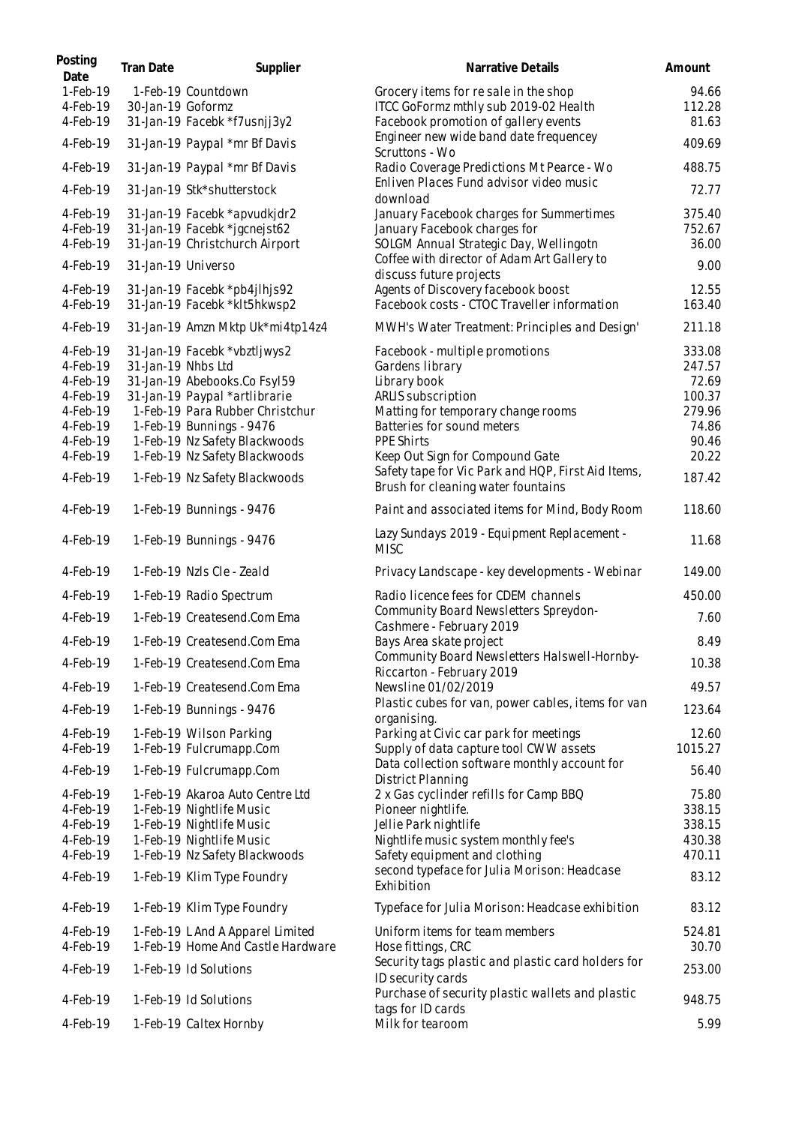| Posting<br>Date      | Tran Date          | Supplier                                                     | <b>Narrative Details</b>                                                                 | Amount          |
|----------------------|--------------------|--------------------------------------------------------------|------------------------------------------------------------------------------------------|-----------------|
| 1-Feb-19             |                    | 1-Feb-19 Countdown                                           | Grocery items for resale in the shop                                                     | 94.66           |
| 4-Feb-19             | 30-Jan-19 Goformz  |                                                              | ITCC GoFormz mthly sub 2019-02 Health                                                    | 112.28          |
| 4-Feb-19             |                    | 31-Jan-19 Facebk *f7usnjj3y2                                 | Facebook promotion of gallery events                                                     | 81.63           |
| 4-Feb-19             |                    | 31-Jan-19 Paypal *mr Bf Davis                                | Engineer new wide band date frequencey<br>Scruttons - Wo                                 | 409.69          |
| 4-Feb-19             |                    | 31-Jan-19 Paypal *mr Bf Davis                                | Radio Coverage Predictions Mt Pearce - Wo                                                | 488.75          |
| 4-Feb-19             |                    | 31-Jan-19 Stk*shutterstock                                   | Enliven Places Fund advisor video music<br>download                                      | 72.77           |
| 4-Feb-19             |                    | 31-Jan-19 Facebk *apvudkjdr2                                 | January Facebook charges for Summertimes                                                 | 375.40          |
| 4-Feb-19             |                    | 31-Jan-19 Facebk *jgcnejst62                                 | January Facebook charges for                                                             | 752.67          |
| 4-Feb-19             |                    | 31-Jan-19 Christchurch Airport                               | SOLGM Annual Strategic Day, Wellingotn<br>Coffee with director of Adam Art Gallery to    | 36.00           |
| 4-Feb-19             | 31-Jan-19 Universo |                                                              | discuss future projects                                                                  | 9.00            |
| 4-Feb-19<br>4-Feb-19 |                    | 31-Jan-19 Facebk *pb4jlhjs92<br>31-Jan-19 Facebk *klt5hkwsp2 | Agents of Discovery facebook boost<br>Facebook costs - CTOC Traveller information        | 12.55<br>163.40 |
| 4-Feb-19             |                    | 31-Jan-19 Amzn Mktp Uk*mi4tp14z4                             | MWH's Water Treatment: Principles and Design'                                            | 211.18          |
| 4-Feb-19             |                    | 31-Jan-19 Facebk *vbztljwys2                                 |                                                                                          | 333.08          |
| 4-Feb-19             | 31-Jan-19 Nhbs Ltd |                                                              | Facebook - multiple promotions<br>Gardens library                                        | 247.57          |
| 4-Feb-19             |                    | 31-Jan-19 Abebooks.Co Fsyl59                                 | Library book                                                                             | 72.69           |
| 4-Feb-19             |                    | 31-Jan-19 Paypal *artlibrarie                                | ARLIS subscription                                                                       | 100.37          |
| 4-Feb-19             |                    | 1-Feb-19 Para Rubber Christchur                              | Matting for temporary change rooms                                                       | 279.96          |
| 4-Feb-19             |                    | 1-Feb-19 Bunnings - 9476                                     | Batteries for sound meters                                                               | 74.86           |
| 4-Feb-19             |                    | 1-Feb-19 Nz Safety Blackwoods                                | PPE Shirts                                                                               | 90.46           |
| 4-Feb-19             |                    | 1-Feb-19 Nz Safety Blackwoods                                | Keep Out Sign for Compound Gate                                                          | 20.22           |
| 4-Feb-19             |                    | 1-Feb-19 Nz Safety Blackwoods                                | Safety tape for Vic Park and HQP, First Aid Items,<br>Brush for cleaning water fountains | 187.42          |
| 4-Feb-19             |                    | 1-Feb-19 Bunnings - 9476                                     | Paint and associated items for Mind, Body Room                                           | 118.60          |
| 4-Feb-19             |                    | 1-Feb-19 Bunnings - 9476                                     | Lazy Sundays 2019 - Equipment Replacement -<br><b>MISC</b>                               | 11.68           |
| 4-Feb-19             |                    | 1-Feb-19 Nzls Cle - Zeald                                    | Privacy Landscape - key developments - Webinar                                           | 149.00          |
| 4-Feb-19             |                    | 1-Feb-19 Radio Spectrum                                      | Radio licence fees for CDEM channels                                                     | 450.00          |
| 4-Feb-19             |                    | 1-Feb-19 Createsend.Com Ema                                  | Community Board Newsletters Spreydon-<br>Cashmere - February 2019                        | 7.60            |
| 4-Feb-19             |                    | 1-Feb-19 Createsend.Com Ema                                  | Bays Area skate project                                                                  | 8.49            |
| 4-Feb-19             |                    | 1-Feb-19 Createsend.Com Ema                                  | Community Board Newsletters Halswell-Hornby-<br>Riccarton - February 2019                | 10.38           |
| 4-Feb-19             |                    | 1-Feb-19 Createsend.Com Ema                                  | Newsline 01/02/2019                                                                      | 49.57           |
| 4-Feb-19             |                    | 1-Feb-19 Bunnings - 9476                                     | Plastic cubes for van, power cables, items for van<br>organising.                        | 123.64          |
| 4-Feb-19             |                    | 1-Feb-19 Wilson Parking                                      | Parking at Civic car park for meetings                                                   | 12.60           |
| 4-Feb-19             |                    | 1-Feb-19 Fulcrumapp.Com                                      | Supply of data capture tool CWW assets                                                   | 1015.27         |
| 4-Feb-19             |                    | 1-Feb-19 Fulcrumapp.Com                                      | Data collection software monthly account for<br>District Planning                        | 56.40           |
| 4-Feb-19             |                    | 1-Feb-19 Akaroa Auto Centre Ltd                              | 2 x Gas cyclinder refills for Camp BBQ                                                   | 75.80           |
| 4-Feb-19             |                    | 1-Feb-19 Nightlife Music                                     | Pioneer nightlife.                                                                       | 338.15          |
| 4-Feb-19             |                    | 1-Feb-19 Nightlife Music                                     | Jellie Park nightlife                                                                    | 338.15          |
| 4-Feb-19             |                    | 1-Feb-19 Nightlife Music                                     | Nightlife music system monthly fee's                                                     | 430.38          |
| 4-Feb-19             |                    | 1-Feb-19 Nz Safety Blackwoods                                | Safety equipment and clothing                                                            | 470.11          |
| 4-Feb-19             |                    | 1-Feb-19 Klim Type Foundry                                   | second typeface for Julia Morison: Headcase<br>Exhibition                                | 83.12           |
| 4-Feb-19             |                    | 1-Feb-19 Klim Type Foundry                                   | Typeface for Julia Morison: Headcase exhibition                                          | 83.12           |
| 4-Feb-19             |                    | 1-Feb-19 L And A Apparel Limited                             | Uniform items for team members                                                           | 524.81          |
| 4-Feb-19             |                    | 1-Feb-19 Home And Castle Hardware                            | Hose fittings, CRC                                                                       | 30.70           |
| 4-Feb-19             |                    | 1-Feb-19 Id Solutions                                        | Security tags plastic and plastic card holders for<br>ID security cards                  | 253.00          |
| 4-Feb-19             |                    | 1-Feb-19 Id Solutions                                        | Purchase of security plastic wallets and plastic<br>tags for ID cards                    | 948.75          |
| 4-Feb-19             |                    | 1-Feb-19 Caltex Hornby                                       | Milk for tearoom                                                                         | 5.99            |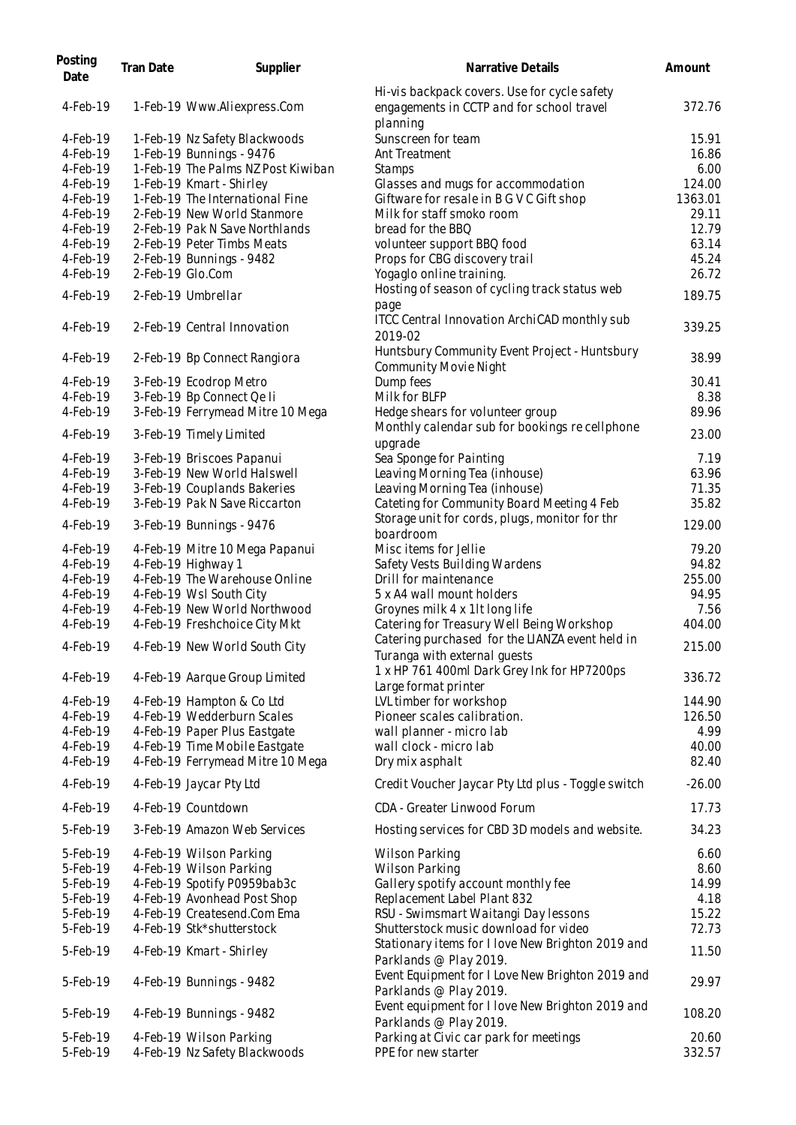| Posting<br>Date      | Tran Date | Supplier                                           | Narrative Details                                                                                     | Amount        |
|----------------------|-----------|----------------------------------------------------|-------------------------------------------------------------------------------------------------------|---------------|
| 4-Feb-19             |           | 1-Feb-19 Www.Aliexpress.Com                        | Hi-vis backpack covers. Use for cycle safety<br>engagements in CCTP and for school travel<br>planning | 372.76        |
| 4-Feb-19             |           | 1-Feb-19 Nz Safety Blackwoods                      | Sunscreen for team                                                                                    | 15.91         |
| 4-Feb-19             |           | 1-Feb-19 Bunnings - 9476                           | Ant Treatment                                                                                         | 16.86         |
| 4-Feb-19             |           | 1-Feb-19 The Palms NZ Post Kiwiban                 | Stamps                                                                                                | 6.00          |
| 4-Feb-19             |           | 1-Feb-19 Kmart - Shirley                           | Glasses and mugs for accommodation                                                                    | 124.00        |
| 4-Feb-19             |           | 1-Feb-19 The International Fine                    | Giftware for resale in B G V C Gift shop                                                              | 1363.01       |
| 4-Feb-19             |           | 2-Feb-19 New World Stanmore                        | Milk for staff smoko room                                                                             | 29.11         |
| 4-Feb-19             |           | 2-Feb-19 Pak N Save Northlands                     | bread for the BBQ                                                                                     | 12.79         |
| 4-Feb-19             |           | 2-Feb-19 Peter Timbs Meats                         | volunteer support BBQ food                                                                            | 63.14         |
| 4-Feb-19             |           | 2-Feb-19 Bunnings - 9482                           | Props for CBG discovery trail                                                                         | 45.24         |
| 4-Feb-19             |           | 2-Feb-19 Glo.Com                                   | Yogaglo online training.                                                                              | 26.72         |
| 4-Feb-19             |           | 2-Feb-19 Umbrellar                                 | Hosting of season of cycling track status web<br>page                                                 | 189.75        |
| 4-Feb-19             |           | 2-Feb-19 Central Innovation                        | ITCC Central Innovation ArchiCAD monthly sub<br>2019-02                                               | 339.25        |
| 4-Feb-19             |           | 2-Feb-19 Bp Connect Rangiora                       | Huntsbury Community Event Project - Huntsbury<br><b>Community Movie Night</b>                         | 38.99         |
| 4-Feb-19             |           | 3-Feb-19 Ecodrop Metro                             | Dump fees                                                                                             | 30.41         |
| 4-Feb-19             |           | 3-Feb-19 Bp Connect Qe li                          | Milk for BLFP                                                                                         | 8.38          |
| 4-Feb-19             |           | 3-Feb-19 Ferrymead Mitre 10 Mega                   | Hedge shears for volunteer group                                                                      | 89.96         |
| 4-Feb-19             |           | 3-Feb-19 Timely Limited                            | Monthly calendar sub for bookings recellphone<br>upgrade                                              | 23.00         |
| $4$ -Feb-19          |           | 3-Feb-19 Briscoes Papanui                          | Sea Sponge for Painting                                                                               | 7.19          |
| 4-Feb-19             |           | 3-Feb-19 New World Halswell                        | Leaving Morning Tea (inhouse)                                                                         | 63.96         |
| 4-Feb-19             |           | 3-Feb-19 Couplands Bakeries                        | Leaving Morning Tea (inhouse)                                                                         | 71.35         |
| 4-Feb-19             |           | 3-Feb-19 Pak N Save Riccarton                      | Cateting for Community Board Meeting 4 Feb                                                            | 35.82         |
| 4-Feb-19             |           | 3-Feb-19 Bunnings - 9476                           | Storage unit for cords, plugs, monitor for thr<br>boardroom                                           | 129.00        |
| 4-Feb-19             |           | 4-Feb-19 Mitre 10 Mega Papanui                     | Misc items for Jellie                                                                                 | 79.20         |
| 4-Feb-19             |           | 4-Feb-19 Highway 1                                 | Safety Vests Building Wardens                                                                         | 94.82         |
| 4-Feb-19             |           | 4-Feb-19 The Warehouse Online                      | Drill for maintenance                                                                                 | 255.00        |
| 4-Feb-19             |           | 4-Feb-19 Wsl South City                            | 5 x A4 wall mount holders                                                                             | 94.95         |
| 4-Feb-19             |           | 4-Feb-19 New World Northwood                       | Groynes milk 4 x 1lt long life                                                                        | 7.56          |
| 4-Feb-19             |           | 4-Feb-19 Freshchoice City Mkt                      | Catering for Treasury Well Being Workshop                                                             | 404.00        |
| 4-Feb-19             |           | 4-Feb-19 New World South City                      | Catering purchased for the LIANZA event held in<br>Turanga with external guests                       | 215.00        |
| 4-Feb-19             |           | 4-Feb-19 Aarque Group Limited                      | 1 x HP 761 400ml Dark Grey Ink for HP7200ps<br>Large format printer                                   | 336.72        |
| 4-Feb-19             |           | 4-Feb-19 Hampton & Co Ltd                          | LVL timber for workshop                                                                               | 144.90        |
| 4-Feb-19             |           | 4-Feb-19 Wedderburn Scales                         | Pioneer scales calibration.                                                                           | 126.50        |
| 4-Feb-19             |           | 4-Feb-19 Paper Plus Eastgate                       | wall planner - micro lab                                                                              | 4.99          |
| 4-Feb-19             |           | 4-Feb-19 Time Mobile Eastgate                      | wall clock - micro lab                                                                                | 40.00         |
| 4-Feb-19             |           | 4-Feb-19 Ferrymead Mitre 10 Mega                   | Dry mix asphalt                                                                                       | 82.40         |
| 4-Feb-19             |           | 4-Feb-19 Jaycar Pty Ltd                            | Credit Voucher Jaycar Pty Ltd plus - Toggle switch                                                    | $-26.00$      |
| 4-Feb-19             |           | 4-Feb-19 Countdown                                 | CDA - Greater Linwood Forum                                                                           | 17.73         |
| 5-Feb-19             |           | 3-Feb-19 Amazon Web Services                       | Hosting services for CBD 3D models and website.                                                       | 34.23         |
| 5-Feb-19             |           | 4-Feb-19 Wilson Parking<br>4-Feb-19 Wilson Parking | <b>Wilson Parking</b>                                                                                 | 6.60          |
| 5-Feb-19<br>5-Feb-19 |           | 4-Feb-19 Spotify P0959bab3c                        | <b>Wilson Parking</b>                                                                                 | 8.60<br>14.99 |
| 5-Feb-19             |           | 4-Feb-19 Avonhead Post Shop                        | Gallery spotify account monthly fee<br>Replacement Label Plant 832                                    | 4.18          |
| 5-Feb-19             |           | 4-Feb-19 Createsend.Com Ema                        | RSU - Swimsmart Waitangi Day lessons                                                                  | 15.22         |
| 5-Feb-19             |           | 4-Feb-19 Stk*shutterstock                          | Shutterstock music download for video                                                                 | 72.73         |
| 5-Feb-19             |           | 4-Feb-19 Kmart - Shirley                           | Stationary items for I love New Brighton 2019 and<br>Parklands @ Play 2019.                           | 11.50         |
|                      |           |                                                    | Event Equipment for I Love New Brighton 2019 and                                                      |               |
| 5-Feb-19             |           | 4-Feb-19 Bunnings - 9482                           | Parklands @ Play 2019.                                                                                | 29.97         |
| 5-Feb-19             |           | 4-Feb-19 Bunnings - 9482                           | Event equipment for I love New Brighton 2019 and<br>Parklands @ Play 2019.                            | 108.20        |
| 5-Feb-19             |           | 4-Feb-19 Wilson Parking                            | Parking at Civic car park for meetings                                                                | 20.60         |
| 5-Feb-19             |           | 4-Feb-19 Nz Safety Blackwoods                      | PPE for new starter                                                                                   | 332.57        |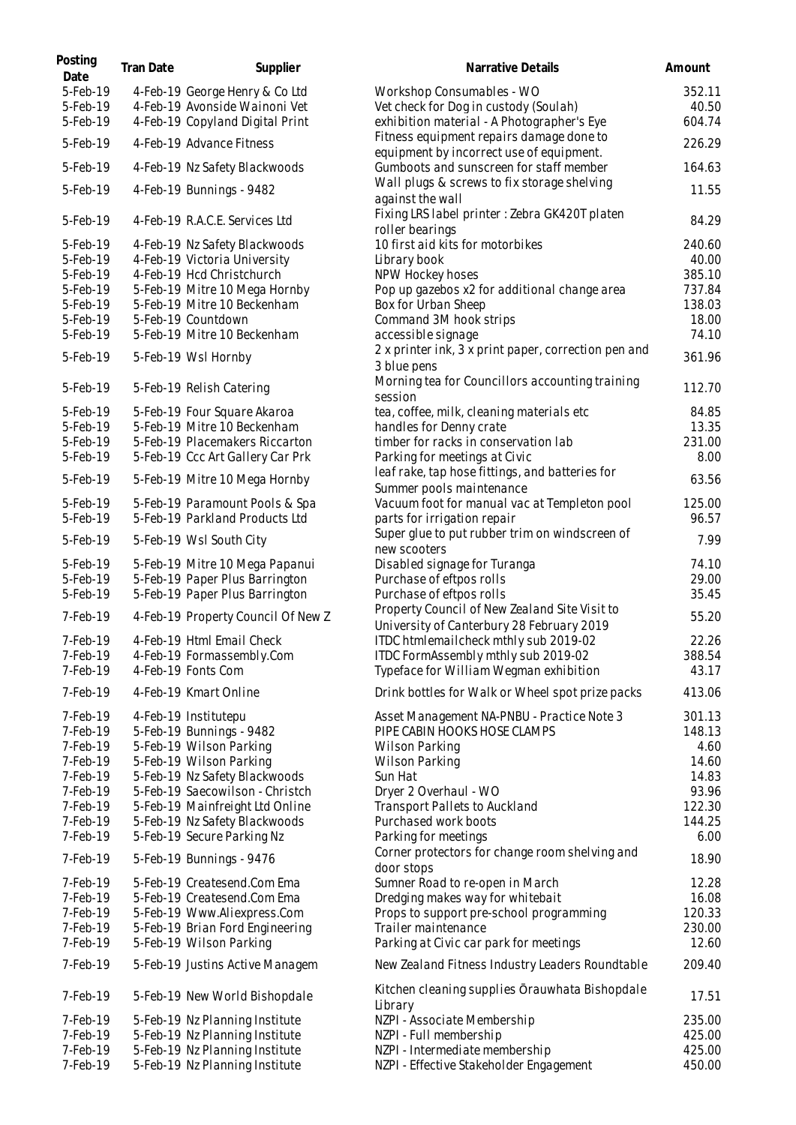| Posting<br>Date | Tran Date | Supplier                           | Narrative Details                                                           | Amount |
|-----------------|-----------|------------------------------------|-----------------------------------------------------------------------------|--------|
| 5-Feb-19        |           | 4-Feb-19 George Henry & Co Ltd     | Workshop Consumables - WO                                                   | 352.11 |
| 5-Feb-19        |           | 4-Feb-19 Avonside Wainoni Vet      | Vet check for Dog in custody (Soulah)                                       | 40.50  |
| 5-Feb-19        |           | 4-Feb-19 Copyland Digital Print    | exhibition material - A Photographer's Eye                                  | 604.74 |
|                 |           |                                    | Fitness equipment repairs damage done to                                    |        |
| 5-Feb-19        |           | 4-Feb-19 Advance Fitness           | equipment by incorrect use of equipment.                                    | 226.29 |
| 5-Feb-19        |           | 4-Feb-19 Nz Safety Blackwoods      | Gumboots and sunscreen for staff member                                     | 164.63 |
| 5-Feb-19        |           | 4-Feb-19 Bunnings - 9482           | Wall plugs & screws to fix storage shelving<br>against the wall             | 11.55  |
| 5-Feb-19        |           | 4-Feb-19 R.A.C.E. Services Ltd     | Fixing LRS label printer: Zebra GK420T platen<br>roller bearings            | 84.29  |
| 5-Feb-19        |           | 4-Feb-19 Nz Safety Blackwoods      | 10 first aid kits for motorbikes                                            | 240.60 |
| 5-Feb-19        |           | 4-Feb-19 Victoria University       | Library book                                                                | 40.00  |
| 5-Feb-19        |           | 4-Feb-19 Hcd Christchurch          | NPW Hockey hoses                                                            | 385.10 |
| 5-Feb-19        |           | 5-Feb-19 Mitre 10 Mega Hornby      | Pop up gazebos x2 for additional change area                                | 737.84 |
| 5-Feb-19        |           | 5-Feb-19 Mitre 10 Beckenham        | Box for Urban Sheep                                                         | 138.03 |
| 5-Feb-19        |           | 5-Feb-19 Countdown                 | Command 3M hook strips                                                      | 18.00  |
| 5-Feb-19        |           | 5-Feb-19 Mitre 10 Beckenham        | accessible signage                                                          | 74.10  |
| 5-Feb-19        |           | 5-Feb-19 Wsl Hornby                | 2 x printer ink, 3 x print paper, correction pen and<br>3 blue pens         | 361.96 |
| 5-Feb-19        |           | 5-Feb-19 Relish Catering           | Morning tea for Councillors accounting training<br>session                  | 112.70 |
| 5-Feb-19        |           | 5-Feb-19 Four Square Akaroa        | tea, coffee, milk, cleaning materials etc                                   | 84.85  |
|                 |           | 5-Feb-19 Mitre 10 Beckenham        |                                                                             |        |
| 5-Feb-19        |           |                                    | handles for Denny crate                                                     | 13.35  |
| 5-Feb-19        |           | 5-Feb-19 Placemakers Riccarton     | timber for racks in conservation lab                                        | 231.00 |
| 5-Feb-19        |           | 5-Feb-19 Ccc Art Gallery Car Prk   | Parking for meetings at Civic                                               | 8.00   |
| 5-Feb-19        |           | 5-Feb-19 Mitre 10 Mega Hornby      | leaf rake, tap hose fittings, and batteries for<br>Summer pools maintenance | 63.56  |
| 5-Feb-19        |           | 5-Feb-19 Paramount Pools & Spa     | Vacuum foot for manual vac at Templeton pool                                | 125.00 |
| 5-Feb-19        |           | 5-Feb-19 Parkland Products Ltd     | parts for irrigation repair                                                 | 96.57  |
| 5-Feb-19        |           | 5-Feb-19 Wsl South City            | Super glue to put rubber trim on windscreen of<br>new scooters              | 7.99   |
| 5-Feb-19        |           | 5-Feb-19 Mitre 10 Mega Papanui     | Disabled signage for Turanga                                                | 74.10  |
| 5-Feb-19        |           | 5-Feb-19 Paper Plus Barrington     | Purchase of eftpos rolls                                                    | 29.00  |
| 5-Feb-19        |           | 5-Feb-19 Paper Plus Barrington     | Purchase of eftpos rolls                                                    | 35.45  |
|                 |           |                                    | Property Council of New Zealand Site Visit to                               |        |
| 7-Feb-19        |           | 4-Feb-19 Property Council Of New Z | University of Canterbury 28 February 2019                                   | 55.20  |
| 7-Feb-19        |           | 4-Feb-19 Html Email Check          | ITDC htmlemailcheck mthly sub 2019-02                                       | 22.26  |
| 7-Feb-19        |           | 4-Feb-19 Formassembly.Com          | ITDC FormAssembly mthly sub 2019-02                                         | 388.54 |
| 7-Feb-19        |           | 4-Feb-19 Fonts Com                 | Typeface for William Wegman exhibition                                      | 43.17  |
| 7-Feb-19        |           | 4-Feb-19 Kmart Online              | Drink bottles for Walk or Wheel spot prize packs                            | 413.06 |
| 7-Feb-19        |           | 4-Feb-19 Institutepu               | Asset Management NA-PNBU - Practice Note 3                                  | 301.13 |
| 7-Feb-19        |           | 5-Feb-19 Bunnings - 9482           | PIPE CABIN HOOKS HOSE CLAMPS                                                | 148.13 |
| 7-Feb-19        |           | 5-Feb-19 Wilson Parking            | <b>Wilson Parking</b>                                                       | 4.60   |
| 7-Feb-19        |           | 5-Feb-19 Wilson Parking            | Wilson Parking                                                              | 14.60  |
| 7-Feb-19        |           | 5-Feb-19 Nz Safety Blackwoods      | Sun Hat                                                                     | 14.83  |
| 7-Feb-19        |           | 5-Feb-19 Saecowilson - Christch    | Dryer 2 Overhaul - WO                                                       | 93.96  |
| 7-Feb-19        |           | 5-Feb-19 Mainfreight Ltd Online    | Transport Pallets to Auckland                                               | 122.30 |
| 7-Feb-19        |           | 5-Feb-19 Nz Safety Blackwoods      | Purchased work boots                                                        | 144.25 |
| 7-Feb-19        |           | 5-Feb-19 Secure Parking Nz         | Parking for meetings                                                        | 6.00   |
| 7-Feb-19        |           | 5-Feb-19 Bunnings - 9476           | Corner protectors for change room shelving and<br>door stops                | 18.90  |
| 7-Feb-19        |           | 5-Feb-19 Createsend.Com Ema        | Sumner Road to re-open in March                                             | 12.28  |
| 7-Feb-19        |           | 5-Feb-19 Createsend.Com Ema        | Dredging makes way for whitebait                                            | 16.08  |
| 7-Feb-19        |           | 5-Feb-19 Www.Aliexpress.Com        | Props to support pre-school programming                                     | 120.33 |
| 7-Feb-19        |           | 5-Feb-19 Brian Ford Engineering    | Trailer maintenance                                                         | 230.00 |
| 7-Feb-19        |           | 5-Feb-19 Wilson Parking            | Parking at Civic car park for meetings                                      | 12.60  |
| 7-Feb-19        |           | 5-Feb-19 Justins Active Managem    | New Zealand Fitness Industry Leaders Roundtable                             | 209.40 |
| 7-Feb-19        |           | 5-Feb-19 New World Bishopdale      | Kitchen cleaning supplies Orauwhata Bishopdale<br>Library                   | 17.51  |
| 7-Feb-19        |           | 5-Feb-19 Nz Planning Institute     | NZPI - Associate Membership                                                 | 235.00 |
| 7-Feb-19        |           | 5-Feb-19 Nz Planning Institute     | NZPI - Full membership                                                      | 425.00 |
| 7-Feb-19        |           | 5-Feb-19 Nz Planning Institute     | NZPI - Intermediate membership                                              | 425.00 |
| 7-Feb-19        |           | 5-Feb-19 Nz Planning Institute     | NZPI - Effective Stakeholder Engagement                                     | 450.00 |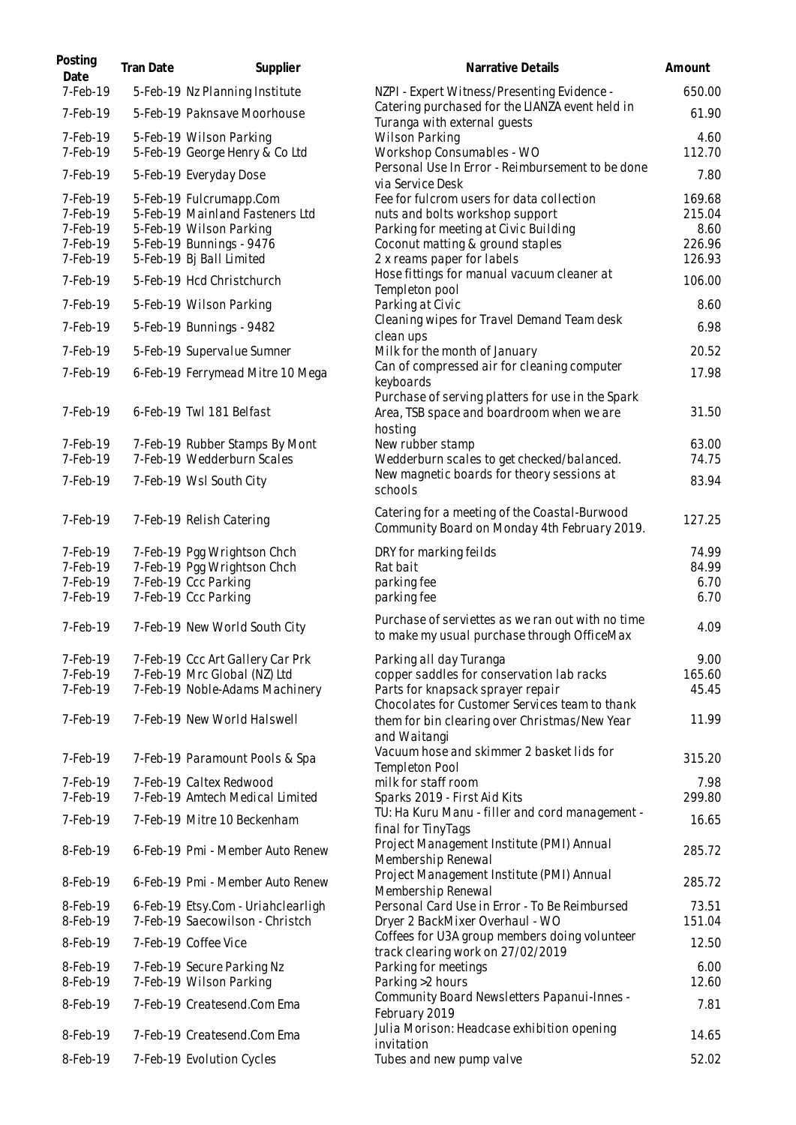| Posting<br>Date                                          | Tran Date | Supplier                                                                                                                                      | Narrative Details                                                                                                                                                                       | Amount                                       |
|----------------------------------------------------------|-----------|-----------------------------------------------------------------------------------------------------------------------------------------------|-----------------------------------------------------------------------------------------------------------------------------------------------------------------------------------------|----------------------------------------------|
| 7-Feb-19                                                 |           | 5-Feb-19 Nz Planning Institute                                                                                                                | NZPI - Expert Witness/Presenting Evidence -                                                                                                                                             | 650.00                                       |
| 7-Feb-19                                                 |           | 5-Feb-19 Paknsave Moorhouse                                                                                                                   | Catering purchased for the LIANZA event held in<br>Turanga with external quests                                                                                                         | 61.90                                        |
| 7-Feb-19<br>7-Feb-19                                     |           | 5-Feb-19 Wilson Parking<br>5-Feb-19 George Henry & Co Ltd                                                                                     | <b>Wilson Parking</b><br>Workshop Consumables - WO                                                                                                                                      | 4.60<br>112.70                               |
| 7-Feb-19                                                 |           | 5-Feb-19 Everyday Dose                                                                                                                        | Personal Use In Error - Reimbursement to be done<br>via Service Desk                                                                                                                    | 7.80                                         |
| 7-Feb-19<br>7-Feb-19<br>7-Feb-19<br>7-Feb-19<br>7-Feb-19 |           | 5-Feb-19 Fulcrumapp.Com<br>5-Feb-19 Mainland Fasteners Ltd<br>5-Feb-19 Wilson Parking<br>5-Feb-19 Bunnings - 9476<br>5-Feb-19 Bj Ball Limited | Fee for fulcrom users for data collection<br>nuts and bolts workshop support<br>Parking for meeting at Civic Building<br>Coconut matting & ground staples<br>2 x reams paper for labels | 169.68<br>215.04<br>8.60<br>226.96<br>126.93 |
| 7-Feb-19                                                 |           | 5-Feb-19 Hcd Christchurch                                                                                                                     | Hose fittings for manual vacuum cleaner at<br>Templeton pool                                                                                                                            | 106.00                                       |
| 7-Feb-19                                                 |           | 5-Feb-19 Wilson Parking                                                                                                                       | Parking at Civic                                                                                                                                                                        | 8.60                                         |
| 7-Feb-19                                                 |           | 5-Feb-19 Bunnings - 9482                                                                                                                      | Cleaning wipes for Travel Demand Team desk<br>clean ups                                                                                                                                 | 6.98                                         |
| 7-Feb-19                                                 |           | 5-Feb-19 Supervalue Sumner                                                                                                                    | Milk for the month of January                                                                                                                                                           | 20.52                                        |
| 7-Feb-19                                                 |           | 6-Feb-19 Ferrymead Mitre 10 Mega                                                                                                              | Can of compressed air for cleaning computer<br>keyboards                                                                                                                                | 17.98                                        |
| 7-Feb-19                                                 |           | 6-Feb-19 Twl 181 Belfast                                                                                                                      | Purchase of serving platters for use in the Spark<br>Area, TSB space and boardroom when we are<br>hosting                                                                               | 31.50                                        |
| 7-Feb-19                                                 |           | 7-Feb-19 Rubber Stamps By Mont                                                                                                                | New rubber stamp                                                                                                                                                                        | 63.00                                        |
| 7-Feb-19                                                 |           | 7-Feb-19 Wedderburn Scales                                                                                                                    | Wedderburn scales to get checked/balanced.<br>New magnetic boards for theory sessions at                                                                                                | 74.75                                        |
| 7-Feb-19                                                 |           | 7-Feb-19 Wsl South City                                                                                                                       | schools                                                                                                                                                                                 | 83.94                                        |
| 7-Feb-19                                                 |           | 7-Feb-19 Relish Catering                                                                                                                      | Catering for a meeting of the Coastal-Burwood<br>Community Board on Monday 4th February 2019.                                                                                           | 127.25                                       |
| 7-Feb-19                                                 |           | 7-Feb-19 Pgg Wrightson Chch                                                                                                                   | DRY for marking feilds                                                                                                                                                                  | 74.99                                        |
| 7-Feb-19<br>7-Feb-19                                     |           | 7-Feb-19 Pgg Wrightson Chch<br>7-Feb-19 Ccc Parking                                                                                           | Rat bait<br>parking fee                                                                                                                                                                 | 84.99<br>6.70                                |
| 7-Feb-19                                                 |           | 7-Feb-19 Ccc Parking                                                                                                                          | parking fee                                                                                                                                                                             | 6.70                                         |
| 7-Feb-19                                                 |           | 7-Feb-19 New World South City                                                                                                                 | Purchase of serviettes as we ran out with no time<br>to make my usual purchase through OfficeMax                                                                                        | 4.09                                         |
| 7-Feb-19<br>7-Feb-19<br>7-Feb-19                         |           | 7-Feb-19 Ccc Art Gallery Car Prk<br>7-Feb-19 Mrc Global (NZ) Ltd<br>7-Feb-19 Noble-Adams Machinery                                            | Parking all day Turanga<br>copper saddles for conservation lab racks<br>Parts for knapsack sprayer repair<br>Chocolates for Customer Services team to thank                             | 9.00<br>165.60<br>45.45                      |
| 7-Feb-19                                                 |           | 7-Feb-19 New World Halswell                                                                                                                   | them for bin clearing over Christmas/New Year<br>and Waitangi                                                                                                                           | 11.99                                        |
| 7-Feb-19                                                 |           | 7-Feb-19 Paramount Pools & Spa                                                                                                                | Vacuum hose and skimmer 2 basket lids for<br>Templeton Pool                                                                                                                             | 315.20                                       |
| 7-Feb-19<br>7-Feb-19                                     |           | 7-Feb-19 Caltex Redwood<br>7-Feb-19 Amtech Medical Limited                                                                                    | milk for staff room<br>Sparks 2019 - First Aid Kits                                                                                                                                     | 7.98<br>299.80                               |
| 7-Feb-19                                                 |           | 7-Feb-19 Mitre 10 Beckenham                                                                                                                   | TU: Ha Kuru Manu - filler and cord management -                                                                                                                                         | 16.65                                        |
| 8-Feb-19                                                 |           | 6-Feb-19 Pmi - Member Auto Renew                                                                                                              | final for TinyTags<br>Project Management Institute (PMI) Annual                                                                                                                         | 285.72                                       |
| 8-Feb-19                                                 |           | 6-Feb-19 Pmi - Member Auto Renew                                                                                                              | Membership Renewal<br>Project Management Institute (PMI) Annual                                                                                                                         | 285.72                                       |
| 8-Feb-19<br>8-Feb-19                                     |           | 6-Feb-19 Etsy.Com - Uriahclearligh<br>7-Feb-19 Saecowilson - Christch                                                                         | Membership Renewal<br>Personal Card Use in Error - To Be Reimbursed<br>Dryer 2 BackMixer Overhaul - WO                                                                                  | 73.51<br>151.04                              |
| 8-Feb-19                                                 |           | 7-Feb-19 Coffee Vice                                                                                                                          | Coffees for U3A group members doing volunteer                                                                                                                                           | 12.50                                        |
| 8-Feb-19                                                 |           | 7-Feb-19 Secure Parking Nz                                                                                                                    | track clearing work on 27/02/2019<br>Parking for meetings                                                                                                                               | 6.00                                         |
| 8-Feb-19                                                 |           | 7-Feb-19 Wilson Parking                                                                                                                       | Parking >2 hours                                                                                                                                                                        | 12.60                                        |
| 8-Feb-19                                                 |           | 7-Feb-19 Createsend.Com Ema                                                                                                                   | Community Board Newsletters Papanui-Innes -<br>February 2019                                                                                                                            | 7.81                                         |
| 8-Feb-19                                                 |           | 7-Feb-19 Createsend.Com Ema                                                                                                                   | Julia Morison: Headcase exhibition opening<br>invitation                                                                                                                                | 14.65                                        |
| 8-Feb-19                                                 |           | 7-Feb-19 Evolution Cycles                                                                                                                     | Tubes and new pump valve                                                                                                                                                                | 52.02                                        |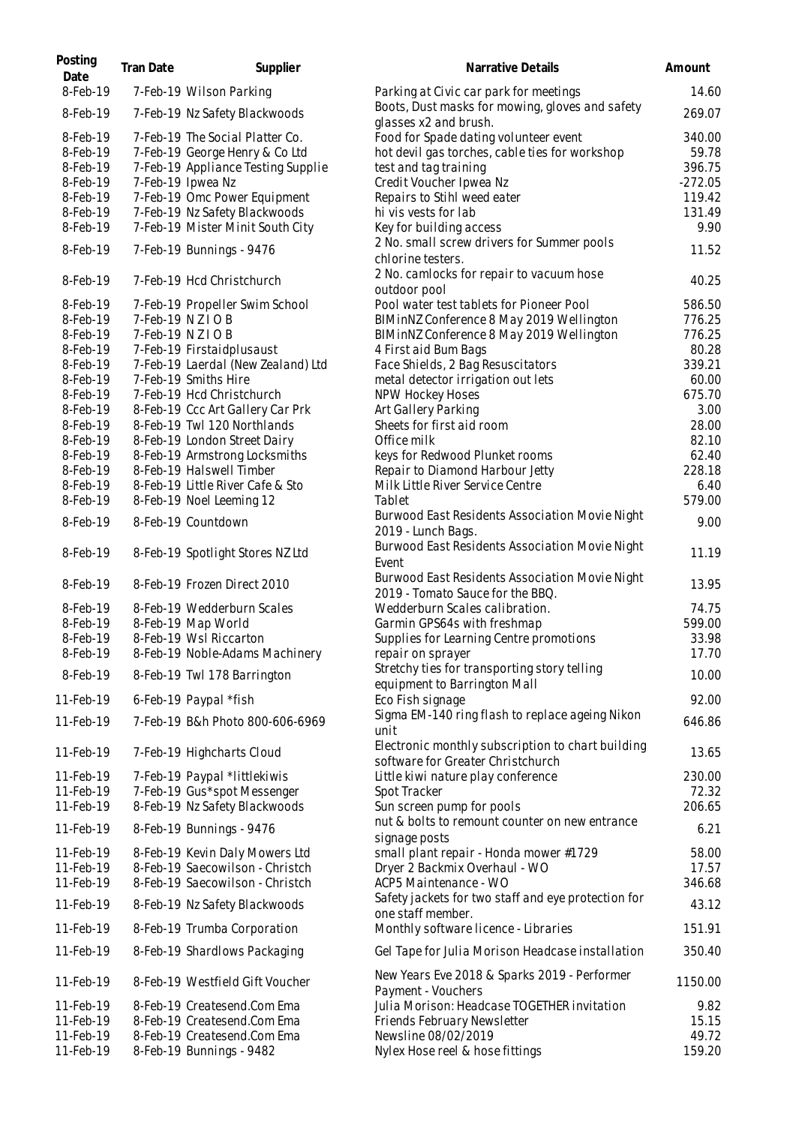| Posting<br>Date      | Tran Date | Supplier                                                  | Narrative Details                                                                      | Amount         |
|----------------------|-----------|-----------------------------------------------------------|----------------------------------------------------------------------------------------|----------------|
| 8-Feb-19             |           | 7-Feb-19 Wilson Parking                                   | Parking at Civic car park for meetings                                                 | 14.60          |
| 8-Feb-19             |           | 7-Feb-19 Nz Safety Blackwoods                             | Boots, Dust masks for mowing, gloves and safety<br>glasses x2 and brush.               | 269.07         |
| 8-Feb-19             |           | 7-Feb-19 The Social Platter Co.                           | Food for Spade dating volunteer event                                                  | 340.00         |
| 8-Feb-19             |           | 7-Feb-19 George Henry & Co Ltd                            | hot devil gas torches, cable ties for workshop                                         | 59.78          |
| 8-Feb-19             |           | 7-Feb-19 Appliance Testing Supplie                        | test and tag training                                                                  | 396.75         |
| 8-Feb-19             |           | 7-Feb-19 Ipwea Nz                                         | Credit Voucher Ipwea Nz                                                                | $-272.05$      |
| 8-Feb-19             |           | 7-Feb-19 Omc Power Equipment                              | Repairs to Stihl weed eater                                                            | 119.42         |
| 8-Feb-19             |           | 7-Feb-19 Nz Safety Blackwoods                             | hi vis vests for lab                                                                   | 131.49         |
| 8-Feb-19             |           | 7-Feb-19 Mister Minit South City                          | Key for building access                                                                | 9.90           |
| 8-Feb-19             |           | 7-Feb-19 Bunnings - 9476                                  | 2 No. small screw drivers for Summer pools<br>chlorine testers.                        | 11.52          |
| 8-Feb-19             |           | 7-Feb-19 Hcd Christchurch                                 | 2 No. camlocks for repair to vacuum hose<br>outdoor pool                               | 40.25          |
| 8-Feb-19             |           | 7-Feb-19 Propeller Swim School                            | Pool water test tablets for Pioneer Pool                                               | 586.50         |
| 8-Feb-19             |           | 7-Feb-19 NZIOB                                            | BIMinNZ Conference 8 May 2019 Wellington                                               | 776.25         |
| 8-Feb-19             |           | 7-Feb-19 NZIOB                                            | BIMinNZ Conference 8 May 2019 Wellington                                               | 776.25         |
| 8-Feb-19             |           | 7-Feb-19 Firstaidplusaust                                 | 4 First aid Bum Bags                                                                   | 80.28          |
| 8-Feb-19             |           | 7-Feb-19 Laerdal (New Zealand) Ltd                        | Face Shields, 2 Bag Resuscitators                                                      | 339.21         |
| 8-Feb-19             |           | 7-Feb-19 Smiths Hire                                      | metal detector irrigation out lets                                                     | 60.00          |
| 8-Feb-19             |           | 7-Feb-19 Hcd Christchurch                                 | NPW Hockey Hoses                                                                       | 675.70         |
| 8-Feb-19             |           | 8-Feb-19 Ccc Art Gallery Car Prk                          | Art Gallery Parking                                                                    | 3.00           |
| 8-Feb-19             |           | 8-Feb-19 Twl 120 Northlands                               | Sheets for first aid room                                                              | 28.00          |
| 8-Feb-19             |           | 8-Feb-19 London Street Dairy                              | Office milk                                                                            | 82.10<br>62.40 |
| 8-Feb-19<br>8-Feb-19 |           | 8-Feb-19 Armstrong Locksmiths<br>8-Feb-19 Halswell Timber | keys for Redwood Plunket rooms<br>Repair to Diamond Harbour Jetty                      | 228.18         |
| 8-Feb-19             |           | 8-Feb-19 Little River Cafe & Sto                          | Milk Little River Service Centre                                                       | 6.40           |
| 8-Feb-19             |           | 8-Feb-19 Noel Leeming 12                                  | Tablet                                                                                 | 579.00         |
| 8-Feb-19             |           | 8-Feb-19 Countdown                                        | Burwood East Residents Association Movie Night                                         | 9.00           |
| 8-Feb-19             |           | 8-Feb-19 Spotlight Stores NZ Ltd                          | 2019 - Lunch Bags.<br>Burwood East Residents Association Movie Night<br>Event          | 11.19          |
| 8-Feb-19             |           | 8-Feb-19 Frozen Direct 2010                               | Burwood East Residents Association Movie Night<br>2019 - Tomato Sauce for the BBQ.     | 13.95          |
| 8-Feb-19             |           | 8-Feb-19 Wedderburn Scales                                | Wedderburn Scales calibration.                                                         | 74.75          |
| 8-Feb-19             |           | 8-Feb-19 Map World                                        | Garmin GPS64s with freshmap                                                            | 599.00         |
| 8-Feb-19             |           | 8-Feb-19 Wsl Riccarton                                    | Supplies for Learning Centre promotions                                                | 33.98          |
| 8-Feb-19             |           | 8-Feb-19 Noble-Adams Machinery                            | repair on sprayer                                                                      | 17.70          |
| 8-Feb-19             |           | 8-Feb-19 Twl 178 Barrington                               | Stretchy ties for transporting story telling<br>equipment to Barrington Mall           | 10.00          |
| 11-Feb-19            |           | 6-Feb-19 Paypal *fish                                     | Eco Fish signage                                                                       | 92.00          |
| 11-Feb-19            |           | 7-Feb-19 B&h Photo 800-606-6969                           | Sigma EM-140 ring flash to replace ageing Nikon<br>unit                                | 646.86         |
| 11-Feb-19            |           | 7-Feb-19 Highcharts Cloud                                 | Electronic monthly subscription to chart building<br>software for Greater Christchurch | 13.65          |
| 11-Feb-19            |           | 7-Feb-19 Paypal *littlekiwis                              | Little kiwi nature play conference                                                     | 230.00         |
| 11-Feb-19            |           | 7-Feb-19 Gus*spot Messenger                               | Spot Tracker                                                                           | 72.32          |
| 11-Feb-19            |           | 8-Feb-19 Nz Safety Blackwoods                             | Sun screen pump for pools                                                              | 206.65         |
| 11-Feb-19            |           | 8-Feb-19 Bunnings - 9476                                  | nut & bolts to remount counter on new entrance<br>signage posts                        | 6.21           |
| 11-Feb-19            |           | 8-Feb-19 Kevin Daly Mowers Ltd                            | small plant repair - Honda mower #1729                                                 | 58.00          |
| 11-Feb-19            |           | 8-Feb-19 Saecowilson - Christch                           | Dryer 2 Backmix Overhaul - WO                                                          | 17.57          |
| 11-Feb-19            |           | 8-Feb-19 Saecowilson - Christch                           | ACP5 Maintenance - WO                                                                  | 346.68         |
| 11-Feb-19            |           | 8-Feb-19 Nz Safety Blackwoods                             | Safety jackets for two staff and eye protection for<br>one staff member.               | 43.12          |
| 11-Feb-19            |           | 8-Feb-19 Trumba Corporation                               | Monthly software licence - Libraries                                                   | 151.91         |
| 11-Feb-19            |           | 8-Feb-19 Shardlows Packaging                              | Gel Tape for Julia Morison Headcase installation                                       | 350.40         |
| 11-Feb-19            |           | 8-Feb-19 Westfield Gift Voucher                           | New Years Eve 2018 & Sparks 2019 - Performer<br>Payment - Vouchers                     | 1150.00        |
| 11-Feb-19            |           | 8-Feb-19 Createsend.Com Ema                               | Julia Morison: Headcase TOGETHER invitation                                            | 9.82           |
| 11-Feb-19            |           | 8-Feb-19 Createsend.Com Ema                               | Friends February Newsletter                                                            | 15.15          |
| 11-Feb-19            |           | 8-Feb-19 Createsend.Com Ema                               | Newsline 08/02/2019                                                                    | 49.72          |
| 11-Feb-19            |           | 8-Feb-19 Bunnings - 9482                                  | Nylex Hose reel & hose fittings                                                        | 159.20         |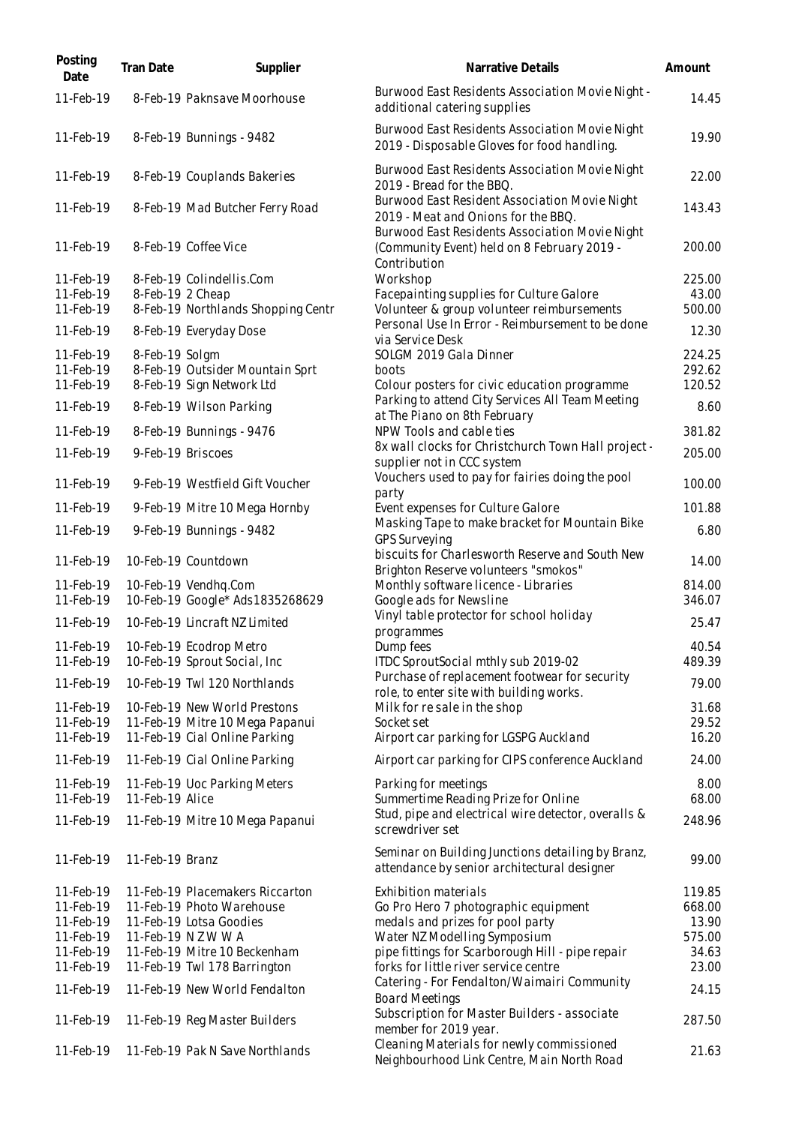| Posting<br>Date        | Tran Date        | Supplier                                                          | Narrative Details                                                                                             | Amount           |
|------------------------|------------------|-------------------------------------------------------------------|---------------------------------------------------------------------------------------------------------------|------------------|
| 11-Feb-19              |                  | 8-Feb-19 Paknsave Moorhouse                                       | Burwood East Residents Association Movie Night -<br>additional catering supplies                              | 14.45            |
| 11-Feb-19              |                  | 8-Feb-19 Bunnings - 9482                                          | Burwood East Residents Association Movie Night<br>2019 - Disposable Gloves for food handling.                 | 19.90            |
| 11-Feb-19              |                  | 8-Feb-19 Couplands Bakeries                                       | Burwood East Residents Association Movie Night<br>2019 - Bread for the BBQ.                                   | 22.00            |
| 11-Feb-19              |                  | 8-Feb-19 Mad Butcher Ferry Road                                   | Burwood East Resident Association Movie Night<br>2019 - Meat and Onions for the BBQ.                          | 143.43           |
| 11-Feb-19              |                  | 8-Feb-19 Coffee Vice                                              | Burwood East Residents Association Movie Night<br>(Community Event) held on 8 February 2019 -<br>Contribution | 200.00           |
| 11-Feb-19              |                  | 8-Feb-19 Colindellis.Com                                          | Workshop                                                                                                      | 225.00           |
| 11-Feb-19              | 8-Feb-19 2 Cheap |                                                                   | Facepainting supplies for Culture Galore                                                                      | 43.00            |
| 11-Feb-19              |                  | 8-Feb-19 Northlands Shopping Centr                                | Volunteer & group volunteer reimbursements                                                                    | 500.00           |
| 11-Feb-19              |                  | 8-Feb-19 Everyday Dose                                            | Personal Use In Error - Reimbursement to be done<br>via Service Desk                                          | 12.30            |
| 11-Feb-19              | 8-Feb-19 Solgm   |                                                                   | SOLGM 2019 Gala Dinner                                                                                        | 224.25           |
| 11-Feb-19              |                  | 8-Feb-19 Outsider Mountain Sprt                                   | boots                                                                                                         | 292.62           |
| 11-Feb-19              |                  | 8-Feb-19 Sign Network Ltd                                         | Colour posters for civic education programme                                                                  | 120.52           |
| 11-Feb-19              |                  | 8-Feb-19 Wilson Parking                                           | Parking to attend City Services All Team Meeting<br>at The Piano on 8th February                              | 8.60             |
| 11-Feb-19              |                  | 8-Feb-19 Bunnings - 9476                                          | NPW Tools and cable ties                                                                                      | 381.82           |
| 11-Feb-19              |                  | 9-Feb-19 Briscoes                                                 | 8x wall clocks for Christchurch Town Hall project -<br>supplier not in CCC system                             | 205.00           |
| 11-Feb-19              |                  | 9-Feb-19 Westfield Gift Voucher                                   | Vouchers used to pay for fairies doing the pool<br>party                                                      | 100.00           |
| 11-Feb-19              |                  | 9-Feb-19 Mitre 10 Mega Hornby                                     | Event expenses for Culture Galore                                                                             | 101.88           |
| 11-Feb-19              |                  | 9-Feb-19 Bunnings - 9482                                          | Masking Tape to make bracket for Mountain Bike<br><b>GPS Surveying</b>                                        | 6.80             |
| 11-Feb-19              |                  | 10-Feb-19 Countdown                                               | biscuits for Charlesworth Reserve and South New<br>Brighton Reserve volunteers "smokos"                       | 14.00            |
| 11-Feb-19<br>11-Feb-19 |                  | 10-Feb-19 Vendhq.Com<br>10-Feb-19 Google* Ads 1835268629          | Monthly software licence - Libraries<br>Google ads for Newsline                                               | 814.00<br>346.07 |
| 11-Feb-19              |                  | 10-Feb-19 Lincraft NZ Limited                                     | Vinyl table protector for school holiday<br>programmes                                                        | 25.47            |
| 11-Feb-19              |                  | 11-Feb-19 10-Feb-19 Ecodrop Metro<br>10-Feb-19 Sprout Social, Inc | Dump fees<br>ITDC SproutSocial mthly sub 2019-02                                                              | 40.54<br>489.39  |
| 11-Feb-19              |                  | 10-Feb-19 Twl 120 Northlands                                      | Purchase of replacement footwear for security<br>role, to enter site with building works.                     | 79.00            |
| 11-Feb-19              |                  | 10-Feb-19 New World Prestons                                      | Milk for resale in the shop                                                                                   | 31.68            |
| 11-Feb-19<br>11-Feb-19 |                  | 11-Feb-19 Mitre 10 Mega Papanui<br>11-Feb-19 Cial Online Parking  | Socket set<br>Airport car parking for LGSPG Auckland                                                          | 29.52<br>16.20   |
| 11-Feb-19              |                  | 11-Feb-19 Cial Online Parking                                     | Airport car parking for CIPS conference Auckland                                                              | 24.00            |
| 11-Feb-19              |                  | 11-Feb-19 Uoc Parking Meters                                      | Parking for meetings                                                                                          | 8.00             |
| 11-Feb-19<br>11-Feb-19 | 11-Feb-19 Alice  | 11-Feb-19 Mitre 10 Mega Papanui                                   | Summertime Reading Prize for Online<br>Stud, pipe and electrical wire detector, overalls &                    | 68.00<br>248.96  |
|                        |                  |                                                                   | screwdriver set                                                                                               |                  |
| 11-Feb-19              | 11-Feb-19 Branz  |                                                                   | Seminar on Building Junctions detailing by Branz,<br>attendance by senior architectural designer              | 99.00            |
| 11-Feb-19              |                  | 11-Feb-19 Placemakers Riccarton                                   | Exhibition materials                                                                                          | 119.85           |
| 11-Feb-19              |                  | 11-Feb-19 Photo Warehouse                                         | Go Pro Hero 7 photographic equipment                                                                          | 668.00           |
| 11-Feb-19              |                  | 11-Feb-19 Lotsa Goodies                                           | medals and prizes for pool party                                                                              | 13.90            |
| 11-Feb-19              |                  | 11-Feb-19 N Z W W A                                               | Water NZ Modelling Symposium                                                                                  | 575.00           |
| 11-Feb-19              |                  | 11-Feb-19 Mitre 10 Beckenham                                      | pipe fittings for Scarborough Hill - pipe repair                                                              | 34.63            |
| 11-Feb-19              |                  | 11-Feb-19 Twl 178 Barrington                                      | forks for little river service centre                                                                         | 23.00            |
| 11-Feb-19              |                  | 11-Feb-19 New World Fendalton                                     | Catering - For Fendalton/Waimairi Community<br><b>Board Meetings</b>                                          | 24.15            |
| 11-Feb-19              |                  | 11-Feb-19 Reg Master Builders                                     | Subscription for Master Builders - associate<br>member for 2019 year.                                         | 287.50           |
| 11-Feb-19              |                  | 11-Feb-19 Pak N Save Northlands                                   | Cleaning Materials for newly commissioned<br>Neighbourhood Link Centre, Main North Road                       | 21.63            |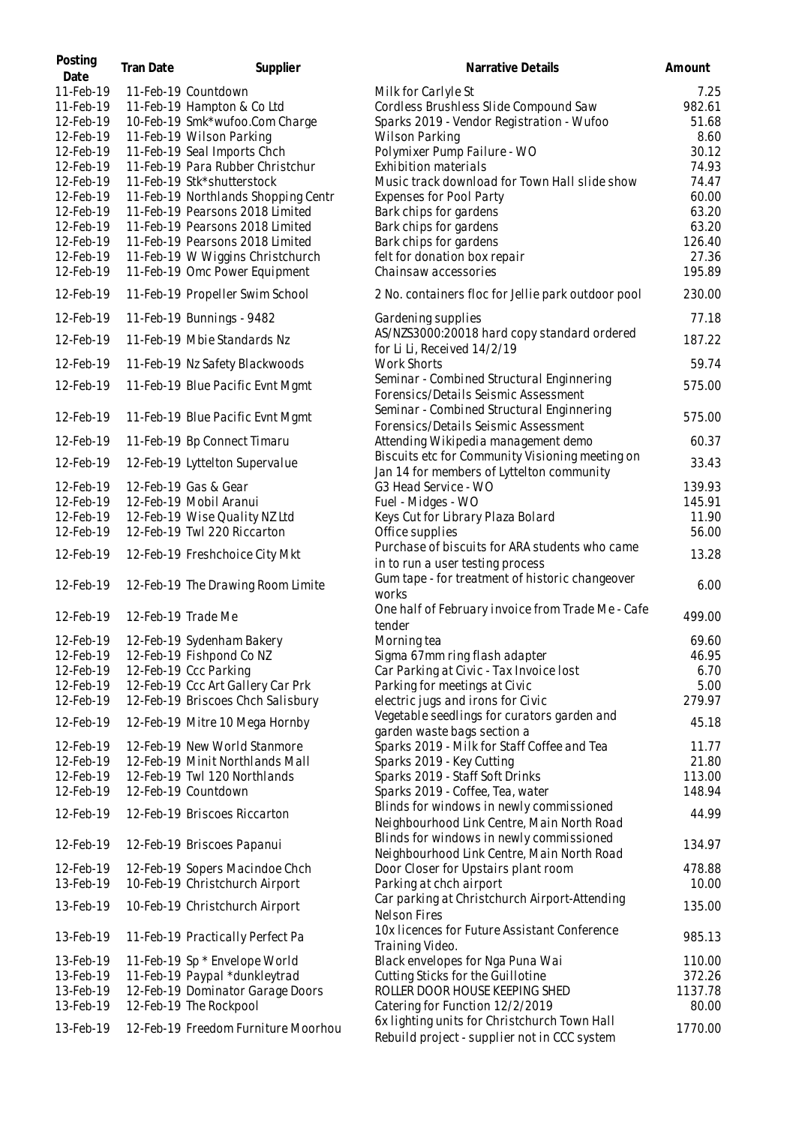| Posting<br>Date | Tran Date          | Supplier                            | Narrative Details                                                                            | Amount  |
|-----------------|--------------------|-------------------------------------|----------------------------------------------------------------------------------------------|---------|
| 11-Feb-19       |                    | 11-Feb-19 Countdown                 | Milk for Carlyle St                                                                          | 7.25    |
| 11-Feb-19       |                    | 11-Feb-19 Hampton & Co Ltd          | Cordless Brushless Slide Compound Saw                                                        | 982.61  |
| 12-Feb-19       |                    | 10-Feb-19 Smk*wufoo.Com Charge      | Sparks 2019 - Vendor Registration - Wufoo                                                    | 51.68   |
| 12-Feb-19       |                    | 11-Feb-19 Wilson Parking            | <b>Wilson Parking</b>                                                                        | 8.60    |
| 12-Feb-19       |                    | 11-Feb-19 Seal Imports Chch         | Polymixer Pump Failure - WO                                                                  | 30.12   |
| 12-Feb-19       |                    | 11-Feb-19 Para Rubber Christchur    | Exhibition materials                                                                         | 74.93   |
| 12-Feb-19       |                    | 11-Feb-19 Stk*shutterstock          | Music track download for Town Hall slide show                                                | 74.47   |
|                 |                    |                                     |                                                                                              |         |
| 12-Feb-19       |                    | 11-Feb-19 Northlands Shopping Centr | Expenses for Pool Party                                                                      | 60.00   |
| 12-Feb-19       |                    | 11-Feb-19 Pearsons 2018 Limited     | Bark chips for gardens                                                                       | 63.20   |
| 12-Feb-19       |                    | 11-Feb-19 Pearsons 2018 Limited     | Bark chips for gardens                                                                       | 63.20   |
| 12-Feb-19       |                    | 11-Feb-19 Pearsons 2018 Limited     | Bark chips for gardens                                                                       | 126.40  |
| 12-Feb-19       |                    | 11-Feb-19 W Wiggins Christchurch    | felt for donation box repair                                                                 | 27.36   |
| 12-Feb-19       |                    | 11-Feb-19 Omc Power Equipment       | Chainsaw accessories                                                                         | 195.89  |
| 12-Feb-19       |                    | 11-Feb-19 Propeller Swim School     | 2 No. containers floc for Jellie park outdoor pool                                           | 230.00  |
| 12-Feb-19       |                    | 11-Feb-19 Bunnings - 9482           | Gardening supplies                                                                           | 77.18   |
| 12-Feb-19       |                    | 11-Feb-19 Mbie Standards Nz         | AS/NZS3000:20018 hard copy standard ordered                                                  | 187.22  |
|                 |                    |                                     | for Li Li, Received 14/2/19                                                                  |         |
| 12-Feb-19       |                    | 11-Feb-19 Nz Safety Blackwoods      | <b>Work Shorts</b>                                                                           | 59.74   |
| 12-Feb-19       |                    | 11-Feb-19 Blue Pacific Evnt Mgmt    | Seminar - Combined Structural Enginnering                                                    | 575.00  |
|                 |                    |                                     | Forensics/Details Seismic Assessment                                                         |         |
| 12-Feb-19       |                    | 11-Feb-19 Blue Pacific Evnt Mgmt    | Seminar - Combined Structural Enginnering                                                    | 575.00  |
|                 |                    |                                     | Forensics/Details Seismic Assessment                                                         |         |
| 12-Feb-19       |                    | 11-Feb-19 Bp Connect Timaru         | Attending Wikipedia management demo                                                          | 60.37   |
| 12-Feb-19       |                    | 12-Feb-19 Lyttelton Supervalue      | Biscuits etc for Community Visioning meeting on<br>Jan 14 for members of Lyttelton community | 33.43   |
| 12-Feb-19       |                    | 12-Feb-19 Gas & Gear                | G3 Head Service - WO                                                                         | 139.93  |
| 12-Feb-19       |                    | 12-Feb-19 Mobil Aranui              | Fuel - Midges - WO                                                                           | 145.91  |
| 12-Feb-19       |                    | 12-Feb-19 Wise Quality NZ Ltd       |                                                                                              | 11.90   |
| 12-Feb-19       |                    | 12-Feb-19 Twl 220 Riccarton         | Keys Cut for Library Plaza Bolard                                                            | 56.00   |
|                 |                    |                                     | Office supplies<br>Purchase of biscuits for ARA students who came                            |         |
| 12-Feb-19       |                    | 12-Feb-19 Freshchoice City Mkt      | in to run a user testing process                                                             | 13.28   |
|                 |                    |                                     | Gum tape - for treatment of historic changeover                                              |         |
| 12-Feb-19       |                    | 12-Feb-19 The Drawing Room Limite   |                                                                                              | 6.00    |
|                 |                    |                                     | works                                                                                        |         |
| 12-Feb-19       | 12-Feb-19 Trade Me |                                     | One half of February invoice from Trade Me - Cafe                                            | 499.00  |
|                 |                    |                                     | tender                                                                                       |         |
| 12-Feb-19       |                    | 12-Feb-19 Sydenham Bakery           | Morning tea                                                                                  | 69.60   |
| 12-Feb-19       |                    | 12-Feb-19 Fishpond Co NZ            | Sigma 67mm ring flash adapter                                                                | 46.95   |
| 12-Feb-19       |                    | 12-Feb-19 Ccc Parking               | Car Parking at Civic - Tax Invoice lost                                                      | 6.70    |
| 12-Feb-19       |                    | 12-Feb-19 Ccc Art Gallery Car Prk   | Parking for meetings at Civic                                                                | 5.00    |
| 12-Feb-19       |                    | 12-Feb-19 Briscoes Chch Salisbury   | electric jugs and irons for Civic                                                            | 279.97  |
| 12-Feb-19       |                    | 12-Feb-19 Mitre 10 Mega Hornby      | Vegetable seedlings for curators garden and                                                  | 45.18   |
|                 |                    |                                     | garden waste bags section a                                                                  |         |
| 12-Feb-19       |                    | 12-Feb-19 New World Stanmore        | Sparks 2019 - Milk for Staff Coffee and Tea                                                  | 11.77   |
| 12-Feb-19       |                    | 12-Feb-19 Minit Northlands Mall     | Sparks 2019 - Key Cutting                                                                    | 21.80   |
| 12-Feb-19       |                    | 12-Feb-19 Twl 120 Northlands        | Sparks 2019 - Staff Soft Drinks                                                              | 113.00  |
| 12-Feb-19       |                    | 12-Feb-19 Countdown                 | Sparks 2019 - Coffee, Tea, water                                                             | 148.94  |
| 12-Feb-19       |                    | 12-Feb-19 Briscoes Riccarton        | Blinds for windows in newly commissioned<br>Neighbourhood Link Centre, Main North Road       | 44.99   |
| 12-Feb-19       |                    | 12-Feb-19 Briscoes Papanui          | Blinds for windows in newly commissioned                                                     | 134.97  |
|                 |                    |                                     | Neighbourhood Link Centre, Main North Road                                                   |         |
| 12-Feb-19       |                    | 12-Feb-19 Sopers Macindoe Chch      | Door Closer for Upstairs plant room                                                          | 478.88  |
| 13-Feb-19       |                    | 10-Feb-19 Christchurch Airport      | Parking at chch airport                                                                      | 10.00   |
| 13-Feb-19       |                    | 10-Feb-19 Christchurch Airport      | Car parking at Christchurch Airport-Attending<br><b>Nelson Fires</b>                         | 135.00  |
| 13-Feb-19       |                    | 11-Feb-19 Practically Perfect Pa    | 10x licences for Future Assistant Conference                                                 | 985.13  |
| 13-Feb-19       |                    | 11-Feb-19 Sp * Envelope World       | Training Video.<br>Black envelopes for Nga Puna Wai                                          | 110.00  |
| 13-Feb-19       |                    | 11-Feb-19 Paypal *dunkleytrad       | Cutting Sticks for the Guillotine                                                            | 372.26  |
|                 |                    |                                     |                                                                                              | 1137.78 |
| 13-Feb-19       |                    | 12-Feb-19 Dominator Garage Doors    | ROLLER DOOR HOUSE KEEPING SHED                                                               |         |
| 13-Feb-19       |                    | 12-Feb-19 The Rockpool              | Catering for Function 12/2/2019                                                              | 80.00   |
| 13-Feb-19       |                    | 12-Feb-19 Freedom Furniture Moorhou | 6x lighting units for Christchurch Town Hall<br>Rebuild project - supplier not in CCC system | 1770.00 |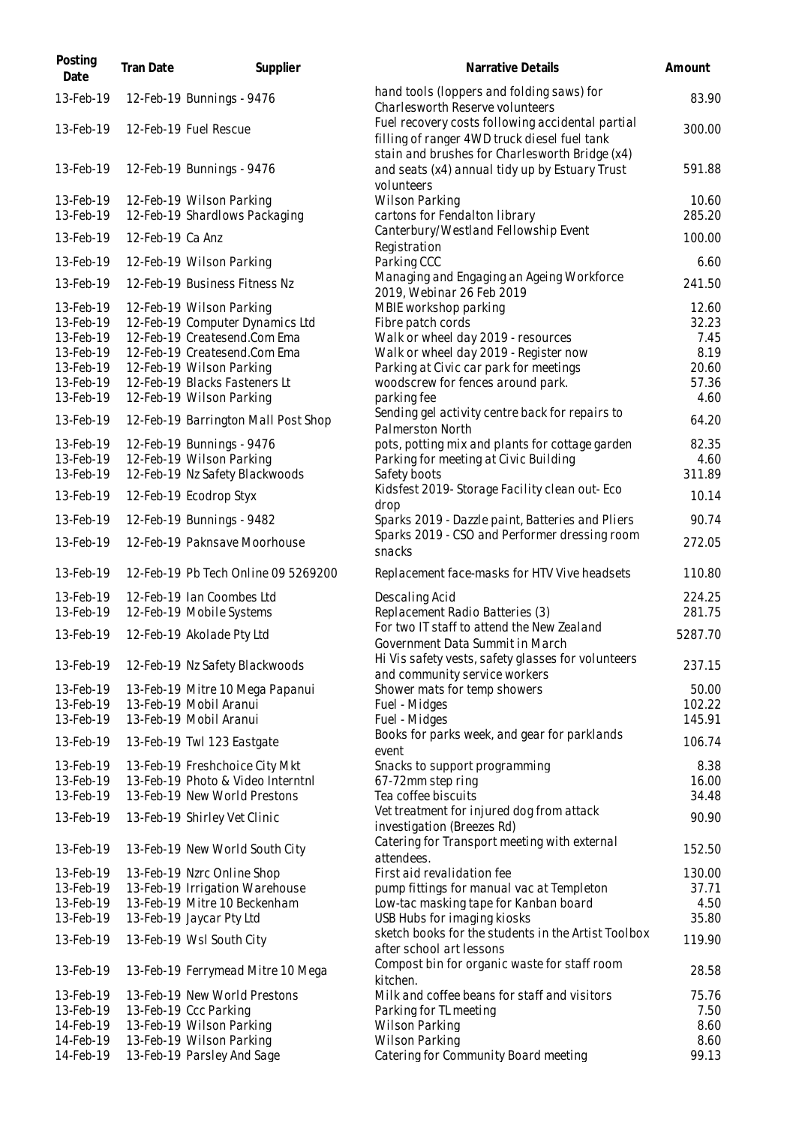| Posting<br>Date | Tran Date        | Supplier                            | Narrative Details                                                                                              | Amount  |
|-----------------|------------------|-------------------------------------|----------------------------------------------------------------------------------------------------------------|---------|
| 13-Feb-19       |                  | 12-Feb-19 Bunnings - 9476           | hand tools (loppers and folding saws) for<br>Charles worth Reserve volunteers                                  | 83.90   |
| 13-Feb-19       |                  | 12-Feb-19 Fuel Rescue               | Fuel recovery costs following accidental partial<br>filling of ranger 4WD truck diesel fuel tank               | 300.00  |
| 13-Feb-19       |                  | 12-Feb-19 Bunnings - 9476           | stain and brushes for Charlesworth Bridge (x4)<br>and seats (x4) annual tidy up by Estuary Trust<br>volunteers | 591.88  |
| 13-Feb-19       |                  | 12-Feb-19 Wilson Parking            | <b>Wilson Parking</b>                                                                                          | 10.60   |
| 13-Feb-19       |                  | 12-Feb-19 Shardlows Packaging       | cartons for Fendalton library                                                                                  | 285.20  |
| 13-Feb-19       | 12-Feb-19 Ca Anz |                                     | Canterbury/Westland Fellowship Event                                                                           | 100.00  |
| 13-Feb-19       |                  | 12-Feb-19 Wilson Parking            | Registration<br>Parking CCC                                                                                    | 6.60    |
| 13-Feb-19       |                  | 12-Feb-19 Business Fitness Nz       | Managing and Engaging an Ageing Workforce                                                                      | 241.50  |
|                 |                  |                                     | 2019, Webinar 26 Feb 2019                                                                                      |         |
| 13-Feb-19       |                  | 12-Feb-19 Wilson Parking            | MBIE workshop parking                                                                                          | 12.60   |
| 13-Feb-19       |                  | 12-Feb-19 Computer Dynamics Ltd     | Fibre patch cords                                                                                              | 32.23   |
| 13-Feb-19       |                  | 12-Feb-19 Createsend.Com Ema        | Walk or wheel day 2019 - resources                                                                             | 7.45    |
| 13-Feb-19       |                  | 12-Feb-19 Createsend.Com Ema        | Walk or wheel day 2019 - Register now                                                                          | 8.19    |
| 13-Feb-19       |                  | 12-Feb-19 Wilson Parking            | Parking at Civic car park for meetings                                                                         | 20.60   |
| 13-Feb-19       |                  | 12-Feb-19 Blacks Fasteners Lt       | woodscrew for fences around park.                                                                              | 57.36   |
| 13-Feb-19       |                  | 12-Feb-19 Wilson Parking            | parking fee                                                                                                    | 4.60    |
| 13-Feb-19       |                  | 12-Feb-19 Barrington Mall Post Shop | Sending gel activity centre back for repairs to<br>Palmerston North                                            | 64.20   |
| 13-Feb-19       |                  | 12-Feb-19 Bunnings - 9476           | pots, potting mix and plants for cottage garden                                                                | 82.35   |
| 13-Feb-19       |                  | 12-Feb-19 Wilson Parking            | Parking for meeting at Civic Building                                                                          | 4.60    |
| 13-Feb-19       |                  | 12-Feb-19 Nz Safety Blackwoods      | Safety boots                                                                                                   | 311.89  |
| 13-Feb-19       |                  | 12-Feb-19 Ecodrop Styx              | Kidsfest 2019-Storage Facility clean out-Eco<br>drop                                                           | 10.14   |
| 13-Feb-19       |                  | 12-Feb-19 Bunnings - 9482           | Sparks 2019 - Dazzle paint, Batteries and Pliers                                                               | 90.74   |
| 13-Feb-19       |                  | 12-Feb-19 Paknsave Moorhouse        | Sparks 2019 - CSO and Performer dressing room<br>snacks                                                        | 272.05  |
| 13-Feb-19       |                  | 12-Feb-19 Pb Tech Online 09 5269200 | Replacement face-masks for HTV Vive headsets                                                                   | 110.80  |
| 13-Feb-19       |                  | 12-Feb-19 Ian Coombes Ltd           | Descaling Acid                                                                                                 | 224.25  |
| 13-Feb-19       |                  | 12-Feb-19 Mobile Systems            | Replacement Radio Batteries (3)                                                                                | 281.75  |
|                 |                  |                                     | For two IT staff to attend the New Zealand                                                                     |         |
| 13-Feb-19       |                  | 12-Feb-19 Akolade Pty Ltd           | Government Data Summit in March                                                                                | 5287.70 |
| 13-Feb-19       |                  | 12-Feb-19 Nz Safety Blackwoods      | Hi Vis safety vests, safety glasses for volunteers                                                             | 237.15  |
|                 |                  |                                     | and community service workers                                                                                  |         |
| 13-Feb-19       |                  | 13-Feb-19 Mitre 10 Mega Papanui     | Shower mats for temp showers                                                                                   | 50.00   |
| 13-Feb-19       |                  | 13-Feb-19 Mobil Aranui              | Fuel - Midges                                                                                                  | 102.22  |
| 13-Feb-19       |                  | 13-Feb-19 Mobil Aranui              | Fuel - Midges                                                                                                  | 145.91  |
| 13-Feb-19       |                  | 13-Feb-19 Twl 123 Eastgate          | Books for parks week, and gear for parklands<br>event                                                          | 106.74  |
| 13-Feb-19       |                  | 13-Feb-19 Freshchoice City Mkt      | Snacks to support programming                                                                                  | 8.38    |
| 13-Feb-19       |                  | 13-Feb-19 Photo & Video Interntnl   | 67-72mm step ring                                                                                              | 16.00   |
| 13-Feb-19       |                  | 13-Feb-19 New World Prestons        | Tea coffee biscuits                                                                                            | 34.48   |
| 13-Feb-19       |                  | 13-Feb-19 Shirley Vet Clinic        | Vet treatment for injured dog from attack<br>investigation (Breezes Rd)                                        | 90.90   |
| 13-Feb-19       |                  | 13-Feb-19 New World South City      | Catering for Transport meeting with external<br>attendees.                                                     | 152.50  |
| 13-Feb-19       |                  | 13-Feb-19 Nzrc Online Shop          | First aid revalidation fee                                                                                     | 130.00  |
| 13-Feb-19       |                  | 13-Feb-19 Irrigation Warehouse      | pump fittings for manual vac at Templeton                                                                      | 37.71   |
| 13-Feb-19       |                  | 13-Feb-19 Mitre 10 Beckenham        | Low-tac masking tape for Kanban board                                                                          | 4.50    |
| 13-Feb-19       |                  | 13-Feb-19 Jaycar Pty Ltd            | USB Hubs for imaging kiosks                                                                                    | 35.80   |
|                 |                  |                                     | sketch books for the students in the Artist Toolbox                                                            |         |
| 13-Feb-19       |                  | 13-Feb-19 Wsl South City            | after school art lessons                                                                                       | 119.90  |
| 13-Feb-19       |                  | 13-Feb-19 Ferrymead Mitre 10 Mega   | Compost bin for organic waste for staff room<br>kitchen.                                                       | 28.58   |
| 13-Feb-19       |                  | 13-Feb-19 New World Prestons        | Milk and coffee beans for staff and visitors                                                                   | 75.76   |
| 13-Feb-19       |                  | 13-Feb-19 Ccc Parking               | Parking for TL meeting                                                                                         | 7.50    |
| 14-Feb-19       |                  | 13-Feb-19 Wilson Parking            | Wilson Parking                                                                                                 | 8.60    |
| 14-Feb-19       |                  | 13-Feb-19 Wilson Parking            | <b>Wilson Parking</b>                                                                                          | 8.60    |
| 14-Feb-19       |                  | 13-Feb-19 Parsley And Sage          | Catering for Community Board meeting                                                                           | 99.13   |
|                 |                  |                                     |                                                                                                                |         |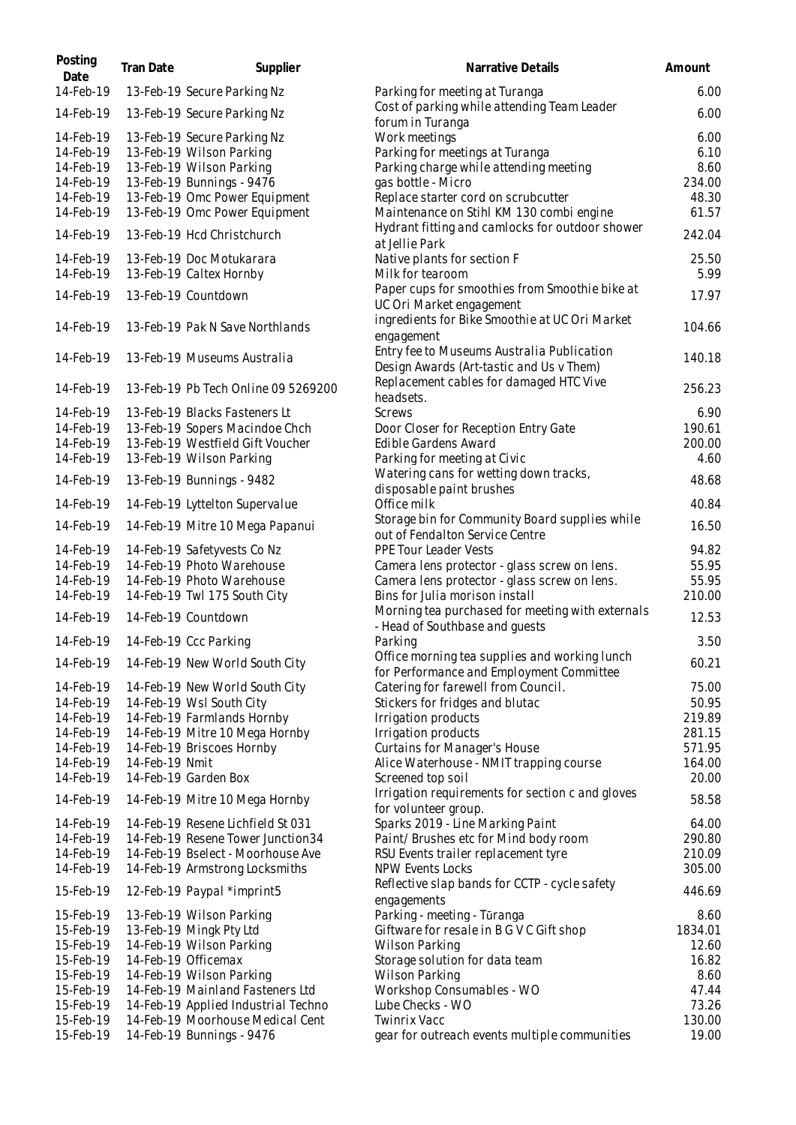| Posting<br>Date | Tran Date      | Supplier                            | Narrative Details                                                                         | Amount  |
|-----------------|----------------|-------------------------------------|-------------------------------------------------------------------------------------------|---------|
| 14-Feb-19       |                | 13-Feb-19 Secure Parking Nz         | Parking for meeting at Turanga                                                            | 6.00    |
| 14-Feb-19       |                | 13-Feb-19 Secure Parking Nz         | Cost of parking while attending Team Leader<br>forum in Turanga                           | 6.00    |
| 14-Feb-19       |                | 13-Feb-19 Secure Parking Nz         | Work meetings                                                                             | 6.00    |
| 14-Feb-19       |                | 13-Feb-19 Wilson Parking            | Parking for meetings at Turanga                                                           | 6.10    |
| 14-Feb-19       |                | 13-Feb-19 Wilson Parking            | Parking charge while attending meeting                                                    | 8.60    |
| 14-Feb-19       |                | 13-Feb-19 Bunnings - 9476           | gas bottle - Micro                                                                        | 234.00  |
| 14-Feb-19       |                | 13-Feb-19 Omc Power Equipment       | Replace starter cord on scrubcutter                                                       | 48.30   |
| 14-Feb-19       |                | 13-Feb-19 Omc Power Equipment       | Maintenance on Stihl KM 130 combi engine                                                  | 61.57   |
| 14-Feb-19       |                | 13-Feb-19 Hcd Christchurch          | Hydrant fitting and camlocks for outdoor shower<br>at Jellie Park                         | 242.04  |
| 14-Feb-19       |                | 13-Feb-19 Doc Motukarara            | Native plants for section F                                                               | 25.50   |
| 14-Feb-19       |                | 13-Feb-19 Caltex Hornby             | Milk for tearoom                                                                          | 5.99    |
| 14-Feb-19       |                | 13-Feb-19 Countdown                 | Paper cups for smoothies from Smoothie bike at<br>UC Ori Market engagement                | 17.97   |
| 14-Feb-19       |                | 13-Feb-19 Pak N Save Northlands     | ingredients for Bike Smoothie at UC Ori Market                                            | 104.66  |
|                 |                |                                     | engagement                                                                                |         |
| 14-Feb-19       |                | 13-Feb-19 Museums Australia         | Entry fee to Museums Australia Publication<br>Design Awards (Art-tastic and Us v Them)    | 140.18  |
| 14-Feb-19       |                | 13-Feb-19 Pb Tech Online 09 5269200 | Replacement cables for damaged HTC Vive                                                   | 256.23  |
|                 |                |                                     | headsets.                                                                                 |         |
| 14-Feb-19       |                | 13-Feb-19 Blacks Fasteners Lt       | Screws                                                                                    | 6.90    |
| 14-Feb-19       |                | 13-Feb-19 Sopers Macindoe Chch      | Door Closer for Reception Entry Gate                                                      | 190.61  |
| 14-Feb-19       |                | 13-Feb-19 Westfield Gift Voucher    | Edible Gardens Award                                                                      | 200.00  |
| 14-Feb-19       |                | 13-Feb-19 Wilson Parking            | Parking for meeting at Civic                                                              | 4.60    |
| 14-Feb-19       |                | 13-Feb-19 Bunnings - 9482           | Watering cans for wetting down tracks,<br>disposable paint brushes                        | 48.68   |
| 14-Feb-19       |                | 14-Feb-19 Lyttelton Supervalue      | Office milk                                                                               | 40.84   |
| 14-Feb-19       |                | 14-Feb-19 Mitre 10 Mega Papanui     | Storage bin for Community Board supplies while<br>out of Fendalton Service Centre         | 16.50   |
| 14-Feb-19       |                | 14-Feb-19 Safetyvests Co Nz         | PPE Tour Leader Vests                                                                     | 94.82   |
| 14-Feb-19       |                | 14-Feb-19 Photo Warehouse           |                                                                                           | 55.95   |
|                 |                | 14-Feb-19 Photo Warehouse           | Camera lens protector - glass screw on lens.                                              | 55.95   |
| 14-Feb-19       |                |                                     | Camera lens protector - glass screw on lens.                                              | 210.00  |
| 14-Feb-19       |                | 14-Feb-19 Twl 175 South City        | Bins for Julia morison install<br>Morning tea purchased for meeting with externals        |         |
| 14-Feb-19       |                | 14-Feb-19 Countdown                 | - Head of Southbase and guests                                                            | 12.53   |
| 14-Feb-19       |                | 14-Feb-19 Ccc Parking               | Parking                                                                                   | 3.50    |
| 14-Feb-19       |                | 14-Feb-19 New World South City      | Office morning tea supplies and working lunch<br>for Performance and Employment Committee | 60.21   |
| 14-Feb-19       |                | 14-Feb-19 New World South City      | Catering for farewell from Council.                                                       | 75.00   |
| 14-Feb-19       |                | 14-Feb-19 Wsl South City            | Stickers for fridges and blutac                                                           | 50.95   |
| 14-Feb-19       |                | 14-Feb-19 Farmlands Hornby          | Irrigation products                                                                       | 219.89  |
| 14-Feb-19       |                | 14-Feb-19 Mitre 10 Mega Hornby      | Irrigation products                                                                       | 281.15  |
| 14-Feb-19       |                | 14-Feb-19 Briscoes Hornby           | Curtains for Manager's House                                                              | 571.95  |
| 14-Feb-19       | 14-Feb-19 Nmit |                                     | Alice Waterhouse - NMIT trapping course                                                   | 164.00  |
| 14-Feb-19       |                | 14-Feb-19 Garden Box                | Screened top soil<br>Irrigation requirements for section c and gloves                     | 20.00   |
| 14-Feb-19       |                | 14-Feb-19 Mitre 10 Mega Hornby      | for volunteer group.                                                                      | 58.58   |
| 14-Feb-19       |                | 14-Feb-19 Resene Lichfield St 031   | Sparks 2019 - Line Marking Paint                                                          | 64.00   |
| 14-Feb-19       |                | 14-Feb-19 Resene Tower Junction34   | Paint/Brushes etc for Mind body room                                                      | 290.80  |
| 14-Feb-19       |                | 14-Feb-19 Bselect - Moorhouse Ave   | RSU Events trailer replacement tyre                                                       | 210.09  |
| 14-Feb-19       |                | 14-Feb-19 Armstrong Locksmiths      | NPW Events Locks                                                                          | 305.00  |
| 15-Feb-19       |                | 12-Feb-19 Paypal *imprint5          | Reflective slap bands for CCTP - cycle safety<br>engagements                              | 446.69  |
| 15-Feb-19       |                | 13-Feb-19 Wilson Parking            | Parking - meeting - Tūranga                                                               | 8.60    |
| 15-Feb-19       |                | 13-Feb-19 Mingk Pty Ltd             | Giftware for resale in B G V C Gift shop                                                  | 1834.01 |
| 15-Feb-19       |                | 14-Feb-19 Wilson Parking            | Wilson Parking                                                                            | 12.60   |
| 15-Feb-19       |                | 14-Feb-19 Officemax                 | Storage solution for data team                                                            | 16.82   |
| 15-Feb-19       |                | 14-Feb-19 Wilson Parking            | Wilson Parking                                                                            | 8.60    |
| 15-Feb-19       |                | 14-Feb-19 Mainland Fasteners Ltd    | Workshop Consumables - WO                                                                 | 47.44   |
| 15-Feb-19       |                | 14-Feb-19 Applied Industrial Techno | Lube Checks - WO                                                                          | 73.26   |
| 15-Feb-19       |                | 14-Feb-19 Moorhouse Medical Cent    | Twinrix Vacc                                                                              | 130.00  |
|                 |                |                                     |                                                                                           |         |
| 15-Feb-19       |                | 14-Feb-19 Bunnings - 9476           | gear for outreach events multiple communities                                             | 19.00   |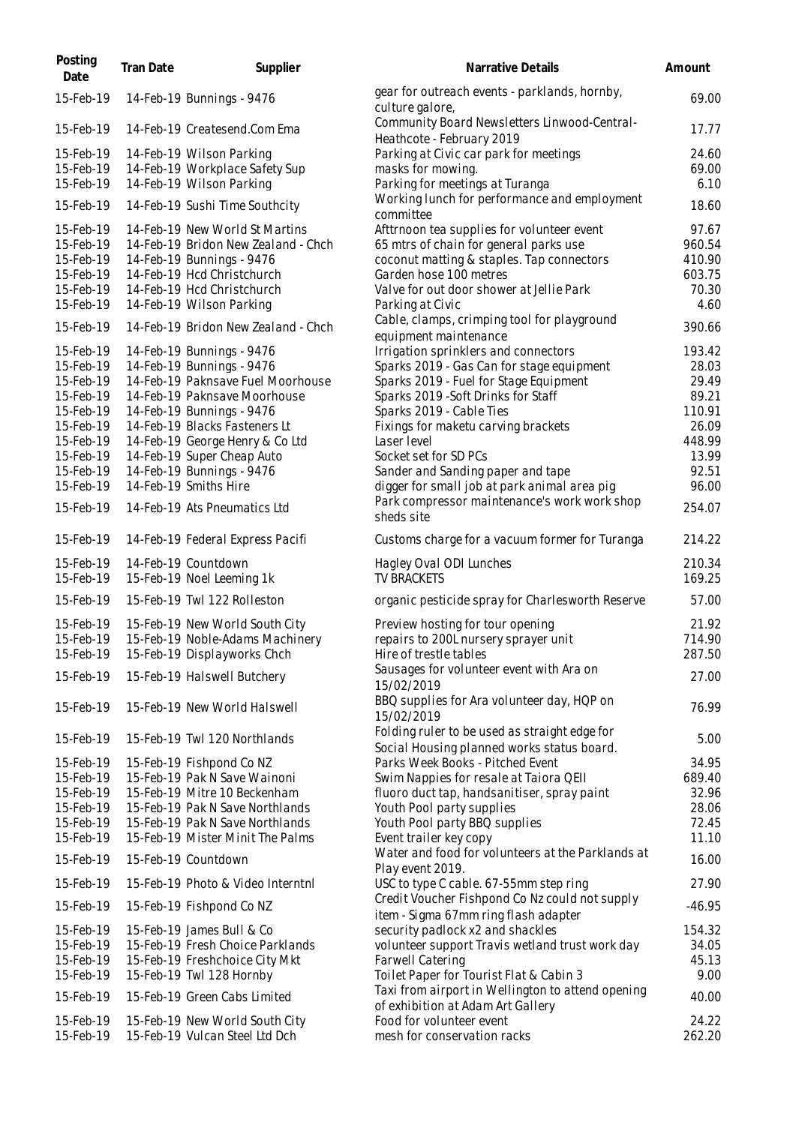| Posting<br>Date        | Tran Date | Supplier                                                         | Narrative Details                                                                            | Amount           |
|------------------------|-----------|------------------------------------------------------------------|----------------------------------------------------------------------------------------------|------------------|
| 15-Feb-19              |           | 14-Feb-19 Bunnings - 9476                                        | gear for outreach events - parklands, hornby,<br>culture galore,                             | 69.00            |
| 15-Feb-19              |           | 14-Feb-19 Createsend.Com Ema                                     | Community Board Newsletters Linwood-Central-<br>Heathcote - February 2019                    | 17.77            |
| 15-Feb-19              |           | 14-Feb-19 Wilson Parking                                         | Parking at Civic car park for meetings                                                       | 24.60            |
| 15-Feb-19              |           | 14-Feb-19 Workplace Safety Sup                                   | masks for mowing.                                                                            | 69.00            |
| 15-Feb-19              |           | 14-Feb-19 Wilson Parking                                         | Parking for meetings at Turanga                                                              | 6.10             |
| 15-Feb-19              |           | 14-Feb-19 Sushi Time Southcity                                   | Working lunch for performance and employment<br>committee                                    | 18.60            |
| 15-Feb-19              |           | 14-Feb-19 New World St Martins                                   | Afttrnoon tea supplies for volunteer event                                                   | 97.67            |
| 15-Feb-19              |           | 14-Feb-19 Bridon New Zealand - Chch                              | 65 mtrs of chain for general parks use                                                       | 960.54           |
| 15-Feb-19              |           | 14-Feb-19 Bunnings - 9476                                        | coconut matting & staples. Tap connectors                                                    | 410.90           |
| 15-Feb-19              |           | 14-Feb-19 Hcd Christchurch                                       | Garden hose 100 metres                                                                       | 603.75           |
| 15-Feb-19              |           | 14-Feb-19 Hcd Christchurch                                       | Valve for out door shower at Jellie Park                                                     | 70.30            |
| 15-Feb-19              |           | 14-Feb-19 Wilson Parking                                         | Parking at Civic                                                                             | 4.60             |
| 15-Feb-19              |           | 14-Feb-19 Bridon New Zealand - Chch                              | Cable, clamps, crimping tool for playground<br>equipment maintenance                         | 390.66           |
| 15-Feb-19              |           | 14-Feb-19 Bunnings - 9476                                        | Irrigation sprinklers and connectors                                                         | 193.42           |
| 15-Feb-19              |           | 14-Feb-19 Bunnings - 9476                                        | Sparks 2019 - Gas Can for stage equipment                                                    | 28.03            |
| 15-Feb-19              |           | 14-Feb-19 Paknsave Fuel Moorhouse                                | Sparks 2019 - Fuel for Stage Equipment                                                       | 29.49            |
| 15-Feb-19              |           | 14-Feb-19 Paknsave Moorhouse                                     | Sparks 2019 - Soft Drinks for Staff                                                          | 89.21            |
| 15-Feb-19              |           | 14-Feb-19 Bunnings - 9476                                        | Sparks 2019 - Cable Ties                                                                     | 110.91           |
| 15-Feb-19              |           | 14-Feb-19 Blacks Fasteners Lt                                    | Fixings for maketu carving brackets                                                          | 26.09            |
| 15-Feb-19              |           | 14-Feb-19 George Henry & Co Ltd                                  | Laser level                                                                                  | 448.99           |
| 15-Feb-19              |           | 14-Feb-19 Super Cheap Auto                                       | Socket set for SD PCs                                                                        | 13.99            |
| 15-Feb-19              |           | 14-Feb-19 Bunnings - 9476                                        | Sander and Sanding paper and tape                                                            | 92.51            |
| 15-Feb-19              |           | 14-Feb-19 Smiths Hire                                            | digger for small job at park animal area pig                                                 | 96.00            |
| 15-Feb-19              |           | 14-Feb-19 Ats Pneumatics Ltd                                     | Park compressor maintenance's work work shop<br>sheds site                                   | 254.07           |
| 15-Feb-19              |           | 14-Feb-19 Federal Express Pacifi                                 | Customs charge for a vacuum former for Turanga                                               | 214.22           |
| 15-Feb-19<br>15-Feb-19 |           | 14-Feb-19 Countdown<br>15-Feb-19 Noel Leeming 1k                 | Hagley Oval ODI Lunches<br><b>TV BRACKETS</b>                                                | 210.34<br>169.25 |
| 15-Feb-19              |           | 15-Feb-19 Twl 122 Rolleston                                      | organic pesticide spray for Charlesworth Reserve                                             | 57.00            |
| 15-Feb-19              |           | 15-Feb-19 New World South City                                   | Preview hosting for tour opening                                                             | 21.92            |
| 15-Feb-19              |           | 15-Feb-19 Noble-Adams Machinery                                  | repairs to 200L nursery sprayer unit                                                         | 714.90           |
| 15-Feb-19              |           | 15-Feb-19 Displayworks Chch                                      | Hire of trestle tables                                                                       | 287.50           |
| 15-Feb-19              |           | 15-Feb-19 Halswell Butchery                                      | Sausages for volunteer event with Ara on<br>15/02/2019                                       | 27.00            |
| 15-Feb-19              |           | 15-Feb-19 New World Halswell                                     | BBQ supplies for Ara volunteer day, HQP on                                                   | 76.99            |
| 15-Feb-19              |           | 15-Feb-19 Twl 120 Northlands                                     | 15/02/2019<br>Folding ruler to be used as straight edge for                                  | 5.00             |
|                        |           |                                                                  | Social Housing planned works status board.                                                   |                  |
| 15-Feb-19              |           | 15-Feb-19 Fishpond Co NZ                                         | Parks Week Books - Pitched Event                                                             | 34.95            |
| 15-Feb-19              |           | 15-Feb-19 Pak N Save Wainoni                                     | Swim Nappies for resale at Taiora QEII                                                       | 689.40           |
| 15-Feb-19              |           | 15-Feb-19 Mitre 10 Beckenham                                     | fluoro duct tap, handsanitiser, spray paint                                                  | 32.96            |
| 15-Feb-19              |           | 15-Feb-19 Pak N Save Northlands                                  | Youth Pool party supplies                                                                    | 28.06            |
| 15-Feb-19              |           | 15-Feb-19 Pak N Save Northlands                                  | Youth Pool party BBQ supplies                                                                | 72.45            |
| 15-Feb-19<br>15-Feb-19 |           | 15-Feb-19 Mister Minit The Palms<br>15-Feb-19 Countdown          | Event trailer key copy<br>Water and food for volunteers at the Parklands at                  | 11.10<br>16.00   |
| 15-Feb-19              |           | 15-Feb-19 Photo & Video Interntnl                                | Play event 2019.<br>USC to type C cable. 67-55mm step ring                                   | 27.90            |
| 15-Feb-19              |           | 15-Feb-19 Fishpond Co NZ                                         | Credit Voucher Fishpond Co Nz could not supply                                               | $-46.95$         |
|                        |           |                                                                  | item - Sigma 67mm ring flash adapter                                                         |                  |
| 15-Feb-19              |           | 15-Feb-19 James Bull & Co                                        | security padlock x2 and shackles                                                             | 154.32           |
| 15-Feb-19              |           | 15-Feb-19 Fresh Choice Parklands                                 | volunteer support Travis wetland trust work day                                              | 34.05            |
| 15-Feb-19<br>15-Feb-19 |           | 15-Feb-19 Freshchoice City Mkt                                   | Farwell Catering                                                                             | 45.13<br>9.00    |
|                        |           | 15-Feb-19 Twl 128 Hornby                                         | Toilet Paper for Tourist Flat & Cabin 3<br>Taxi from airport in Wellington to attend opening |                  |
| 15-Feb-19              |           | 15-Feb-19 Green Cabs Limited                                     | of exhibition at Adam Art Gallery                                                            | 40.00            |
| 15-Feb-19<br>15-Feb-19 |           | 15-Feb-19 New World South City<br>15-Feb-19 Vulcan Steel Ltd Dch | Food for volunteer event<br>mesh for conservation racks                                      | 24.22<br>262.20  |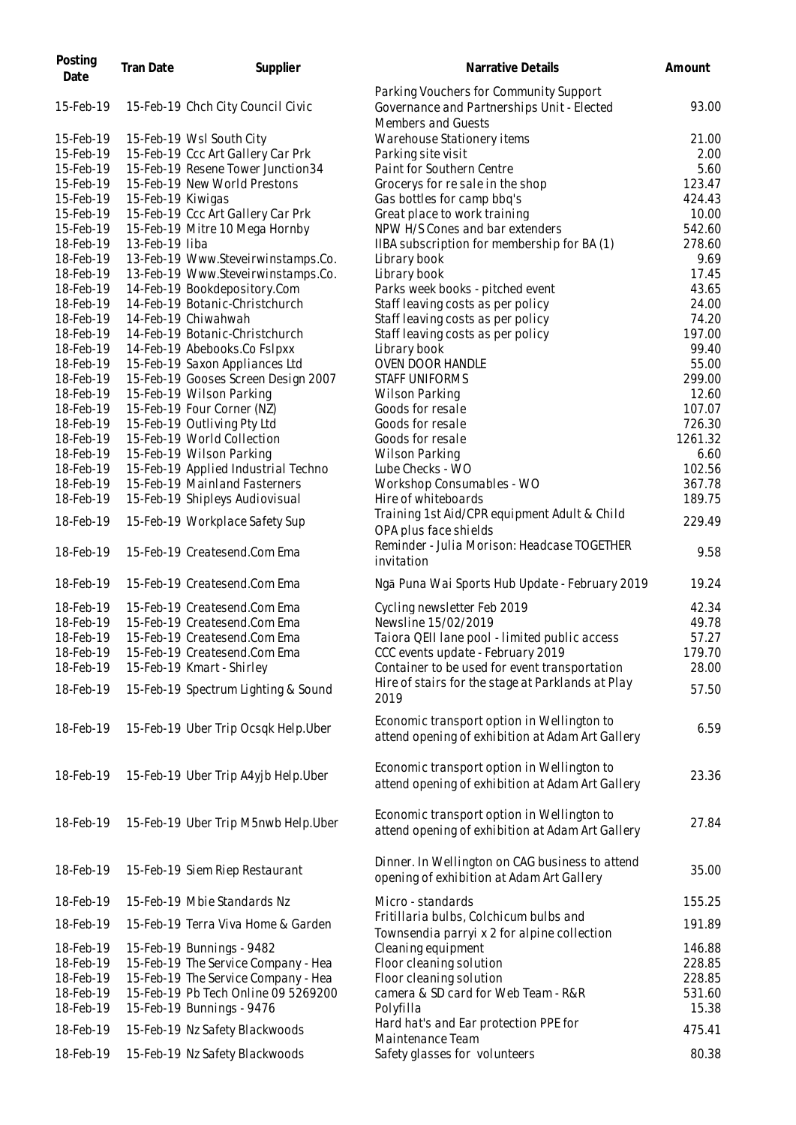| Posting<br>Date        | Tran Date         | Supplier                                               | Narrative Details                                                                                          | Amount           |
|------------------------|-------------------|--------------------------------------------------------|------------------------------------------------------------------------------------------------------------|------------------|
| 15-Feb-19              |                   | 15-Feb-19 Chch City Council Civic                      | Parking Vouchers for Community Support<br>Governance and Partnerships Unit - Elected<br>Members and Guests | 93.00            |
| 15-Feb-19              |                   | 15-Feb-19 Wsl South City                               | Warehouse Stationery items                                                                                 | 21.00            |
| 15-Feb-19              |                   | 15-Feb-19 Ccc Art Gallery Car Prk                      | Parking site visit                                                                                         | 2.00             |
| 15-Feb-19              |                   | 15-Feb-19 Resene Tower Junction34                      | Paint for Southern Centre                                                                                  | 5.60             |
| 15-Feb-19              |                   | 15-Feb-19 New World Prestons                           | Grocerys for re sale in the shop                                                                           | 123.47           |
| 15-Feb-19              | 15-Feb-19 Kiwigas |                                                        | Gas bottles for camp bbq's                                                                                 | 424.43           |
| 15-Feb-19              |                   | 15-Feb-19 Ccc Art Gallery Car Prk                      | Great place to work training                                                                               | 10.00            |
| 15-Feb-19              |                   | 15-Feb-19 Mitre 10 Mega Hornby                         | NPW H/S Cones and bar extenders                                                                            | 542.60           |
| 18-Feb-19              | 13-Feb-19 liba    |                                                        | IIBA subscription for membership for BA (1)                                                                | 278.60           |
| 18-Feb-19              |                   | 13-Feb-19 Www.Steveirwinstamps.Co.                     | Library book                                                                                               | 9.69             |
| 18-Feb-19              |                   | 13-Feb-19 Www.Steveirwinstamps.Co.                     | Library book                                                                                               | 17.45            |
| 18-Feb-19              |                   | 14-Feb-19 Bookdepository.Com                           | Parks week books - pitched event                                                                           | 43.65            |
| 18-Feb-19              |                   | 14-Feb-19 Botanic-Christchurch                         | Staff leaving costs as per policy                                                                          | 24.00            |
| 18-Feb-19              |                   | 14-Feb-19 Chiwahwah                                    | Staff leaving costs as per policy                                                                          | 74.20            |
| 18-Feb-19              |                   | 14-Feb-19 Botanic-Christchurch                         | Staff leaving costs as per policy                                                                          | 197.00           |
| 18-Feb-19              |                   | 14-Feb-19 Abebooks.Co FsIpxx                           | Library book                                                                                               | 99.40            |
| 18-Feb-19              |                   | 15-Feb-19 Saxon Appliances Ltd                         | OVEN DOOR HANDLE                                                                                           | 55.00            |
| 18-Feb-19              |                   | 15-Feb-19 Gooses Screen Design 2007                    | <b>STAFF UNIFORMS</b>                                                                                      | 299.00           |
| 18-Feb-19              |                   | 15-Feb-19 Wilson Parking<br>15-Feb-19 Four Corner (NZ) | Wilson Parking                                                                                             | 12.60            |
| 18-Feb-19<br>18-Feb-19 |                   | 15-Feb-19 Outliving Pty Ltd                            | Goods for resale<br>Goods for resale                                                                       | 107.07<br>726.30 |
| 18-Feb-19              |                   | 15-Feb-19 World Collection                             | Goods for resale                                                                                           | 1261.32          |
| 18-Feb-19              |                   | 15-Feb-19 Wilson Parking                               | Wilson Parking                                                                                             | 6.60             |
| 18-Feb-19              |                   | 15-Feb-19 Applied Industrial Techno                    | Lube Checks - WO                                                                                           | 102.56           |
| 18-Feb-19              |                   | 15-Feb-19 Mainland Fasterners                          | Workshop Consumables - WO                                                                                  | 367.78           |
| 18-Feb-19              |                   | 15-Feb-19 Shipleys Audiovisual                         | Hire of whiteboards                                                                                        | 189.75           |
| 18-Feb-19              |                   | 15-Feb-19 Workplace Safety Sup                         | Training 1st Aid/CPR equipment Adult & Child<br>OPA plus face shields                                      | 229.49           |
| 18-Feb-19              |                   | 15-Feb-19 Createsend.Com Ema                           | Reminder - Julia Morison: Headcase TOGETHER<br>invitation                                                  | 9.58             |
| 18-Feb-19              |                   | 15-Feb-19 Createsend.Com Ema                           | Ngā Puna Wai Sports Hub Update - February 2019                                                             | 19.24            |
| 18-Feb-19              |                   | 15-Feb-19 Createsend.Com Ema                           | Cycling newsletter Feb 2019                                                                                | 42.34            |
| 18-Feb-19              |                   | 15-Feb-19 Createsend.Com Ema                           | Newsline 15/02/2019                                                                                        | 49.78            |
| 18-Feb-19              |                   | 15-Feb-19 Createsend.Com Ema                           | Taiora QEII lane pool - limited public access                                                              | 57.27            |
| 18-Feb-19              |                   | 15-Feb-19 Createsend.Com Ema                           | CCC events update - February 2019                                                                          | 179.70           |
| 18-Feb-19              |                   | 15-Feb-19 Kmart - Shirley                              | Container to be used for event transportation                                                              | 28.00            |
| 18-Feb-19              |                   | 15-Feb-19 Spectrum Lighting & Sound                    | Hire of stairs for the stage at Parklands at Play<br>2019                                                  | 57.50            |
| 18-Feb-19              |                   | 15-Feb-19 Uber Trip Ocsqk Help.Uber                    | Economic transport option in Wellington to<br>attend opening of exhibition at Adam Art Gallery             | 6.59             |
| 18-Feb-19              |                   | 15-Feb-19 Uber Trip A4yjb Help.Uber                    | Economic transport option in Wellington to<br>attend opening of exhibition at Adam Art Gallery             | 23.36            |
| 18-Feb-19              |                   | 15-Feb-19 Uber Trip M5nwb Help.Uber                    | Economic transport option in Wellington to<br>attend opening of exhibition at Adam Art Gallery             | 27.84            |
| 18-Feb-19              |                   | 15-Feb-19 Siem Riep Restaurant                         | Dinner. In Wellington on CAG business to attend<br>opening of exhibition at Adam Art Gallery               | 35.00            |
| 18-Feb-19              |                   | 15-Feb-19 Mbie Standards Nz                            | Micro - standards                                                                                          | 155.25           |
| 18-Feb-19              |                   | 15-Feb-19 Terra Viva Home & Garden                     | Fritillaria bulbs, Colchicum bulbs and<br>Townsendia parryi x 2 for alpine collection                      | 191.89           |
| 18-Feb-19              |                   | 15-Feb-19 Bunnings - 9482                              | Cleaning equipment                                                                                         | 146.88           |
| 18-Feb-19              |                   | 15-Feb-19 The Service Company - Hea                    | Floor cleaning solution                                                                                    | 228.85           |
| 18-Feb-19              |                   | 15-Feb-19 The Service Company - Hea                    | Floor cleaning solution                                                                                    | 228.85           |
| 18-Feb-19              |                   | 15-Feb-19 Pb Tech Online 09 5269200                    | camera & SD card for Web Team - R&R                                                                        | 531.60           |
| 18-Feb-19              |                   | 15-Feb-19 Bunnings - 9476                              | Polyfilla                                                                                                  | 15.38            |
| 18-Feb-19              |                   | 15-Feb-19 Nz Safety Blackwoods                         | Hard hat's and Ear protection PPE for<br>Maintenance Team                                                  | 475.41           |
| 18-Feb-19              |                   | 15-Feb-19 Nz Safety Blackwoods                         | Safety glasses for volunteers                                                                              | 80.38            |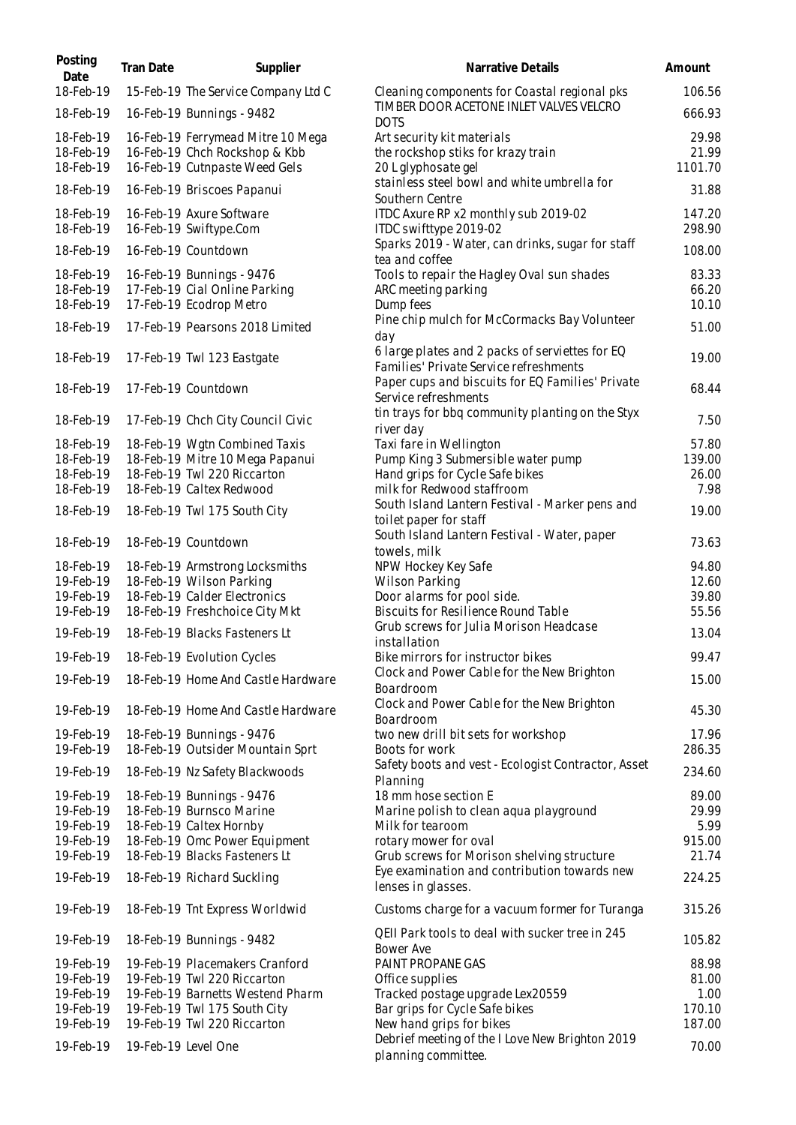| Posting<br>Date | Tran Date | Supplier                            | Narrative Details                                                      | Amount  |
|-----------------|-----------|-------------------------------------|------------------------------------------------------------------------|---------|
| 18-Feb-19       |           | 15-Feb-19 The Service Company Ltd C | Cleaning components for Coastal regional pks                           | 106.56  |
| 18-Feb-19       |           | 16-Feb-19 Bunnings - 9482           | TIMBER DOOR ACETONE INLET VALVES VELCRO<br><b>DOTS</b>                 | 666.93  |
| 18-Feb-19       |           | 16-Feb-19 Ferrymead Mitre 10 Mega   | Art security kit materials                                             | 29.98   |
| 18-Feb-19       |           | 16-Feb-19 Chch Rockshop & Kbb       | the rockshop stiks for krazy train                                     | 21.99   |
| 18-Feb-19       |           | 16-Feb-19 Cutnpaste Weed Gels       | 20 L glyphosate gel                                                    | 1101.70 |
| 18-Feb-19       |           | 16-Feb-19 Briscoes Papanui          | stainless steel bowl and white umbrella for<br>Southern Centre         | 31.88   |
| 18-Feb-19       |           | 16-Feb-19 Axure Software            | ITDC Axure RP x2 monthly sub 2019-02                                   | 147.20  |
| 18-Feb-19       |           | 16-Feb-19 Swiftype.Com              | ITDC swifttype 2019-02                                                 | 298.90  |
|                 |           |                                     | Sparks 2019 - Water, can drinks, sugar for staff                       |         |
| 18-Feb-19       |           | 16-Feb-19 Countdown                 | tea and coffee                                                         | 108.00  |
| 18-Feb-19       |           | 16-Feb-19 Bunnings - 9476           | Tools to repair the Hagley Oval sun shades                             | 83.33   |
| 18-Feb-19       |           | 17-Feb-19 Cial Online Parking       | ARC meeting parking                                                    | 66.20   |
| 18-Feb-19       |           |                                     |                                                                        | 10.10   |
|                 |           | 17-Feb-19 Ecodrop Metro             | Dump fees                                                              |         |
| 18-Feb-19       |           | 17-Feb-19 Pearsons 2018 Limited     | Pine chip mulch for McCormacks Bay Volunteer<br>day                    | 51.00   |
| 18-Feb-19       |           | 17-Feb-19 Twl 123 Eastgate          | 6 large plates and 2 packs of serviettes for EQ                        | 19.00   |
|                 |           |                                     | Families' Private Service refreshments                                 |         |
|                 |           |                                     | Paper cups and biscuits for EQ Families' Private                       |         |
| 18-Feb-19       |           | 17-Feb-19 Countdown                 | Service refreshments                                                   | 68.44   |
|                 |           |                                     | tin trays for bbq community planting on the Styx                       |         |
| 18-Feb-19       |           | 17-Feb-19 Chch City Council Civic   | river day                                                              | 7.50    |
| 18-Feb-19       |           | 18-Feb-19 Wgtn Combined Taxis       | Taxi fare in Wellington                                                | 57.80   |
| 18-Feb-19       |           | 18-Feb-19 Mitre 10 Mega Papanui     | Pump King 3 Submersible water pump                                     | 139.00  |
| 18-Feb-19       |           | 18-Feb-19 Twl 220 Riccarton         | Hand grips for Cycle Safe bikes                                        | 26.00   |
| 18-Feb-19       |           | 18-Feb-19 Caltex Redwood            | milk for Redwood staffroom                                             | 7.98    |
|                 |           |                                     |                                                                        |         |
| 18-Feb-19       |           | 18-Feb-19 Twl 175 South City        | South Island Lantern Festival - Marker pens and                        | 19.00   |
|                 |           |                                     | toilet paper for staff                                                 |         |
| 18-Feb-19       |           | 18-Feb-19 Countdown                 | South Island Lantern Festival - Water, paper                           | 73.63   |
|                 |           |                                     | towels, milk                                                           |         |
| 18-Feb-19       |           | 18-Feb-19 Armstrong Locksmiths      | NPW Hockey Key Safe                                                    | 94.80   |
| 19-Feb-19       |           | 18-Feb-19 Wilson Parking            | <b>Wilson Parking</b>                                                  | 12.60   |
| 19-Feb-19       |           | 18-Feb-19 Calder Electronics        | Door alarms for pool side.                                             | 39.80   |
| 19-Feb-19       |           | 18-Feb-19 Freshchoice City Mkt      | <b>Biscuits for Resilience Round Table</b>                             | 55.56   |
| 19-Feb-19       |           | 18-Feb-19 Blacks Fasteners Lt       | Grub screws for Julia Morison Headcase                                 | 13.04   |
| 19-Feb-19       |           | 18-Feb-19 Evolution Cycles          | installation<br>Bike mirrors for instructor bikes                      | 99.47   |
|                 |           |                                     | Clock and Power Cable for the New Brighton                             |         |
| 19-Feb-19       |           | 18-Feb-19 Home And Castle Hardware  | Boardroom                                                              | 15.00   |
|                 |           |                                     | Clock and Power Cable for the New Brighton                             |         |
| 19-Feb-19       |           | 18-Feb-19 Home And Castle Hardware  | Boardroom                                                              | 45.30   |
| 19-Feb-19       |           | 18-Feb-19 Bunnings - 9476           | two new drill bit sets for workshop                                    | 17.96   |
| 19-Feb-19       |           | 18-Feb-19 Outsider Mountain Sprt    | Boots for work                                                         | 286.35  |
|                 |           |                                     | Safety boots and vest - Ecologist Contractor, Asset                    |         |
| 19-Feb-19       |           | 18-Feb-19 Nz Safety Blackwoods      | Planning                                                               | 234.60  |
| 19-Feb-19       |           | 18-Feb-19 Bunnings - 9476           | 18 mm hose section E                                                   | 89.00   |
| 19-Feb-19       |           | 18-Feb-19 Burnsco Marine            | Marine polish to clean aqua playground                                 | 29.99   |
| 19-Feb-19       |           | 18-Feb-19 Caltex Hornby             | Milk for tearoom                                                       | 5.99    |
| 19-Feb-19       |           | 18-Feb-19 Omc Power Equipment       | rotary mower for oval                                                  | 915.00  |
| 19-Feb-19       |           | 18-Feb-19 Blacks Fasteners Lt       | Grub screws for Morison shelving structure                             | 21.74   |
| 19-Feb-19       |           | 18-Feb-19 Richard Suckling          | Eye examination and contribution towards new<br>lenses in glasses.     | 224.25  |
| 19-Feb-19       |           | 18-Feb-19 Tnt Express Worldwid      | Customs charge for a vacuum former for Turanga                         | 315.26  |
|                 |           |                                     | QEII Park tools to deal with sucker tree in 245                        |         |
| 19-Feb-19       |           | 18-Feb-19 Bunnings - 9482           | Bower Ave                                                              | 105.82  |
| 19-Feb-19       |           | 19-Feb-19 Placemakers Cranford      | PAINT PROPANE GAS                                                      | 88.98   |
| 19-Feb-19       |           | 19-Feb-19 Twl 220 Riccarton         | Office supplies                                                        | 81.00   |
| 19-Feb-19       |           | 19-Feb-19 Barnetts Westend Pharm    | Tracked postage upgrade Lex20559                                       | 1.00    |
| 19-Feb-19       |           | 19-Feb-19 Twl 175 South City        | Bar grips for Cycle Safe bikes                                         | 170.10  |
| 19-Feb-19       |           | 19-Feb-19 Twl 220 Riccarton         | New hand grips for bikes                                               | 187.00  |
| 19-Feb-19       |           | 19-Feb-19 Level One                 | Debrief meeting of the I Love New Brighton 2019<br>planning committee. | 70.00   |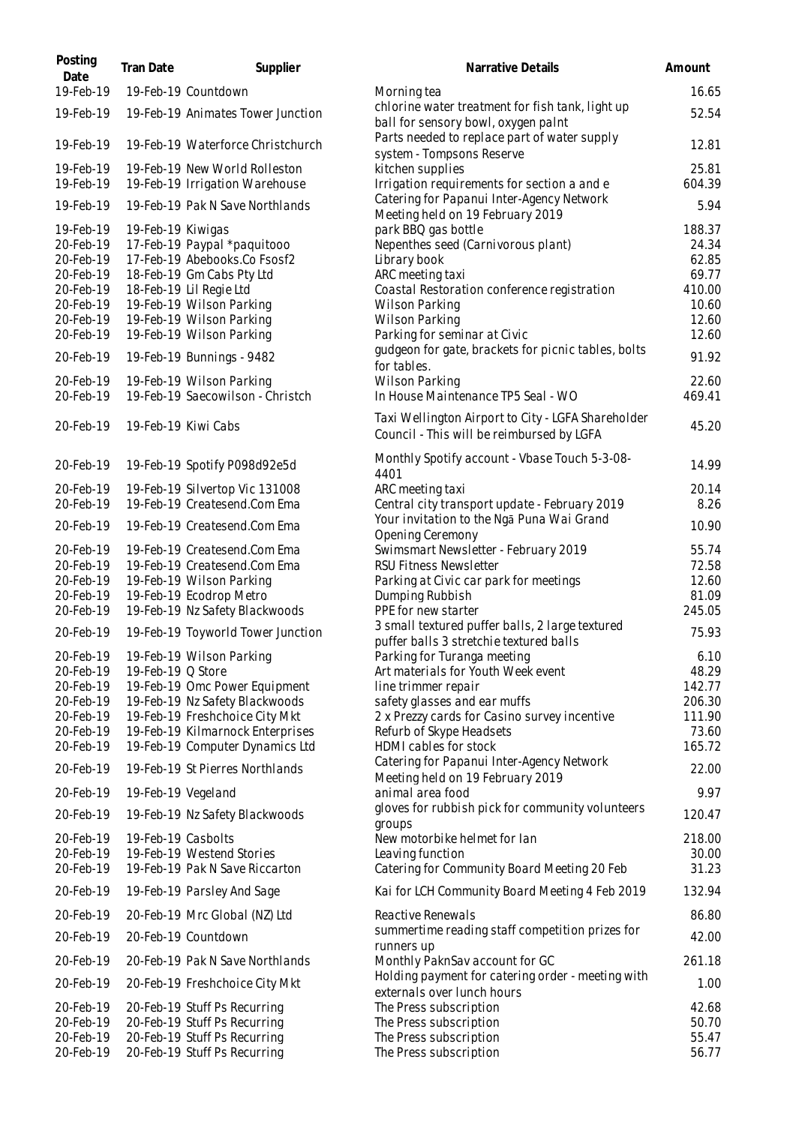| Posting<br>Date        | Tran Date          | Supplier                                                        | Narrative Details                                                                               | Amount          |
|------------------------|--------------------|-----------------------------------------------------------------|-------------------------------------------------------------------------------------------------|-----------------|
| 19-Feb-19              |                    | 19-Feb-19 Countdown                                             | Morning tea                                                                                     | 16.65           |
| 19-Feb-19              |                    | 19-Feb-19 Animates Tower Junction                               | chlorine water treatment for fish tank, light up<br>ball for sensory bowl, oxygen paint         | 52.54           |
| 19-Feb-19              |                    | 19-Feb-19 Waterforce Christchurch                               | Parts needed to replace part of water supply<br>system - Tompsons Reserve                       | 12.81           |
| 19-Feb-19<br>19-Feb-19 |                    | 19-Feb-19 New World Rolleston<br>19-Feb-19 Irrigation Warehouse | kitchen supplies<br>Irrigation requirements for section a and e                                 | 25.81<br>604.39 |
| 19-Feb-19              |                    | 19-Feb-19 Pak N Save Northlands                                 | Catering for Papanui Inter-Agency Network<br>Meeting held on 19 February 2019                   | 5.94            |
| 19-Feb-19              | 19-Feb-19 Kiwigas  |                                                                 | park BBQ gas bottle                                                                             | 188.37          |
| 20-Feb-19              |                    | 17-Feb-19 Paypal *paquitooo                                     | Nepenthes seed (Carnivorous plant)                                                              | 24.34           |
| 20-Feb-19              |                    | 17-Feb-19 Abebooks.Co Fsosf2                                    | Library book                                                                                    | 62.85           |
| 20-Feb-19              |                    | 18-Feb-19 Gm Cabs Pty Ltd                                       | ARC meeting taxi                                                                                | 69.77           |
| 20-Feb-19<br>20-Feb-19 |                    | 18-Feb-19 Lil Regie Ltd<br>19-Feb-19 Wilson Parking             | Coastal Restoration conference registration<br>Wilson Parking                                   | 410.00<br>10.60 |
| 20-Feb-19              |                    | 19-Feb-19 Wilson Parking                                        | <b>Wilson Parking</b>                                                                           | 12.60           |
| 20-Feb-19              |                    | 19-Feb-19 Wilson Parking                                        | Parking for seminar at Civic                                                                    | 12.60           |
| 20-Feb-19              |                    | 19-Feb-19 Bunnings - 9482                                       | gudgeon for gate, brackets for picnic tables, bolts<br>for tables.                              | 91.92           |
| 20-Feb-19              |                    | 19-Feb-19 Wilson Parking                                        | <b>Wilson Parking</b>                                                                           | 22.60           |
| 20-Feb-19              |                    | 19-Feb-19 Saecowilson - Christch                                | In House Maintenance TP5 Seal - WO                                                              | 469.41          |
| 20-Feb-19              |                    | 19-Feb-19 Kiwi Cabs                                             | Taxi Wellington Airport to City - LGFA Shareholder<br>Council - This will be reimbursed by LGFA | 45.20           |
| 20-Feb-19              |                    | 19-Feb-19 Spotify P098d92e5d                                    | Monthly Spotify account - Vbase Touch 5-3-08-<br>4401                                           | 14.99           |
| 20-Feb-19              |                    | 19-Feb-19 Silvertop Vic 131008                                  | ARC meeting taxi                                                                                | 20.14           |
| 20-Feb-19              |                    | 19-Feb-19 Createsend.Com Ema                                    | Central city transport update - February 2019                                                   | 8.26            |
| 20-Feb-19              |                    | 19-Feb-19 Createsend.Com Ema                                    | Your invitation to the Nga Puna Wai Grand<br>Opening Ceremony                                   | 10.90           |
| 20-Feb-19              |                    | 19-Feb-19 Createsend.Com Ema                                    | Swimsmart Newsletter - February 2019                                                            | 55.74           |
| 20-Feb-19              |                    | 19-Feb-19 Createsend.Com Ema                                    | <b>RSU Fitness Newsletter</b>                                                                   | 72.58           |
| 20-Feb-19<br>20-Feb-19 |                    | 19-Feb-19 Wilson Parking<br>19-Feb-19 Ecodrop Metro             | Parking at Civic car park for meetings<br>Dumping Rubbish                                       | 12.60<br>81.09  |
| 20-Feb-19              |                    | 19-Feb-19 Nz Safety Blackwoods                                  | PPE for new starter                                                                             | 245.05          |
| 20-Feb-19              |                    | 19-Feb-19 Toyworld Tower Junction                               | 3 small textured puffer balls, 2 large textured                                                 | 75.93           |
|                        |                    |                                                                 | puffer balls 3 stretchie textured balls                                                         |                 |
| 20-Feb-19              |                    | 19-Feb-19 Wilson Parking                                        | Parking for Turanga meeting                                                                     | 6.10            |
| 20-Feb-19<br>20-Feb-19 | 19-Feb-19 Q Store  | 19-Feb-19 Omc Power Equipment                                   | Art materials for Youth Week event<br>line trimmer repair                                       | 48.29<br>142.77 |
| 20-Feb-19              |                    | 19-Feb-19 Nz Safety Blackwoods                                  | safety glasses and ear muffs                                                                    | 206.30          |
| 20-Feb-19              |                    | 19-Feb-19 Freshchoice City Mkt                                  | 2 x Prezzy cards for Casino survey incentive                                                    | 111.90          |
| 20-Feb-19              |                    | 19-Feb-19 Kilmarnock Enterprises                                | Refurb of Skype Headsets                                                                        | 73.60           |
| 20-Feb-19              |                    | 19-Feb-19 Computer Dynamics Ltd                                 | HDMI cables for stock                                                                           | 165.72          |
| 20-Feb-19              |                    | 19-Feb-19 St Pierres Northlands                                 | Catering for Papanui Inter-Agency Network<br>Meeting held on 19 February 2019                   | 22.00           |
| 20-Feb-19              | 19-Feb-19 Vegeland |                                                                 | animal area food                                                                                | 9.97            |
| 20-Feb-19              |                    | 19-Feb-19 Nz Safety Blackwoods                                  | gloves for rubbish pick for community volunteers<br>groups                                      | 120.47          |
| 20-Feb-19              | 19-Feb-19 Casbolts |                                                                 | New motorbike helmet for lan                                                                    | 218.00          |
| 20-Feb-19              |                    | 19-Feb-19 Westend Stories                                       | Leaving function                                                                                | 30.00           |
| 20-Feb-19              |                    | 19-Feb-19 Pak N Save Riccarton                                  | Catering for Community Board Meeting 20 Feb                                                     | 31.23           |
| 20-Feb-19              |                    | 19-Feb-19 Parsley And Sage                                      | Kai for LCH Community Board Meeting 4 Feb 2019                                                  | 132.94          |
| 20-Feb-19              |                    | 20-Feb-19 Mrc Global (NZ) Ltd                                   | Reactive Renewals<br>summertime reading staff competition prizes for                            | 86.80           |
| 20-Feb-19              |                    | 20-Feb-19 Countdown                                             | runners up                                                                                      | 42.00           |
| 20-Feb-19              |                    | 20-Feb-19 Pak N Save Northlands                                 | Monthly PaknSav account for GC                                                                  | 261.18          |
| 20-Feb-19              |                    | 20-Feb-19 Freshchoice City Mkt                                  | Holding payment for catering order - meeting with<br>externals over lunch hours                 | 1.00            |
| 20-Feb-19              |                    | 20-Feb-19 Stuff Ps Recurring                                    | The Press subscription                                                                          | 42.68           |
| 20-Feb-19<br>20-Feb-19 |                    | 20-Feb-19 Stuff Ps Recurring<br>20-Feb-19 Stuff Ps Recurring    | The Press subscription<br>The Press subscription                                                | 50.70<br>55.47  |
| 20-Feb-19              |                    | 20-Feb-19 Stuff Ps Recurring                                    | The Press subscription                                                                          | 56.77           |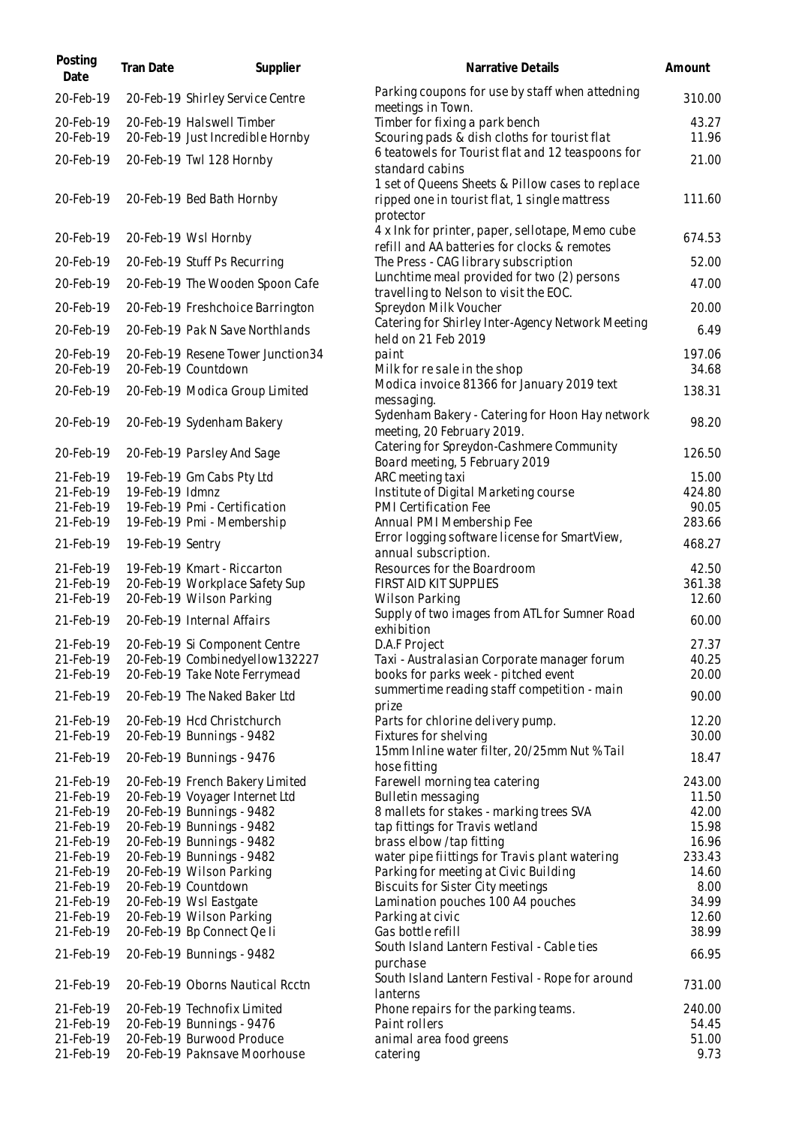| Posting<br>Date        | Tran Date        | Supplier                                                        | Narrative Details                                                                                              | Amount          |
|------------------------|------------------|-----------------------------------------------------------------|----------------------------------------------------------------------------------------------------------------|-----------------|
| 20-Feb-19              |                  | 20-Feb-19 Shirley Service Centre                                | Parking coupons for use by staff when attedning<br>meetings in Town.                                           | 310.00          |
| 20-Feb-19              |                  | 20-Feb-19 Halswell Timber                                       | Timber for fixing a park bench                                                                                 | 43.27           |
| 20-Feb-19              |                  | 20-Feb-19 Just Incredible Hornby                                | Scouring pads & dish cloths for tourist flat                                                                   | 11.96           |
| 20-Feb-19              |                  | 20-Feb-19 Twl 128 Hornby                                        | 6 teatowels for Tourist flat and 12 teaspoons for<br>standard cabins                                           | 21.00           |
| 20-Feb-19              |                  | 20-Feb-19 Bed Bath Hornby                                       | 1 set of Queens Sheets & Pillow cases to replace<br>ripped one in tourist flat, 1 single mattress<br>protector | 111.60          |
| 20-Feb-19              |                  | 20-Feb-19 Wsl Hornby                                            | 4 x Ink for printer, paper, sellotape, Memo cube<br>refill and AA batteries for clocks & remotes               | 674.53          |
| 20-Feb-19              |                  | 20-Feb-19 Stuff Ps Recurring                                    | The Press - CAG library subscription                                                                           | 52.00           |
| 20-Feb-19              |                  | 20-Feb-19 The Wooden Spoon Cafe                                 | Lunchtime meal provided for two (2) persons<br>travelling to Nelson to visit the EOC.                          | 47.00           |
| 20-Feb-19              |                  | 20-Feb-19 Freshchoice Barrington                                | Spreydon Milk Voucher                                                                                          | 20.00           |
| 20-Feb-19              |                  | 20-Feb-19 Pak N Save Northlands                                 | Catering for Shirley Inter-Agency Network Meeting                                                              | 6.49            |
| 20-Feb-19              |                  | 20-Feb-19 Resene Tower Junction34                               | held on 21 Feb 2019<br>paint                                                                                   | 197.06          |
| 20-Feb-19              |                  | 20-Feb-19 Countdown                                             | Milk for resale in the shop                                                                                    | 34.68           |
| 20-Feb-19              |                  | 20-Feb-19 Modica Group Limited                                  | Modica invoice 81366 for January 2019 text                                                                     | 138.31          |
|                        |                  |                                                                 | messaging.                                                                                                     |                 |
| 20-Feb-19              |                  | 20-Feb-19 Sydenham Bakery                                       | Sydenham Bakery - Catering for Hoon Hay network<br>meeting, 20 February 2019.                                  | 98.20           |
| 20-Feb-19              |                  | 20-Feb-19 Parsley And Sage                                      | Catering for Spreydon-Cashmere Community<br>Board meeting, 5 February 2019                                     | 126.50          |
| 21-Feb-19              |                  | 19-Feb-19 Gm Cabs Pty Ltd                                       | ARC meeting taxi                                                                                               | 15.00           |
| 21-Feb-19              | 19-Feb-19 Idmnz  |                                                                 | Institute of Digital Marketing course                                                                          | 424.80          |
| 21-Feb-19<br>21-Feb-19 |                  | 19-Feb-19 Pmi - Certification<br>19-Feb-19 Pmi - Membership     | PMI Certification Fee<br>Annual PMI Membership Fee                                                             | 90.05<br>283.66 |
|                        |                  |                                                                 | Error logging software license for SmartView,                                                                  |                 |
| 21-Feb-19              | 19-Feb-19 Sentry |                                                                 | annual subscription.                                                                                           | 468.27          |
| 21-Feb-19              |                  | 19-Feb-19 Kmart - Riccarton                                     | Resources for the Boardroom                                                                                    | 42.50           |
| 21-Feb-19              |                  | 20-Feb-19 Workplace Safety Sup                                  | FIRST AID KIT SUPPLIES                                                                                         | 361.38          |
| 21-Feb-19<br>21-Feb-19 |                  | 20-Feb-19 Wilson Parking<br>20-Feb-19 Internal Affairs          | Wilson Parking<br>Supply of two images from ATL for Sumner Road                                                | 12.60<br>60.00  |
|                        |                  |                                                                 | exhibition                                                                                                     |                 |
| 21-Feb-19              |                  | 20-Feb-19 Si Component Centre                                   | D.A.F Project                                                                                                  | 27.37           |
| 21-Feb-19<br>21-Feb-19 |                  | 20-Feb-19 Combinedyellow132227<br>20-Feb-19 Take Note Ferrymead | Taxi - Australasian Corporate manager forum<br>books for parks week - pitched event                            | 40.25<br>20.00  |
| 21-Feb-19              |                  | 20-Feb-19 The Naked Baker Ltd                                   | summertime reading staff competition - main                                                                    | 90.00           |
| 21-Feb-19              |                  | 20-Feb-19 Hcd Christchurch                                      | prize                                                                                                          | 12.20           |
| 21-Feb-19              |                  | 20-Feb-19 Bunnings - 9482                                       | Parts for chlorine delivery pump.<br>Fixtures for shelving                                                     | 30.00           |
| 21-Feb-19              |                  | 20-Feb-19 Bunnings - 9476                                       | 15mm Inline water filter, 20/25mm Nut % Tail                                                                   | 18.47           |
|                        |                  |                                                                 | hose fitting                                                                                                   |                 |
| 21-Feb-19              |                  | 20-Feb-19 French Bakery Limited                                 | Farewell morning tea catering                                                                                  | 243.00          |
| 21-Feb-19<br>21-Feb-19 |                  | 20-Feb-19 Voyager Internet Ltd                                  | Bulletin messaging                                                                                             | 11.50           |
|                        |                  | 20-Feb-19 Bunnings - 9482                                       | 8 mallets for stakes - marking trees SVA                                                                       | 42.00           |
| 21-Feb-19              |                  | 20-Feb-19 Bunnings - 9482<br>20-Feb-19 Bunnings - 9482          | tap fittings for Travis wetland<br>brass elbow/tap fitting                                                     | 15.98           |
| 21-Feb-19<br>21-Feb-19 |                  | 20-Feb-19 Bunnings - 9482                                       | water pipe fiittings for Travis plant watering                                                                 | 16.96<br>233.43 |
| 21-Feb-19              |                  | 20-Feb-19 Wilson Parking                                        | Parking for meeting at Civic Building                                                                          | 14.60           |
| 21-Feb-19              |                  | 20-Feb-19 Countdown                                             | Biscuits for Sister City meetings                                                                              | 8.00            |
| 21-Feb-19              |                  | 20-Feb-19 Wsl Eastgate                                          | Lamination pouches 100 A4 pouches                                                                              | 34.99           |
| 21-Feb-19              |                  | 20-Feb-19 Wilson Parking                                        | Parking at civic                                                                                               | 12.60           |
| 21-Feb-19              |                  | 20-Feb-19 Bp Connect Qe li                                      | Gas bottle refill                                                                                              | 38.99           |
| 21-Feb-19              |                  | 20-Feb-19 Bunnings - 9482                                       | South Island Lantern Festival - Cable ties<br>purchase                                                         | 66.95           |
| 21-Feb-19              |                  | 20-Feb-19 Oborns Nautical Rcctn                                 | South Island Lantern Festival - Rope for around                                                                | 731.00          |
|                        |                  |                                                                 | lanterns                                                                                                       |                 |
| 21-Feb-19              |                  | 20-Feb-19 Technofix Limited                                     | Phone repairs for the parking teams.                                                                           | 240.00          |
| 21-Feb-19              |                  | 20-Feb-19 Bunnings - 9476                                       | Paint rollers                                                                                                  | 54.45           |
| 21-Feb-19              |                  | 20-Feb-19 Burwood Produce                                       | animal area food greens                                                                                        | 51.00           |
| 21-Feb-19              |                  | 20-Feb-19 Paknsave Moorhouse                                    | catering                                                                                                       | 9.73            |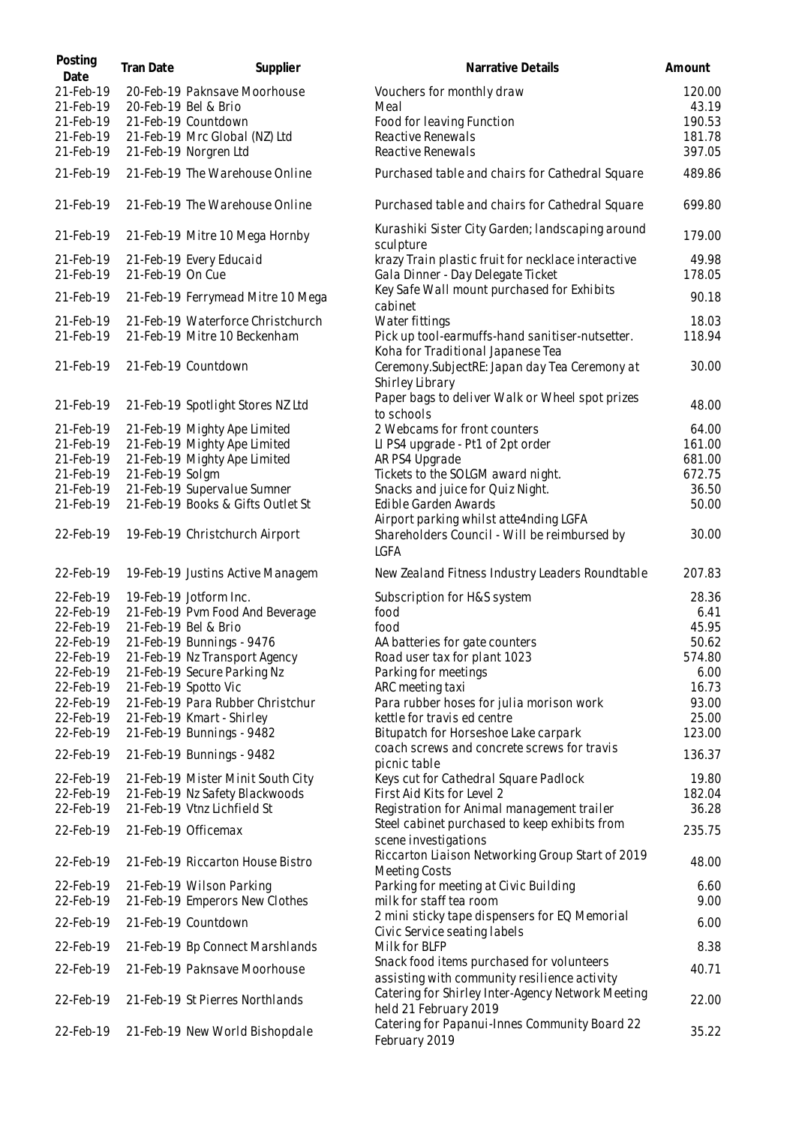| Posting<br>Date        | Tran Date        | Supplier                                               | Narrative Details                                                                           | Amount           |
|------------------------|------------------|--------------------------------------------------------|---------------------------------------------------------------------------------------------|------------------|
| 21-Feb-19              |                  | 20-Feb-19 Paknsave Moorhouse                           | Vouchers for monthly draw                                                                   | 120.00           |
| 21-Feb-19              |                  | 20-Feb-19 Bel & Brio                                   | Meal                                                                                        | 43.19            |
| 21-Feb-19              |                  | 21-Feb-19 Countdown                                    | Food for leaving Function                                                                   | 190.53           |
| 21-Feb-19<br>21-Feb-19 |                  | 21-Feb-19 Mrc Global (NZ) Ltd<br>21-Feb-19 Norgren Ltd | Reactive Renewals<br>Reactive Renewals                                                      | 181.78<br>397.05 |
| 21-Feb-19              |                  | 21-Feb-19 The Warehouse Online                         | Purchased table and chairs for Cathedral Square                                             | 489.86           |
| 21-Feb-19              |                  | 21-Feb-19 The Warehouse Online                         | Purchased table and chairs for Cathedral Square                                             | 699.80           |
| 21-Feb-19              |                  | 21-Feb-19 Mitre 10 Mega Hornby                         | Kurashiki Sister City Garden; landscaping around<br>sculpture                               | 179.00           |
| 21-Feb-19              |                  | 21-Feb-19 Every Educaid                                | krazy Train plastic fruit for necklace interactive                                          | 49.98            |
| 21-Feb-19              | 21-Feb-19 On Cue |                                                        | Gala Dinner - Day Delegate Ticket<br>Key Safe Wall mount purchased for Exhibits             | 178.05           |
| 21-Feb-19              |                  | 21-Feb-19 Ferrymead Mitre 10 Mega                      | cabinet                                                                                     | 90.18            |
| 21-Feb-19              |                  | 21-Feb-19 Waterforce Christchurch                      | Water fittings                                                                              | 18.03            |
| 21-Feb-19              |                  | 21-Feb-19 Mitre 10 Beckenham                           | Pick up tool-earmuffs-hand sanitiser-nutsetter.<br>Koha for Traditional Japanese Tea        | 118.94           |
| 21-Feb-19              |                  | 21-Feb-19 Countdown                                    | Ceremony.SubjectRE: Japan day Tea Ceremony at<br>Shirley Library                            | 30.00            |
| 21-Feb-19              |                  | 21-Feb-19 Spotlight Stores NZ Ltd                      | Paper bags to deliver Walk or Wheel spot prizes<br>to schools                               | 48.00            |
| 21-Feb-19              |                  | 21-Feb-19 Mighty Ape Limited                           | 2 Webcams for front counters                                                                | 64.00            |
| 21-Feb-19              |                  | 21-Feb-19 Mighty Ape Limited                           | LI PS4 upgrade - Pt1 of 2pt order                                                           | 161.00           |
| 21-Feb-19              |                  | 21-Feb-19 Mighty Ape Limited                           | AR PS4 Upgrade                                                                              | 681.00           |
| 21-Feb-19              | 21-Feb-19 Solgm  |                                                        | Tickets to the SOLGM award night.                                                           | 672.75           |
| 21-Feb-19              |                  | 21-Feb-19 Supervalue Sumner                            | Snacks and juice for Quiz Night.                                                            | 36.50            |
| 21-Feb-19              |                  | 21-Feb-19 Books & Gifts Outlet St                      | Edible Garden Awards                                                                        | 50.00            |
| 22-Feb-19              |                  | 19-Feb-19 Christchurch Airport                         | Airport parking whilst atte4nding LGFA<br>Shareholders Council - Will be reimbursed by      | 30.00            |
|                        |                  |                                                        | <b>LGFA</b>                                                                                 |                  |
| 22-Feb-19              |                  | 19-Feb-19 Justins Active Managem                       | New Zealand Fitness Industry Leaders Roundtable                                             | 207.83           |
| 22-Feb-19              |                  | 19-Feb-19 Jotform Inc.                                 | Subscription for H&S system                                                                 | 28.36            |
| 22-Feb-19              |                  | 21-Feb-19 Pvm Food And Beverage                        | food                                                                                        | 6.41             |
| 22-Feb-19              |                  | 21-Feb-19 Bel & Brio                                   | food                                                                                        | 45.95            |
| 22-Feb-19              |                  | 21-Feb-19 Bunnings - 9476                              | AA batteries for gate counters                                                              | 50.62            |
| 22-Feb-19              |                  | 21-Feb-19 Nz Transport Agency                          | Road user tax for plant 1023                                                                | 574.80           |
| 22-Feb-19              |                  | 21-Feb-19 Secure Parking Nz                            | Parking for meetings                                                                        | 6.00             |
| 22-Feb-19              |                  | 21-Feb-19 Spotto Vic                                   | ARC meeting taxi                                                                            | 16.73            |
| 22-Feb-19              |                  | 21-Feb-19 Para Rubber Christchur                       | Para rubber hoses for julia morison work                                                    | 93.00            |
| 22-Feb-19              |                  | 21-Feb-19 Kmart - Shirley                              | kettle for travis ed centre                                                                 | 25.00            |
| 22-Feb-19              |                  | 21-Feb-19 Bunnings - 9482                              | Bitupatch for Horseshoe Lake carpark                                                        | 123.00           |
| 22-Feb-19              |                  | 21-Feb-19 Bunnings - 9482                              | coach screws and concrete screws for travis<br>picnic table                                 | 136.37           |
| 22-Feb-19              |                  | 21-Feb-19 Mister Minit South City                      | Keys cut for Cathedral Square Padlock                                                       | 19.80            |
| 22-Feb-19              |                  | 21-Feb-19 Nz Safety Blackwoods                         | First Aid Kits for Level 2                                                                  | 182.04           |
| 22-Feb-19<br>22-Feb-19 |                  | 21-Feb-19 Vtnz Lichfield St<br>21-Feb-19 Officemax     | Registration for Animal management trailer<br>Steel cabinet purchased to keep exhibits from | 36.28<br>235.75  |
| 22-Feb-19              |                  | 21-Feb-19 Riccarton House Bistro                       | scene investigations<br>Riccarton Liaison Networking Group Start of 2019                    | 48.00            |
|                        |                  |                                                        | Meeting Costs                                                                               |                  |
| 22-Feb-19              |                  | 21-Feb-19 Wilson Parking                               | Parking for meeting at Civic Building                                                       | 6.60             |
| 22-Feb-19              |                  | 21-Feb-19 Emperors New Clothes                         | milk for staff tea room                                                                     | 9.00             |
| 22-Feb-19              |                  | 21-Feb-19 Countdown                                    | 2 mini sticky tape dispensers for EQ Memorial<br>Civic Service seating labels               | 6.00             |
| 22-Feb-19              |                  | 21-Feb-19 Bp Connect Marshlands                        | Milk for BLFP                                                                               | 8.38             |
| 22-Feb-19              |                  | 21-Feb-19 Paknsave Moorhouse                           | Snack food items purchased for volunteers<br>assisting with community resilience activity   | 40.71            |
| 22-Feb-19              |                  | 21-Feb-19 St Pierres Northlands                        | Catering for Shirley Inter-Agency Network Meeting<br>held 21 February 2019                  | 22.00            |
| 22-Feb-19              |                  | 21-Feb-19 New World Bishopdale                         | Catering for Papanui-Innes Community Board 22<br>February 2019                              | 35.22            |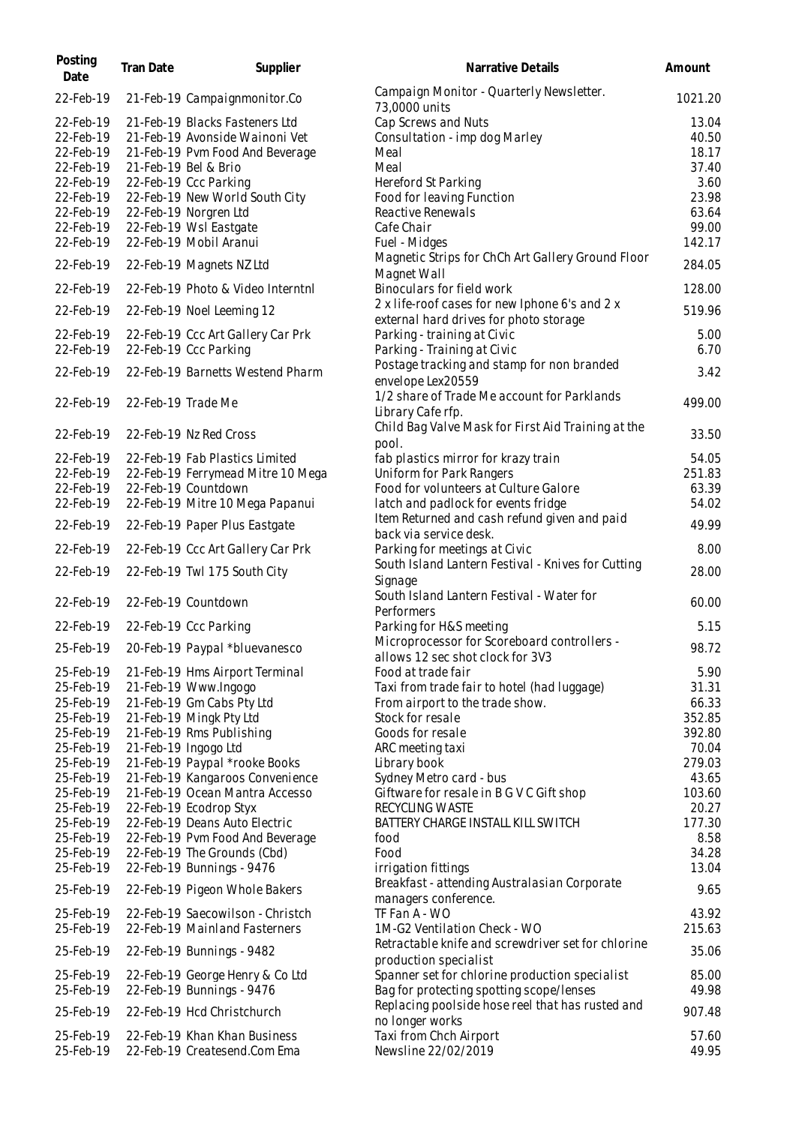| Posting<br>Date | Tran Date          | Supplier                          | Narrative Details                                                                        | Amount  |
|-----------------|--------------------|-----------------------------------|------------------------------------------------------------------------------------------|---------|
| 22-Feb-19       |                    | 21-Feb-19 Campaignmonitor.Co      | Campaign Monitor - Quarterly Newsletter.<br>73,0000 units                                | 1021.20 |
| 22-Feb-19       |                    | 21-Feb-19 Blacks Fasteners Ltd    | Cap Screws and Nuts                                                                      | 13.04   |
| 22-Feb-19       |                    | 21-Feb-19 Avonside Wainoni Vet    | Consultation - imp dog Marley                                                            | 40.50   |
| 22-Feb-19       |                    | 21-Feb-19 Pvm Food And Beverage   | Meal                                                                                     | 18.17   |
| 22-Feb-19       |                    | 21-Feb-19 Bel & Brio              | Meal                                                                                     | 37.40   |
| 22-Feb-19       |                    | 22-Feb-19 Ccc Parking             | Hereford St Parking                                                                      | 3.60    |
| 22-Feb-19       |                    | 22-Feb-19 New World South City    | Food for leaving Function                                                                | 23.98   |
| 22-Feb-19       |                    | 22-Feb-19 Norgren Ltd             | Reactive Renewals                                                                        | 63.64   |
| 22-Feb-19       |                    | 22-Feb-19 Wsl Eastgate            | Cafe Chair                                                                               | 99.00   |
| 22-Feb-19       |                    | 22-Feb-19 Mobil Aranui            | Fuel - Midges                                                                            | 142.17  |
|                 |                    |                                   | Magnetic Strips for ChCh Art Gallery Ground Floor                                        |         |
| 22-Feb-19       |                    | 22-Feb-19 Magnets NZ Ltd          | Magnet Wall                                                                              | 284.05  |
| 22-Feb-19       |                    | 22-Feb-19 Photo & Video Interntnl | Binoculars for field work                                                                | 128.00  |
| 22-Feb-19       |                    | 22-Feb-19 Noel Leeming 12         | 2 x life-roof cases for new Iphone 6's and 2 x<br>external hard drives for photo storage | 519.96  |
| 22-Feb-19       |                    | 22-Feb-19 Ccc Art Gallery Car Prk | Parking - training at Civic                                                              | 5.00    |
| 22-Feb-19       |                    | 22-Feb-19 Ccc Parking             | Parking - Training at Civic                                                              | 6.70    |
|                 |                    |                                   | Postage tracking and stamp for non branded                                               |         |
| 22-Feb-19       |                    | 22-Feb-19 Barnetts Westend Pharm  | envelope Lex20559                                                                        | 3.42    |
|                 |                    |                                   | 1/2 share of Trade Me account for Parklands                                              |         |
| 22-Feb-19       | 22-Feb-19 Trade Me |                                   | Library Cafe rfp.                                                                        | 499.00  |
|                 |                    |                                   | Child Bag Valve Mask for First Aid Training at the                                       |         |
| 22-Feb-19       |                    | 22-Feb-19 Nz Red Cross            | pool.                                                                                    | 33.50   |
| 22-Feb-19       |                    | 22-Feb-19 Fab Plastics Limited    | fab plastics mirror for krazy train                                                      | 54.05   |
| 22-Feb-19       |                    | 22-Feb-19 Ferrymead Mitre 10 Mega | Uniform for Park Rangers                                                                 | 251.83  |
| 22-Feb-19       |                    | 22-Feb-19 Countdown               | Food for volunteers at Culture Galore                                                    | 63.39   |
| 22-Feb-19       |                    | 22-Feb-19 Mitre 10 Mega Papanui   | latch and padlock for events fridge                                                      | 54.02   |
| 22-Feb-19       |                    | 22-Feb-19 Paper Plus Eastgate     | Item Returned and cash refund given and paid                                             | 49.99   |
| 22-Feb-19       |                    | 22-Feb-19 Ccc Art Gallery Car Prk | back via service desk.<br>Parking for meetings at Civic                                  | 8.00    |
|                 |                    |                                   | South Island Lantern Festival - Knives for Cutting                                       |         |
| 22-Feb-19       |                    | 22-Feb-19 Twl 175 South City      | Signage                                                                                  | 28.00   |
| 22-Feb-19       |                    | 22-Feb-19 Countdown               | South Island Lantern Festival - Water for                                                | 60.00   |
|                 |                    |                                   | Performers                                                                               |         |
| 22-Feb-19       |                    | 22-Feb-19 Ccc Parking             | Parking for H&S meeting                                                                  | 5.15    |
| 25-Feb-19       |                    | 20-Feb-19 Paypal *bluevanesco     | Microprocessor for Scoreboard controllers -<br>allows 12 sec shot clock for 3V3          | 98.72   |
| 25-Feb-19       |                    | 21-Feb-19 Hms Airport Terminal    | Food at trade fair                                                                       | 5.90    |
| 25-Feb-19       |                    | 21-Feb-19 Www.Ingogo              | Taxi from trade fair to hotel (had luggage)                                              | 31.31   |
| 25-Feb-19       |                    | 21-Feb-19 Gm Cabs Pty Ltd         | From airport to the trade show.                                                          | 66.33   |
| 25-Feb-19       |                    | 21-Feb-19 Mingk Pty Ltd           | Stock for resale                                                                         | 352.85  |
| 25-Feb-19       |                    | 21-Feb-19 Rms Publishing          | Goods for resale                                                                         | 392.80  |
| 25-Feb-19       |                    | 21-Feb-19 Ingogo Ltd              | ARC meeting taxi                                                                         | 70.04   |
| 25-Feb-19       |                    | 21-Feb-19 Paypal *rooke Books     | Library book                                                                             | 279.03  |
| 25-Feb-19       |                    | 21-Feb-19 Kangaroos Convenience   | Sydney Metro card - bus                                                                  | 43.65   |
| 25-Feb-19       |                    | 21-Feb-19 Ocean Mantra Accesso    | Giftware for resale in B G V C Gift shop                                                 | 103.60  |
| 25-Feb-19       |                    | 22-Feb-19 Ecodrop Styx            | RECYCLING WASTE                                                                          | 20.27   |
| 25-Feb-19       |                    | 22-Feb-19 Deans Auto Electric     | BATTERY CHARGE INSTALL KILL SWITCH                                                       | 177.30  |
|                 |                    |                                   |                                                                                          |         |
| 25-Feb-19       |                    | 22-Feb-19 Pvm Food And Beverage   | food                                                                                     | 8.58    |
| 25-Feb-19       |                    | 22-Feb-19 The Grounds (Cbd)       | Food                                                                                     | 34.28   |
| 25-Feb-19       |                    | 22-Feb-19 Bunnings - 9476         | irrigation fittings                                                                      | 13.04   |
| 25-Feb-19       |                    | 22-Feb-19 Pigeon Whole Bakers     | Breakfast - attending Australasian Corporate<br>managers conference.                     | 9.65    |
| 25-Feb-19       |                    | 22-Feb-19 Saecowilson - Christch  | TF Fan A - WO                                                                            | 43.92   |
| 25-Feb-19       |                    | 22-Feb-19 Mainland Fasterners     | 1M-G2 Ventilation Check - WO                                                             | 215.63  |
| 25-Feb-19       |                    | 22-Feb-19 Bunnings - 9482         | Retractable knife and screwdriver set for chlorine<br>production specialist              | 35.06   |
| 25-Feb-19       |                    | 22-Feb-19 George Henry & Co Ltd   | Spanner set for chlorine production specialist                                           | 85.00   |
| 25-Feb-19       |                    | 22-Feb-19 Bunnings - 9476         | Bag for protecting spotting scope/lenses                                                 | 49.98   |
|                 |                    |                                   | Replacing poolside hose reel that has rusted and                                         |         |
| 25-Feb-19       |                    | 22-Feb-19 Hcd Christchurch        | no longer works                                                                          | 907.48  |
| 25-Feb-19       |                    | 22-Feb-19 Khan Khan Business      | Taxi from Chch Airport                                                                   | 57.60   |
| 25-Feb-19       |                    | 22-Feb-19 Createsend.Com Ema      | Newsline 22/02/2019                                                                      | 49.95   |